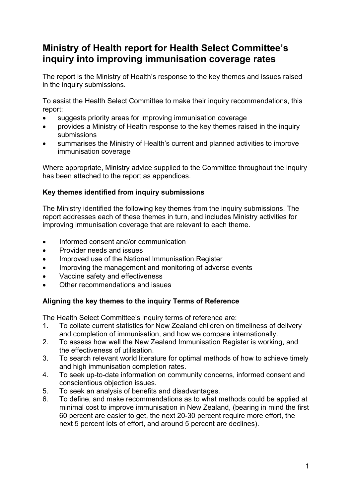# **Ministry of Health report for Health Select Committee's inquiry into improving immunisation coverage rates**

The report is the Ministry of Health's response to the key themes and issues raised in the inquiry submissions.

To assist the Health Select Committee to make their inquiry recommendations, this report:

- suggests priority areas for improving immunisation coverage
- provides a Ministry of Health response to the key themes raised in the inquiry submissions
- summarises the Ministry of Health's current and planned activities to improve immunisation coverage

Where appropriate, Ministry advice supplied to the Committee throughout the inquiry has been attached to the report as appendices.

# **Key themes identified from inquiry submissions**

The Ministry identified the following key themes from the inquiry submissions. The report addresses each of these themes in turn, and includes Ministry activities for improving immunisation coverage that are relevant to each theme.

- Informed consent and/or communication
- Provider needs and issues
- Improved use of the National Immunisation Register
- Improving the management and monitoring of adverse events
- Vaccine safety and effectiveness
- Other recommendations and issues

# **Aligning the key themes to the inquiry Terms of Reference**

The Health Select Committee's inquiry terms of reference are:

- 1. To collate current statistics for New Zealand children on timeliness of delivery and completion of immunisation, and how we compare internationally.
- 2. To assess how well the New Zealand Immunisation Register is working, and the effectiveness of utilisation.
- 3. To search relevant world literature for optimal methods of how to achieve timely and high immunisation completion rates.
- 4. To seek up-to-date information on community concerns, informed consent and conscientious objection issues.
- 5. To seek an analysis of benefits and disadvantages.
- 6. To define, and make recommendations as to what methods could be applied at minimal cost to improve immunisation in New Zealand, (bearing in mind the first 60 percent are easier to get, the next 20-30 percent require more effort, the next 5 percent lots of effort, and around 5 percent are declines).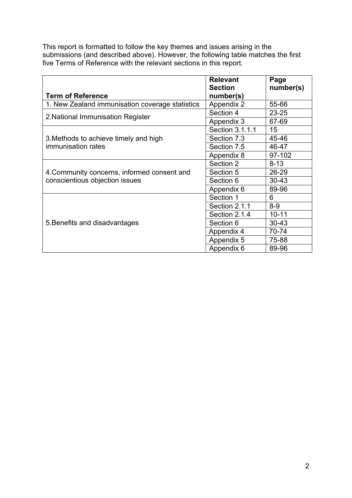This report is formatted to follow the key themes and issues arising in the submissions (and described above). However, the following table matches the first five Terms of Reference with the relevant sections in this report.

|                                                 | <b>Relevant</b>   | Page      |
|-------------------------------------------------|-------------------|-----------|
|                                                 | <b>Section</b>    | number(s) |
| <b>Term of Reference</b>                        | number(s)         |           |
| 1. New Zealand immunisation coverage statistics | <b>Appendix 2</b> | 55-66     |
|                                                 | Section 4         | $23 - 25$ |
| 2. National Immunisation Register               | Appendix 3        | 67-69     |
|                                                 | Section 3.1.1.1   | 15        |
| 3. Methods to achieve timely and high           | Section 7.3       | 45-46     |
| immunisation rates                              | Section 7.5       | 46-47     |
|                                                 | Appendix 8        | 97-102    |
|                                                 | Section 2         | $8 - 13$  |
| 4. Community concerns, informed consent and     | Section 5         | $26 - 29$ |
| conscientious objection issues                  | Section 6         | $30 - 43$ |
|                                                 | Appendix 6        | 89-96     |
|                                                 | Section 1         | 6         |
|                                                 | Section 2.1.1     | $8-9$     |
|                                                 | Section 2.1.4     | $10 - 11$ |
| 5. Benefits and disadvantages                   | Section 6         | $30 - 43$ |
|                                                 | Appendix 4        | 70-74     |
|                                                 | Appendix 5        | 75-88     |
|                                                 | Appendix 6        | 89-96     |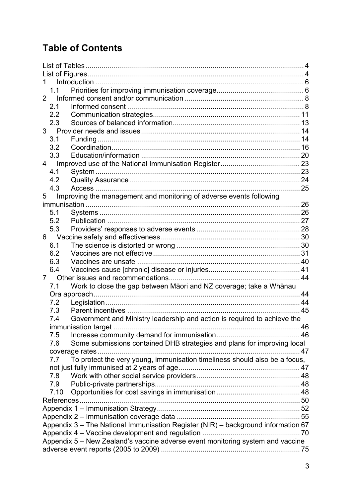# **Table of Contents**

| 1.1            |                                                                                   |  |
|----------------|-----------------------------------------------------------------------------------|--|
| $\overline{2}$ |                                                                                   |  |
| 2.1            |                                                                                   |  |
| 2.2            |                                                                                   |  |
| 2.3            |                                                                                   |  |
| 3 <sup>7</sup> |                                                                                   |  |
| 3.1            |                                                                                   |  |
| 3.2            |                                                                                   |  |
| 3.3            |                                                                                   |  |
| $4 \quad$      |                                                                                   |  |
| 4.1            |                                                                                   |  |
| 4.2            |                                                                                   |  |
| 4.3            |                                                                                   |  |
| 5              | Improving the management and monitoring of adverse events following               |  |
|                |                                                                                   |  |
| 5.1            |                                                                                   |  |
| 5.2            |                                                                                   |  |
| 5.3            |                                                                                   |  |
| 6              |                                                                                   |  |
| 6.1            |                                                                                   |  |
| 6.2            |                                                                                   |  |
| 6.3            |                                                                                   |  |
| 6.4            |                                                                                   |  |
| $\overline{7}$ |                                                                                   |  |
| 7.1            | Work to close the gap between Māori and NZ coverage; take a Whānau                |  |
|                |                                                                                   |  |
|                |                                                                                   |  |
| 7.2            |                                                                                   |  |
| 7.3            |                                                                                   |  |
| 7.4            | Government and Ministry leadership and action is required to achieve the          |  |
|                |                                                                                   |  |
| 7.5            |                                                                                   |  |
| 7.6            | Some submissions contained DHB strategies and plans for improving local           |  |
|                |                                                                                   |  |
| 7.7            | To protect the very young, immunisation timeliness should also be a focus,        |  |
|                |                                                                                   |  |
| 7.8            |                                                                                   |  |
| 7.9            |                                                                                   |  |
| 7.10           |                                                                                   |  |
|                |                                                                                   |  |
|                |                                                                                   |  |
|                |                                                                                   |  |
|                | Appendix 3 - The National Immunisation Register (NIR) - background information 67 |  |
|                |                                                                                   |  |
|                | Appendix 5 - New Zealand's vaccine adverse event monitoring system and vaccine    |  |
|                |                                                                                   |  |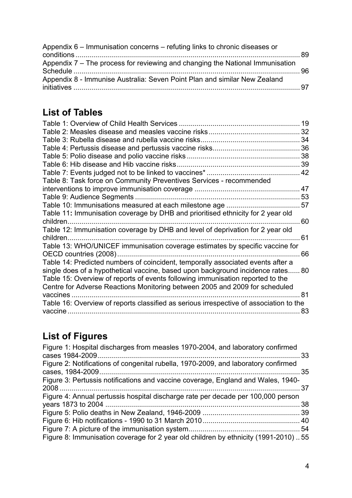| Appendix 6 – Immunisation concerns – refuting links to chronic diseases or    |  |
|-------------------------------------------------------------------------------|--|
| Appendix 7 – The process for reviewing and changing the National Immunisation |  |
| Appendix 8 - Immunise Australia: Seven Point Plan and similar New Zealand     |  |

# <span id="page-3-0"></span>**List of Tables**

| Table 1: Overview of Child Health Services                                             | 19 |
|----------------------------------------------------------------------------------------|----|
|                                                                                        | 32 |
| Table 3: Rubella disease and rubella vaccine risks.                                    | 34 |
|                                                                                        | 36 |
|                                                                                        | 38 |
|                                                                                        |    |
|                                                                                        |    |
| Table 8: Task force on Community Preventives Services - recommended                    |    |
|                                                                                        | 47 |
| Table 9: Audience Segments                                                             |    |
|                                                                                        |    |
| Table 11: Immunisation coverage by DHB and prioritised ethnicity for 2 year old        |    |
| children.                                                                              | 60 |
| Table 12: Immunisation coverage by DHB and level of deprivation for 2 year old         |    |
| children                                                                               | 61 |
| Table 13: WHO/UNICEF immunisation coverage estimates by specific vaccine for           |    |
| OECD countries (2008)                                                                  | 66 |
| Table 14: Predicted numbers of coincident, temporally associated events after a        |    |
| single does of a hypothetical vaccine, based upon background incidence rates 80        |    |
| Table 15: Overview of reports of events following immunisation reported to the         |    |
| Centre for Adverse Reactions Monitoring between 2005 and 2009 for scheduled            |    |
| vaccines                                                                               | 81 |
| Table 16: Overview of reports classified as serious irrespective of association to the |    |
|                                                                                        | 83 |

# <span id="page-3-1"></span>**List of Figures**

| Figure 1: Hospital discharges from measles 1970-2004, and laboratory confirmed       |  |
|--------------------------------------------------------------------------------------|--|
|                                                                                      |  |
| Figure 2: Notifications of congenital rubella, 1970-2009, and laboratory confirmed   |  |
|                                                                                      |  |
| Figure 3: Pertussis notifications and vaccine coverage, England and Wales, 1940-     |  |
|                                                                                      |  |
| Figure 4: Annual pertussis hospital discharge rate per decade per 100,000 person     |  |
|                                                                                      |  |
|                                                                                      |  |
|                                                                                      |  |
|                                                                                      |  |
| Figure 8: Immunisation coverage for 2 year old children by ethnicity (1991-2010). 55 |  |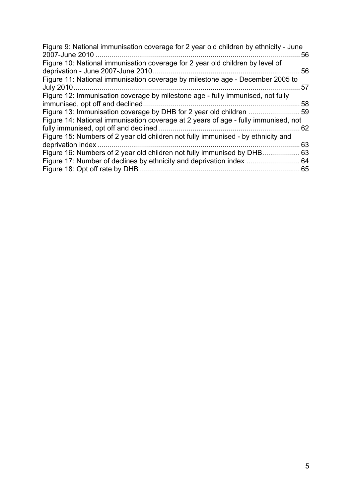| Figure 9: National immunisation coverage for 2 year old children by ethnicity - June<br>2007-June 2010 | 56 |
|--------------------------------------------------------------------------------------------------------|----|
| Figure 10: National immunisation coverage for 2 year old children by level of                          |    |
| deprivation - June 2007-June 2010                                                                      | 56 |
| Figure 11: National immunisation coverage by milestone age - December 2005 to                          |    |
|                                                                                                        | 57 |
| Figure 12: Immunisation coverage by milestone age - fully immunised, not fully                         |    |
| immunised, opt off and declined                                                                        | 58 |
| Figure 13: Immunisation coverage by DHB for 2 year old children 59                                     |    |
| Figure 14: National immunisation coverage at 2 years of age - fully immunised, not                     |    |
|                                                                                                        | 62 |
| Figure 15: Numbers of 2 year old children not fully immunised - by ethnicity and                       |    |
| deprivation index.                                                                                     | 63 |
| Figure 16: Numbers of 2 year old children not fully immunised by DHB                                   | 63 |
| Figure 17: Number of declines by ethnicity and deprivation index                                       | 64 |
| Figure 18: Opt off rate by DHB                                                                         | 65 |
|                                                                                                        |    |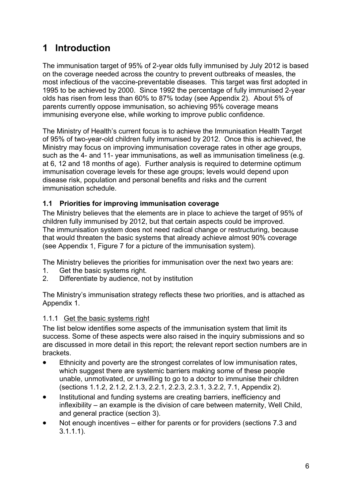# <span id="page-5-0"></span>**1 Introduction**

The immunisation target of 95% of 2-year olds fully immunised by July 2012 is based on the coverage needed across the country to prevent outbreaks of measles, the most infectious of the vaccine-preventable diseases. This target was first adopted in 1995 to be achieved by 2000. Since 1992 the percentage of fully immunised 2-year olds has risen from less than 60% to 87% today (see Appendix 2). About 5% of parents currently oppose immunisation, so achieving 95% coverage means immunising everyone else, while working to improve public confidence.

The Ministry of Health's current focus is to achieve the Immunisation Health Target of 95% of two-year-old children fully immunised by 2012. Once this is achieved, the Ministry may focus on improving immunisation coverage rates in other age groups, such as the 4- and 11- year immunisations, as well as immunisation timeliness (e.g. at 6, 12 and 18 months of age). Further analysis is required to determine optimum immunisation coverage levels for these age groups; levels would depend upon disease risk, population and personal benefits and risks and the current immunisation schedule.

# <span id="page-5-1"></span>**1.1 Priorities for improving immunisation coverage**

The Ministry believes that the elements are in place to achieve the target of 95% of children fully immunised by 2012, but that certain aspects could be improved. The immunisation system does not need radical change or restructuring, because that would threaten the basic systems that already achieve almost 90% coverage (see Appendix 1, Figure 7 for a picture of the immunisation system).

The Ministry believes the priorities for immunisation over the next two years are:

- 1. Get the basic systems right.
- 2. Differentiate by audience, not by institution

The Ministry's immunisation strategy reflects these two priorities, and is attached as Appendix 1.

#### 1.1.1 Get the basic systems right

The list below identifies some aspects of the immunisation system that limit its success. Some of these aspects were also raised in the inquiry submissions and so are discussed in more detail in this report; the relevant report section numbers are in brackets.

- Ethnicity and poverty are the strongest correlates of low immunisation rates, which suggest there are systemic barriers making some of these people unable, unmotivated, or unwilling to go to a doctor to immunise their children (sections 1.1.2, 2.1.2, 2.1.3, 2.2.1, 2.2.3, 2.3.1, 3.2.2, 7.1, Appendix 2).
- Institutional and funding systems are creating barriers, inefficiency and inflexibility – an example is the division of care between maternity, Well Child, and general practice (section 3).
- Not enough incentives either for parents or for providers (sections 7.3 and 3.1.1.1).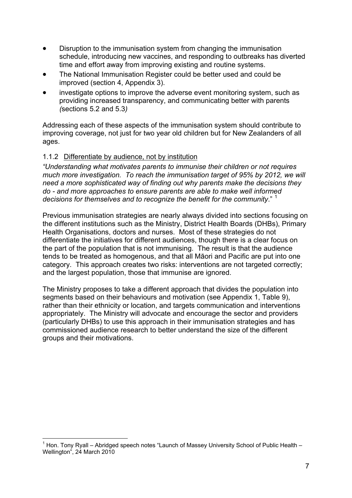- Disruption to the immunisation system from changing the immunisation schedule, introducing new vaccines, and responding to outbreaks has diverted time and effort away from improving existing and routine systems.
- The National Immunisation Register could be better used and could be improved (section 4, Appendix 3).
- investigate options to improve the adverse event monitoring system, such as providing increased transparency, and communicating better with parents *(*sections 5.2 and 5.3*)*

Addressing each of these aspects of the immunisation system should contribute to improving coverage, not just for two year old children but for New Zealanders of all ages.

#### 1.1.2 Differentiate by audience, not by institution

*"Understanding what motivates parents to immunise their children or not requires much more investigation. To reach the immunisation target of 95% by 2012, we will need a more sophisticated way of finding out why parents make the decisions they do - and more approaches to ensure parents are able to make well informed decisions for themselves and to recognize the benefit for the community*." [1](#page-6-0)

Previous immunisation strategies are nearly always divided into sections focusing on the different institutions such as the Ministry, District Health Boards (DHBs), Primary Health Organisations, doctors and nurses. Most of these strategies do not differentiate the initiatives for different audiences, though there is a clear focus on the part of the population that is not immunising. The result is that the audience tends to be treated as homogenous, and that all Māori and Pacific are put into one category. This approach creates two risks: interventions are not targeted correctly; and the largest population, those that immunise are ignored.

The Ministry proposes to take a different approach that divides the population into segments based on their behaviours and motivation (see Appendix 1, Table 9), rather than their ethnicity or location, and targets communication and interventions appropriately. The Ministry will advocate and encourage the sector and providers (particularly DHBs) to use this approach in their immunisation strategies and has commissioned audience research to better understand the size of the different groups and their motivations.

<span id="page-6-0"></span><sup>1</sup>  $1$  Hon. Tony Ryall – Abridged speech notes "Launch of Massey University School of Public Health – Wellington", 24 March 2010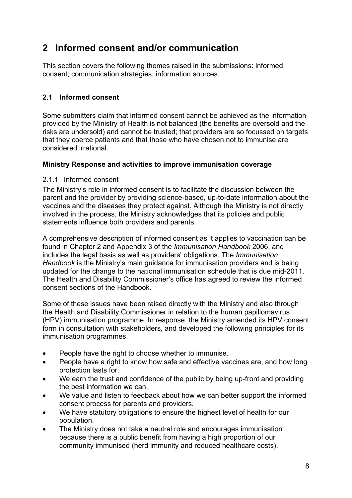# <span id="page-7-0"></span>**2 Informed consent and/or communication**

This section covers the following themes raised in the submissions: informed consent; communication strategies; information sources.

# <span id="page-7-1"></span>**2.1 Informed consent**

Some submitters claim that informed consent cannot be achieved as the information provided by the Ministry of Health is not balanced (the benefits are oversold and the risks are undersold) and cannot be trusted; that providers are so focussed on targets that they coerce patients and that those who have chosen not to immunise are considered irrational.

#### **Ministry Response and activities to improve immunisation coverage**

#### 2.1.1 Informed consent

The Ministry's role in informed consent is to facilitate the discussion between the parent and the provider by providing science-based, up-to-date information about the vaccines and the diseases they protect against. Although the Ministry is not directly involved in the process, the Ministry acknowledges that its policies and public statements influence both providers and parents.

A comprehensive description of informed consent as it applies to vaccination can be found in Chapter 2 and Appendix 3 of the *Immunisation Handbook* 2006, and includes the legal basis as well as providers' obligations. The *Immunisation Handbook* is the Ministry's main guidance for immunisation providers and is being updated for the change to the national immunisation schedule that is due mid-2011. The Health and Disability Commissioner's office has agreed to review the informed consent sections of the Handbook.

Some of these issues have been raised directly with the Ministry and also through the Health and Disability Commissioner in relation to the human papillomavirus (HPV) immunisation programme. In response, the Ministry amended its HPV consent form in consultation with stakeholders, and developed the following principles for its immunisation programmes.

- People have the right to choose whether to immunise.
- People have a right to know how safe and effective vaccines are, and how long protection lasts for.
- We earn the trust and confidence of the public by being up-front and providing the best information we can.
- We value and listen to feedback about how we can better support the informed consent process for parents and providers.
- We have statutory obligations to ensure the highest level of health for our population.
- The Ministry does not take a neutral role and encourages immunisation because there is a public benefit from having a high proportion of our community immunised (herd immunity and reduced healthcare costs).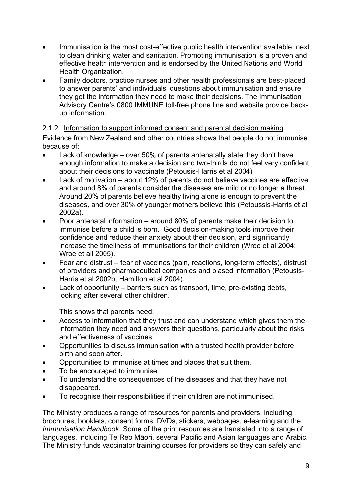- Immunisation is the most cost-effective public health intervention available, next to clean drinking water and sanitation. Promoting immunisation is a proven and effective health intervention and is endorsed by the United Nations and World Health Organization.
- Family doctors, practice nurses and other health professionals are best-placed to answer parents' and individuals' questions about immunisation and ensure they get the information they need to make their decisions. The Immunisation Advisory Centre's 0800 IMMUNE toll-free phone line and website provide backup information.

#### 2.1.2 Information to support informed consent and parental decision making

Evidence from New Zealand and other countries shows that people do not immunise because of:

- Lack of knowledge over 50% of parents antenatally state they don't have enough information to make a decision and two-thirds do not feel very confident about their decisions to vaccinate (Petousis-Harris et al 2004)
- Lack of motivation about 12% of parents do not believe vaccines are effective and around 8% of parents consider the diseases are mild or no longer a threat. Around 20% of parents believe healthy living alone is enough to prevent the diseases, and over 30% of younger mothers believe this (Petoussis-Harris et al 2002a).
- Poor antenatal information around 80% of parents make their decision to immunise before a child is born. Good decision-making tools improve their confidence and reduce their anxiety about their decision, and significantly increase the timeliness of immunisations for their children (Wroe et al 2004; Wroe et all 2005).
- Fear and distrust fear of vaccines (pain, reactions, long-term effects), distrust of providers and pharmaceutical companies and biased information (Petousis-Harris et al 2002b; Hamilton et al 2004).
- Lack of opportunity barriers such as transport, time, pre-existing debts, looking after several other children.

This shows that parents need:

- Access to information that they trust and can understand which gives them the information they need and answers their questions, particularly about the risks and effectiveness of vaccines.
- Opportunities to discuss immunisation with a trusted health provider before birth and soon after.
- Opportunities to immunise at times and places that suit them.
- To be encouraged to immunise.
- To understand the consequences of the diseases and that they have not disappeared.
- To recognise their responsibilities if their children are not immunised.

The Ministry produces a range of resources for parents and providers, including brochures, booklets, consent forms, DVDs, stickers, webpages, e-learning and the *Immunisation Handbook*. Some of the print resources are translated into a range of languages, including Te Reo Māori, several Pacific and Asian languages and Arabic. The Ministry funds vaccinator training courses for providers so they can safely and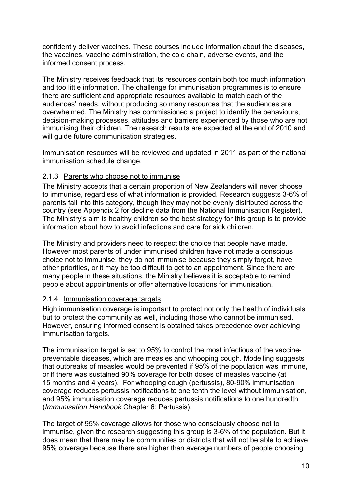confidently deliver vaccines. These courses include information about the diseases, the vaccines, vaccine administration, the cold chain, adverse events, and the informed consent process.

The Ministry receives feedback that its resources contain both too much information and too little information. The challenge for immunisation programmes is to ensure there are sufficient and appropriate resources available to match each of the audiences' needs, without producing so many resources that the audiences are overwhelmed. The Ministry has commissioned a project to identify the behaviours, decision-making processes, attitudes and barriers experienced by those who are not immunising their children. The research results are expected at the end of 2010 and will guide future communication strategies.

Immunisation resources will be reviewed and updated in 2011 as part of the national immunisation schedule change.

#### 2.1.3 Parents who choose not to immunise

The Ministry accepts that a certain proportion of New Zealanders will never choose to immunise, regardless of what information is provided. Research suggests 3-6% of parents fall into this category, though they may not be evenly distributed across the country (see Appendix 2 for decline data from the National Immunisation Register). The Ministry's aim is healthy children so the best strategy for this group is to provide information about how to avoid infections and care for sick children.

The Ministry and providers need to respect the choice that people have made. However most parents of under immunised children have not made a conscious choice not to immunise, they do not immunise because they simply forgot, have other priorities, or it may be too difficult to get to an appointment. Since there are many people in these situations, the Ministry believes it is acceptable to remind people about appointments or offer alternative locations for immunisation.

#### 2.1.4 Immunisation coverage targets

High immunisation coverage is important to protect not only the health of individuals but to protect the community as well, including those who cannot be immunised. However, ensuring informed consent is obtained takes precedence over achieving immunisation targets.

The immunisation target is set to 95% to control the most infectious of the vaccinepreventable diseases, which are measles and whooping cough. Modelling suggests that outbreaks of measles would be prevented if 95% of the population was immune, or if there was sustained 90% coverage for both doses of measles vaccine (at 15 months and 4 years). For whooping cough (pertussis), 80-90% immunisation coverage reduces pertussis notifications to one tenth the level without immunisation, and 95% immunisation coverage reduces pertussis notifications to one hundredth (*Immunisation Handbook* Chapter 6: Pertussis).

The target of 95% coverage allows for those who consciously choose not to immunise, given the research suggesting this group is 3-6% of the population. But it does mean that there may be communities or districts that will not be able to achieve 95% coverage because there are higher than average numbers of people choosing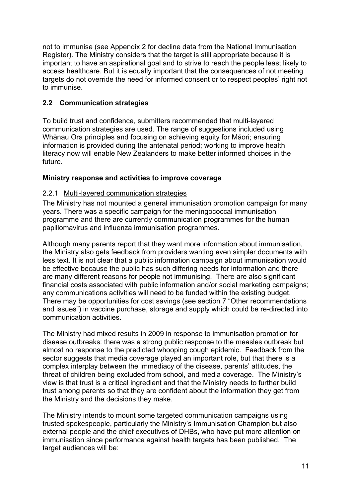not to immunise (see Appendix 2 for decline data from the National Immunisation Register). The Ministry considers that the target is still appropriate because it is important to have an aspirational goal and to strive to reach the people least likely to access healthcare. But it is equally important that the consequences of not meeting targets do not override the need for informed consent or to respect peoples' right not to immunise.

# <span id="page-10-0"></span>**2.2 Communication strategies**

To build trust and confidence, submitters recommended that multi-layered communication strategies are used. The range of suggestions included using Whānau Ora principles and focusing on achieving equity for Māori; ensuring information is provided during the antenatal period; working to improve health literacy now will enable New Zealanders to make better informed choices in the future.

# **Ministry response and activities to improve coverage**

# 2.2.1 Multi-layered communication strategies

The Ministry has not mounted a general immunisation promotion campaign for many years. There was a specific campaign for the meningococcal immunisation programme and there are currently communication programmes for the human papillomavirus and influenza immunisation programmes.

Although many parents report that they want more information about immunisation, the Ministry also gets feedback from providers wanting even simpler documents with less text. It is not clear that a public information campaign about immunisation would be effective because the public has such differing needs for information and there are many different reasons for people not immunising. There are also significant financial costs associated with public information and/or social marketing campaigns; any communications activities will need to be funded within the existing budget. There may be opportunities for cost savings (see section 7 "Other recommendations and issues") in vaccine purchase, storage and supply which could be re-directed into communication activities.

The Ministry had mixed results in 2009 in response to immunisation promotion for disease outbreaks: there was a strong public response to the measles outbreak but almost no response to the predicted whooping cough epidemic. Feedback from the sector suggests that media coverage played an important role, but that there is a complex interplay between the immediacy of the disease, parents' attitudes, the threat of children being excluded from school, and media coverage. The Ministry's view is that trust is a critical ingredient and that the Ministry needs to further build trust among parents so that they are confident about the information they get from the Ministry and the decisions they make.

The Ministry intends to mount some targeted communication campaigns using trusted spokespeople, particularly the Ministry's Immunisation Champion but also external people and the chief executives of DHBs, who have put more attention on immunisation since performance against health targets has been published. The target audiences will be: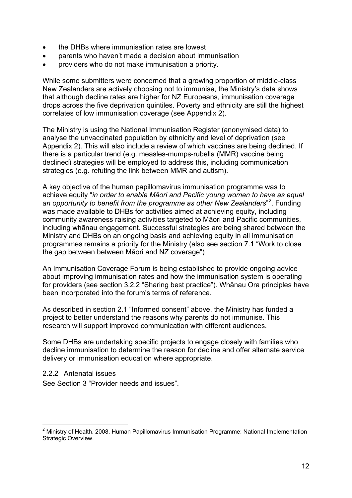- the DHBs where immunisation rates are lowest
- parents who haven't made a decision about immunisation
- providers who do not make immunisation a priority.

While some submitters were concerned that a growing proportion of middle-class New Zealanders are actively choosing not to immunise, the Ministry's data shows that although decline rates are higher for NZ Europeans, immunisation coverage drops across the five deprivation quintiles. Poverty and ethnicity are still the highest correlates of low immunisation coverage (see Appendix 2).

The Ministry is using the National Immunisation Register (anonymised data) to analyse the unvaccinated population by ethnicity and level of deprivation (see Appendix 2). This will also include a review of which vaccines are being declined. If there is a particular trend (e.g. measles-mumps-rubella (MMR) vaccine being declined) strategies will be employed to address this, including communication strategies (e.g. refuting the link between MMR and autism).

A key objective of the human papillomavirus immunisation programme was to achieve equity "*in order to enable Māori and Pacific young women to have as equal*  an opportunity to benefit from the programme as other New Zealanders"<sup>[2](#page-11-0)</sup>. Funding was made available to DHBs for activities aimed at achieving equity, including community awareness raising activities targeted to Māori and Pacific communities, including whānau engagement. Successful strategies are being shared between the Ministry and DHBs on an ongoing basis and achieving equity in all immunisation programmes remains a priority for the Ministry (also see section 7.1 "Work to close the gap between between Māori and NZ coverage")

An Immunisation Coverage Forum is being established to provide ongoing advice about improving immunisation rates and how the immunisation system is operating for providers (see section 3.2.2 "Sharing best practice"). Whānau Ora principles have been incorporated into the forum's terms of reference.

As described in section 2.1 "Informed consent" above, the Ministry has funded a project to better understand the reasons why parents do not immunise. This research will support improved communication with different audiences.

Some DHBs are undertaking specific projects to engage closely with families who decline immunisation to determine the reason for decline and offer alternate service delivery or immunisation education where appropriate.

#### 2.2.2 Antenatal issues

See Section 3 "Provider needs and issues".

<span id="page-11-0"></span>\_\_\_\_\_\_\_\_\_\_\_\_\_\_\_\_\_\_\_\_\_\_\_\_\_\_\_\_\_\_\_\_\_\_\_\_<br><sup>2</sup> Ministry of Health. 2008. Human Papillomavirus Immunisation Programme: National Implementation Strategic Overview.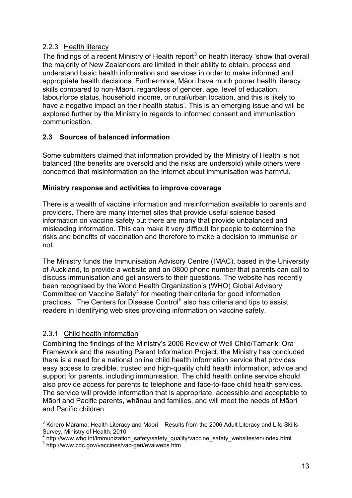# 2.2.3 Health literacy

The findings of a recent Ministry of Health report<sup>[3](#page-12-1)</sup> on health literacy 'show that overall the majority of New Zealanders are limited in their ability to obtain, process and understand basic health information and services in order to make informed and appropriate health decisions. Furthermore, Māori have much poorer health literacy skills compared to non-Māori, regardless of gender, age, level of education, labourforce status, household income, or rural/urban location, and this is likely to have a negative impact on their health status'. This is an emerging issue and will be explored further by the Ministry in regards to informed consent and immunisation communication.

# <span id="page-12-0"></span>**2.3 Sources of balanced information**

Some submitters claimed that information provided by the Ministry of Health is not balanced (the benefits are oversold and the risks are undersold) while others were concerned that misinformation on the internet about immunisation was harmful.

#### **Ministry response and activities to improve coverage**

There is a wealth of vaccine information and misinformation available to parents and providers. There are many internet sites that provide useful science based information on vaccine safety but there are many that provide unbalanced and misleading information. This can make it very difficult for people to determine the risks and benefits of vaccination and therefore to make a decision to immunise or not.

The Ministry funds the Immunisation Advisory Centre (IMAC), based in the University of Auckland, to provide a website and an 0800 phone number that parents can call to discuss immunisation and get answers to their questions. The website has recently been recognised by the World Health Organization's (WHO) Global Advisory Committee on Vaccine Safety $4$  for meeting their criteria for good information practices. The Centers for Disease Control<sup>[5](#page-12-3)</sup> also has criteria and tips to assist readers in identifying web sites providing information on vaccine safety.

#### 2.3.1 Child health information

Combining the findings of the Ministry's 2006 Review of Well Child/Tamariki Ora Framework and the resulting Parent Information Project, the Ministry has concluded there is a need for a national online child health information service that provides easy access to credible, trusted and high-quality child health information, advice and support for parents, including immunisation. The child health online service should also provide access for parents to telephone and face-to-face child health services. The service will provide information that is appropriate, accessible and acceptable to Māori and Pacific parents, whānau and families, and will meet the needs of Māori and Pacific children.

<sup>1</sup>  $3$  Kōrero Mārama: Health Literacy and Māori – Results from the 2006 Adult Literacy and Life Skills

<span id="page-12-1"></span>Survey, Ministry of Health, 2010<br><sup>4</sup> http://www.who.int/immunization\_safety/safety\_quality/vaccine\_safety\_websites/en/index.html<br><sup>5</sup> http://www.gde.gov/vaccines/vac.gor/oughupbe.htm

<span id="page-12-3"></span><span id="page-12-2"></span>http://www.cdc.gov/vaccines/vac-gen/evalwebs.htm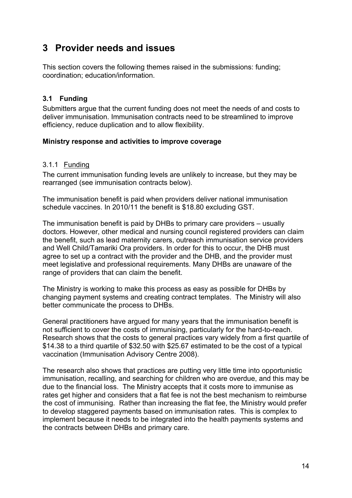# <span id="page-13-0"></span>**3 Provider needs and issues**

This section covers the following themes raised in the submissions: funding; coordination; education/information.

#### <span id="page-13-1"></span>**3.1 Funding**

Submitters argue that the current funding does not meet the needs of and costs to deliver immunisation. Immunisation contracts need to be streamlined to improve efficiency, reduce duplication and to allow flexibility.

#### **Ministry response and activities to improve coverage**

#### 3.1.1 Funding

The current immunisation funding levels are unlikely to increase, but they may be rearranged (see immunisation contracts below).

The immunisation benefit is paid when providers deliver national immunisation schedule vaccines. In 2010/11 the benefit is \$18.80 excluding GST.

The immunisation benefit is paid by DHBs to primary care providers – usually doctors. However, other medical and nursing council registered providers can claim the benefit, such as lead maternity carers, outreach immunisation service providers and Well Child/Tamariki Ora providers. In order for this to occur, the DHB must agree to set up a contract with the provider and the DHB, and the provider must meet legislative and professional requirements. Many DHBs are unaware of the range of providers that can claim the benefit.

The Ministry is working to make this process as easy as possible for DHBs by changing payment systems and creating contract templates. The Ministry will also better communicate the process to DHBs.

General practitioners have argued for many years that the immunisation benefit is not sufficient to cover the costs of immunising, particularly for the hard-to-reach. Research shows that the costs to general practices vary widely from a first quartile of \$14.38 to a third quartile of \$32.50 with \$25.67 estimated to be the cost of a typical vaccination (Immunisation Advisory Centre 2008).

The research also shows that practices are putting very little time into opportunistic immunisation, recalling, and searching for children who are overdue, and this may be due to the financial loss. The Ministry accepts that it costs more to immunise as rates get higher and considers that a flat fee is not the best mechanism to reimburse the cost of immunising. Rather than increasing the flat fee, the Ministry would prefer to develop staggered payments based on immunisation rates. This is complex to implement because it needs to be integrated into the health payments systems and the contracts between DHBs and primary care.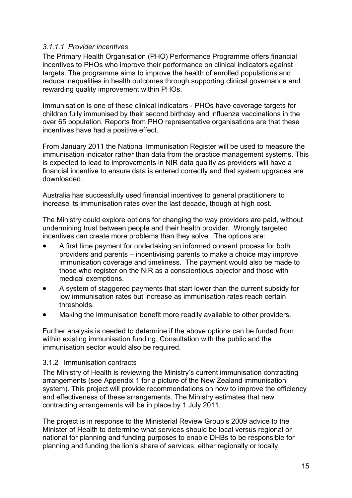#### *3.1.1.1 Provider incentives*

The Primary Health Organisation (PHO) Performance Programme offers financial incentives to PHOs who improve their performance on clinical indicators against targets. The programme aims to improve the health of enrolled populations and reduce inequalities in health outcomes through supporting clinical governance and rewarding quality improvement within PHOs.

Immunisation is one of these clinical indicators - PHOs have coverage targets for children fully immunised by their second birthday and influenza vaccinations in the over 65 population. Reports from PHO representative organisations are that these incentives have had a positive effect.

From January 2011 the National Immunisation Register will be used to measure the immunisation indicator rather than data from the practice management systems. This is expected to lead to improvements in NIR data quality as providers will have a financial incentive to ensure data is entered correctly and that system upgrades are downloaded.

Australia has successfully used financial incentives to general practitioners to increase its immunisation rates over the last decade, though at high cost.

The Ministry could explore options for changing the way providers are paid, without undermining trust between people and their health provider. Wrongly targeted incentives can create more problems than they solve. The options are:

- A first time payment for undertaking an informed consent process for both providers and parents – incentivising parents to make a choice may improve immunisation coverage and timeliness. The payment would also be made to those who register on the NIR as a conscientious objector and those with medical exemptions.
- A system of staggered payments that start lower than the current subsidy for low immunisation rates but increase as immunisation rates reach certain thresholds.
- Making the immunisation benefit more readily available to other providers.

Further analysis is needed to determine if the above options can be funded from within existing immunisation funding. Consultation with the public and the immunisation sector would also be required.

#### 3.1.2 Immunisation contracts

The Ministry of Health is reviewing the Ministry's current immunisation contracting arrangements (see Appendix 1 for a picture of the New Zealand immunisation system). This project will provide recommendations on how to improve the efficiency and effectiveness of these arrangements. The Ministry estimates that new contracting arrangements will be in place by 1 July 2011.

The project is in response to the Ministerial Review Group's 2009 advice to the Minister of Health to determine what services should be local versus regional or national for planning and funding purposes to enable DHBs to be responsible for planning and funding the lion's share of services, either regionally or locally.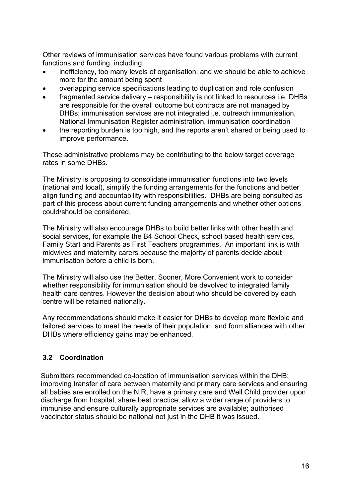Other reviews of immunisation services have found various problems with current functions and funding, including:

- inefficiency, too many levels of organisation; and we should be able to achieve more for the amount being spent
- overlapping service specifications leading to duplication and role confusion
- fragmented service delivery responsibility is not linked to resources i.e. DHBs are responsible for the overall outcome but contracts are not managed by DHBs; immunisation services are not integrated i.e. outreach immunisation, National Immunisation Register administration, immunisation coordination
- the reporting burden is too high, and the reports aren't shared or being used to improve performance.

These administrative problems may be contributing to the below target coverage rates in some DHBs.

The Ministry is proposing to consolidate immunisation functions into two levels (national and local), simplify the funding arrangements for the functions and better align funding and accountability with responsibilities. DHBs are being consulted as part of this process about current funding arrangements and whether other options could/should be considered.

The Ministry will also encourage DHBs to build better links with other health and social services, for example the B4 School Check, school based health services, Family Start and Parents as First Teachers programmes. An important link is with midwives and maternity carers because the majority of parents decide about immunisation before a child is born.

The Ministry will also use the Better, Sooner, More Convenient work to consider whether responsibility for immunisation should be devolved to integrated family health care centres. However the decision about who should be covered by each centre will be retained nationally.

Any recommendations should make it easier for DHBs to develop more flexible and tailored services to meet the needs of their population, and form alliances with other DHBs where efficiency gains may be enhanced.

#### <span id="page-15-0"></span>**3.2 Coordination**

Submitters recommended co-location of immunisation services within the DHB; improving transfer of care between maternity and primary care services and ensuring all babies are enrolled on the NIR, have a primary care and Well Child provider upon discharge from hospital; share best practice; allow a wider range of providers to immunise and ensure culturally appropriate services are available; authorised vaccinator status should be national not just in the DHB it was issued.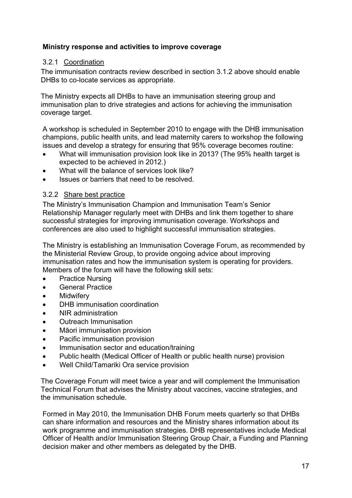#### **Ministry response and activities to improve coverage**

### 3.2.1 Coordination

The immunisation contracts review described in section 3.1.2 above should enable DHBs to co-locate services as appropriate.

The Ministry expects all DHBs to have an immunisation steering group and immunisation plan to drive strategies and actions for achieving the immunisation coverage target.

A workshop is scheduled in September 2010 to engage with the DHB immunisation champions, public health units, and lead maternity carers to workshop the following issues and develop a strategy for ensuring that 95% coverage becomes routine:

- What will immunisation provision look like in 2013? (The 95% health target is expected to be achieved in 2012.)
- What will the balance of services look like?
- Issues or barriers that need to be resolved.

#### 3.2.2 Share best practice

The Ministry's Immunisation Champion and Immunisation Team's Senior Relationship Manager regularly meet with DHBs and link them together to share successful strategies for improving immunisation coverage. Workshops and conferences are also used to highlight successful immunisation strategies.

The Ministry is establishing an Immunisation Coverage Forum, as recommended by the Ministerial Review Group, to provide ongoing advice about improving immunisation rates and how the immunisation system is operating for providers. Members of the forum will have the following skill sets:

- Practice Nursing
- General Practice
- Midwifery
- DHB immunisation coordination
- NIR administration
- Outreach Immunisation
- Māori immunisation provision
- Pacific immunisation provision
- Immunisation sector and education/training
- Public health (Medical Officer of Health or public health nurse) provision
- Well Child/Tamariki Ora service provision

The Coverage Forum will meet twice a year and will complement the Immunisation Technical Forum that advises the Ministry about vaccines, vaccine strategies, and the immunisation schedule.

Formed in May 2010, the Immunisation DHB Forum meets quarterly so that DHBs can share information and resources and the Ministry shares information about its work programme and immunisation strategies. DHB representatives include Medical Officer of Health and/or Immunisation Steering Group Chair, a Funding and Planning decision maker and other members as delegated by the DHB.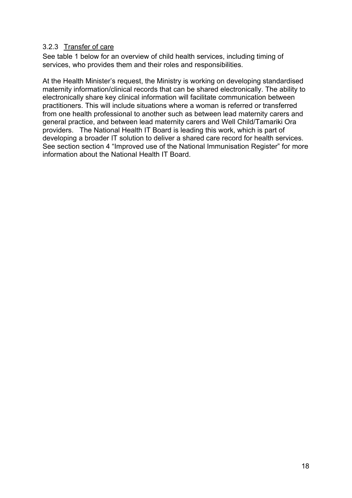### 3.2.3 Transfer of care

See table 1 below for an overview of child health services, including timing of services, who provides them and their roles and responsibilities.

At the Health Minister's request, the Ministry is working on developing standardised maternity information/clinical records that can be shared electronically. The ability to electronically share key clinical information will facilitate communication between practitioners. This will include situations where a woman is referred or transferred from one health professional to another such as between lead maternity carers and general practice, and between lead maternity carers and Well Child/Tamariki Ora providers. The National Health IT Board is leading this work, which is part of developing a broader IT solution to deliver a shared care record for health services. See section section 4 "Improved use of the National Immunisation Register" for more information about the National Health IT Board.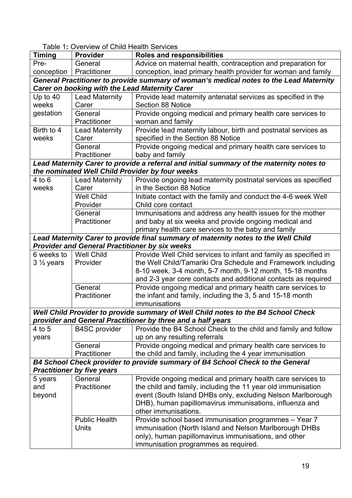<span id="page-18-0"></span>

| Table 1: Overview of Child Health Services |                                   |                                                                                            |  |
|--------------------------------------------|-----------------------------------|--------------------------------------------------------------------------------------------|--|
| <b>Timing</b>                              | <b>Provider</b>                   | <b>Roles and responsibilities</b>                                                          |  |
| Pre-                                       | General                           | Advice on maternal health, contraception and preparation for                               |  |
| conception                                 | Practitioner                      | conception, lead primary health provider for woman and family                              |  |
|                                            |                                   | General Practitioner to provide summary of woman's medical notes to the Lead Maternity     |  |
|                                            |                                   | <b>Carer on booking with the Lead Maternity Carer</b>                                      |  |
| Up to $40$                                 | <b>Lead Maternity</b>             | Provide lead maternity antenatal services as specified in the                              |  |
| weeks                                      | Carer                             | Section 88 Notice                                                                          |  |
| gestation                                  | General                           | Provide ongoing medical and primary health care services to                                |  |
|                                            | Practitioner                      | woman and family                                                                           |  |
| Birth to 4                                 | <b>Lead Maternity</b>             | Provide lead maternity labour, birth and postnatal services as                             |  |
| weeks                                      | Carer                             | specified in the Section 88 Notice                                                         |  |
|                                            | General                           | Provide ongoing medical and primary health care services to                                |  |
|                                            | Practitioner                      | baby and family                                                                            |  |
|                                            |                                   | Lead Maternity Carer to provide a referral and initial summary of the maternity notes to   |  |
|                                            |                                   | the nominated Well Child Provider by four weeks                                            |  |
| $4$ to $6$<br>weeks                        | <b>Lead Maternity</b><br>Carer    | Provide ongoing lead maternity postnatal services as specified<br>in the Section 88 Notice |  |
|                                            | <b>Well Child</b>                 | Initiate contact with the family and conduct the 4-6 week Well                             |  |
|                                            | Provider                          | Child core contact                                                                         |  |
|                                            | General                           | Immunisations and address any health issues for the mother                                 |  |
|                                            | Practitioner                      | and baby at six weeks and provide ongoing medical and                                      |  |
|                                            |                                   | primary health care services to the baby and family                                        |  |
|                                            |                                   | Lead Maternity Carer to provide final summary of maternity notes to the Well Child         |  |
|                                            |                                   | <b>Provider and General Practitioner by six weeks</b>                                      |  |
| 6 weeks to                                 | <b>Well Child</b>                 | Provide Well Child services to infant and family as specified in                           |  |
| $3\frac{1}{2}$ years                       | Provider                          | the Well Child/Tamariki Ora Schedule and Framework including                               |  |
|                                            |                                   | 8-10 week, 3-4 month, 5-7 month, 9-12 month, 15-18 months                                  |  |
|                                            |                                   | and 2-3 year core contacts and additional contacts as required                             |  |
|                                            | General                           | Provide ongoing medical and primary health care services to                                |  |
|                                            | Practitioner                      | the infant and family, including the 3, 5 and 15-18 month                                  |  |
|                                            |                                   | immunisations                                                                              |  |
|                                            |                                   | Well Child Provider to provide summary of Well Child notes to the B4 School Check          |  |
|                                            |                                   | provider and General Practitioner by three and a half years                                |  |
| 4 to 5                                     | <b>B4SC</b> provider              | Provide the B4 School Check to the child and family and follow                             |  |
| years                                      |                                   | up on any resulting referrals                                                              |  |
|                                            | General                           | Provide ongoing medical and primary health care services to                                |  |
|                                            | Practitioner                      | the child and family, including the 4 year immunisation                                    |  |
|                                            |                                   | B4 School Check provider to provide summary of B4 School Check to the General              |  |
|                                            | <b>Practitioner by five years</b> |                                                                                            |  |
| 5 years                                    | General<br>Practitioner           | Provide ongoing medical and primary health care services to                                |  |
| and                                        |                                   | the child and family, including the 11 year old immunisation                               |  |
| beyond                                     |                                   | event (South Island DHBs only, excluding Nelson Marlborough                                |  |
|                                            |                                   | DHB), human papillomavirus immunisations, influenza and<br>other immunisations.            |  |
|                                            | <b>Public Health</b>              | Provide school based immunisation programmes - Year 7                                      |  |
|                                            | Units                             | immunisation (North Island and Nelson Marlborough DHBs                                     |  |
|                                            |                                   | only), human papillomavirus immunisations, and other                                       |  |
|                                            |                                   | immunisation programmes as required.                                                       |  |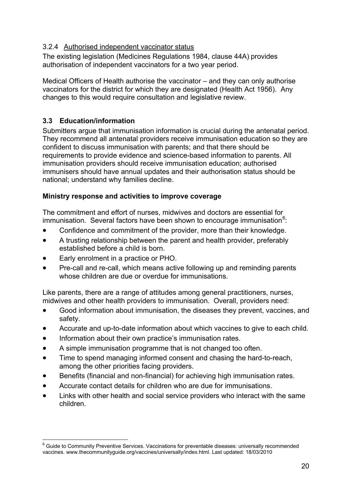# 3.2.4 Authorised independent vaccinator status

The existing legislation (Medicines Regulations 1984, clause 44A) provides authorisation of independent vaccinators for a two year period.

Medical Officers of Health authorise the vaccinator – and they can only authorise vaccinators for the district for which they are designated (Health Act 1956). Any changes to this would require consultation and legislative review.

# <span id="page-19-0"></span>**3.3 Education/information**

Submitters argue that immunisation information is crucial during the antenatal period. They recommend all antenatal providers receive immunisation education so they are confident to discuss immunisation with parents; and that there should be requirements to provide evidence and science-based information to parents. All immunisation providers should receive immunisation education; authorised immunisers should have annual updates and their authorisation status should be national; understand why families decline.

# **Ministry response and activities to improve coverage**

The commitment and effort of nurses, midwives and doctors are essential for immunisation. Several factors have been shown to encourage immunisation $6$ :

- Confidence and commitment of the provider, more than their knowledge.
- A trusting relationship between the parent and health provider, preferably established before a child is born.
- Early enrolment in a practice or PHO.
- Pre-call and re-call, which means active following up and reminding parents whose children are due or overdue for immunisations.

Like parents, there are a range of attitudes among general practitioners, nurses, midwives and other health providers to immunisation. Overall, providers need:

- Good information about immunisation, the diseases they prevent, vaccines, and safety.
- Accurate and up-to-date information about which vaccines to give to each child.
- Information about their own practice's immunisation rates.
- A simple immunisation programme that is not changed too often.
- Time to spend managing informed consent and chasing the hard-to-reach, among the other priorities facing providers.
- Benefits (financial and non-financial) for achieving high immunisation rates.
- Accurate contact details for children who are due for immunisations.
- Links with other health and social service providers who interact with the same children.

<span id="page-19-1"></span> 6 Guide to Community Preventive Services. Vaccinations for preventable diseases: universally recommended vaccines. www.thecommunityguide.org/vaccines/universally/index.html. Last updated: 18/03/2010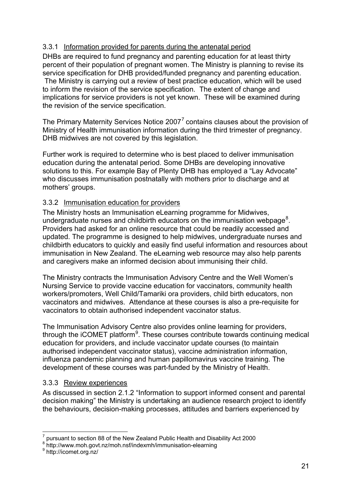### 3.3.1 Information provided for parents during the antenatal period

DHBs are required to fund pregnancy and parenting education for at least thirty percent of their population of pregnant women. The Ministry is planning to revise its service specification for DHB provided/funded pregnancy and parenting education. The Ministry is carrying out a review of best practice education, which will be used to inform the revision of the service specification. The extent of change and implications for service providers is not yet known. These will be examined during the revision of the service specification.

The Primary Maternity Services Notice 200[7](#page-20-0)<sup>7</sup> contains clauses about the provision of Ministry of Health immunisation information during the third trimester of pregnancy. DHB midwives are not covered by this legislation.

Further work is required to determine who is best placed to deliver immunisation education during the antenatal period. Some DHBs are developing innovative solutions to this. For example Bay of Plenty DHB has employed a "Lay Advocate" who discusses immunisation postnatally with mothers prior to discharge and at mothers' groups.

#### 3.3.2 Immunisation education for providers

The Ministry hosts an Immunisation eLearning programme for Midwives, undergraduate nurses and childbirth educators on the immunisation webpage<sup>[8](#page-20-1)</sup>. Providers had asked for an online resource that could be readily accessed and updated. The programme is designed to help midwives, undergraduate nurses and childbirth educators to quickly and easily find useful information and resources about immunisation in New Zealand. The eLearning web resource may also help parents and caregivers make an informed decision about immunising their child.

The Ministry contracts the Immunisation Advisory Centre and the Well Women's Nursing Service to provide vaccine education for vaccinators, community health workers/promoters, Well Child/Tamariki ora providers, child birth educators, non vaccinators and midwives. Attendance at these courses is also a pre-requisite for vaccinators to obtain authorised independent vaccinator status.

The Immunisation Advisory Centre also provides online learning for providers, through the iCOMET platform<sup>[9](#page-20-2)</sup>. These courses contribute towards continuing medical education for providers, and include vaccinator update courses (to maintain authorised independent vaccinator status), vaccine administration information, influenza pandemic planning and human papillomavirus vaccine training. The development of these courses was part-funded by the Ministry of Health.

#### 3.3.3 Review experiences

As discussed in section 2.1.2 "Information to support informed consent and parental decision making" the Ministry is undertaking an audience research project to identify the behaviours, decision-making processes, attitudes and barriers experienced by

<sup>1</sup> 7 pursuant to section 88 of the New Zealand Public Health and Disability Act 2000 8

<span id="page-20-1"></span><span id="page-20-0"></span>http://www.moh.govt.nz/moh.nsf/indexmh/immunisation-elearning

<span id="page-20-2"></span><sup>&</sup>lt;sup>9</sup> http://icomet.org.nz/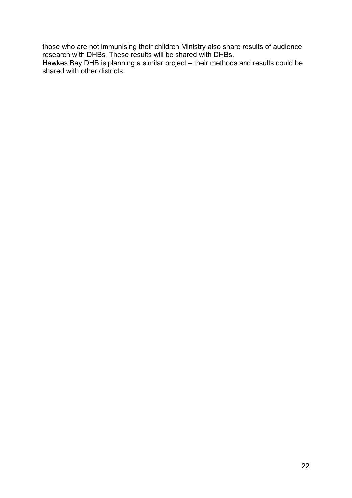those who are not immunising their children Ministry also share results of audience research with DHBs. These results will be shared with DHBs.

Hawkes Bay DHB is planning a similar project – their methods and results could be shared with other districts.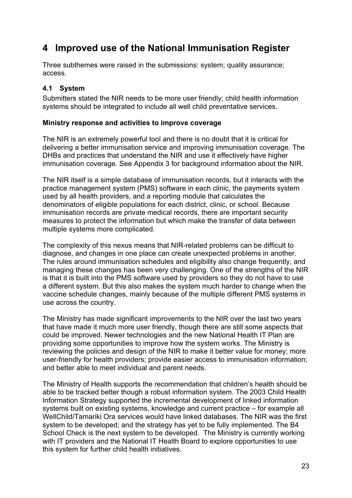# <span id="page-22-0"></span>**4 Improved use of the National Immunisation Register**

Three subthemes were raised in the submissions: system; quality assurance; access.

### <span id="page-22-1"></span>**4.1 System**

Submitters stated the NIR needs to be more user friendly; child health information systems should be integrated to include all well child preventative services.

#### **Ministry response and activities to improve coverage**

The NIR is an extremely powerful tool and there is no doubt that it is critical for delivering a better immunisation service and improving immunisation coverage. The DHBs and practices that understand the NIR and use it effectively have higher immunisation coverage. See Appendix 3 for background information about the NIR.

The NIR itself is a simple database of immunisation records, but it interacts with the practice management system (PMS) software in each clinic, the payments system used by all health providers, and a reporting module that calculates the denominators of eligible populations for each district, clinic, or school. Because immunisation records are private medical records, there are important security measures to protect the information but which make the transfer of data between multiple systems more complicated.

The complexity of this nexus means that NIR-related problems can be difficult to diagnose, and changes in one place can create unexpected problems in another. The rules around immunisation schedules and eligibility also change frequently, and managing these changes has been very challenging. One of the strengths of the NIR is that it is built into the PMS software used by providers so they do not have to use a different system. But this also makes the system much harder to change when the vaccine schedule changes, mainly because of the multiple different PMS systems in use across the country.

The Ministry has made significant improvements to the NIR over the last two years that have made it much more user friendly, though there are still some aspects that could be improved. Newer technologies and the new National Health IT Plan are providing some opportunities to improve how the system works. The Ministry is reviewing the policies and design of the NIR to make it better value for money; more user-friendly for health providers; provide easier access to immunisation information; and better able to meet individual and parent needs.

The Ministry of Health supports the recommendation that children's health should be able to be tracked better though a robust information system. The 2003 Child Health Information Strategy supported the incremental development of linked information systems built on existing systems, knowledge and current practice – for example all WellChild/Tamariki Ora services would have linked databases. The NIR was the first system to be developed; and the strategy has yet to be fully implemented. The B4 School Check is the next system to be developed. The Ministry is currently working with IT providers and the National IT Health Board to explore opportunities to use this system for further child health initiatives.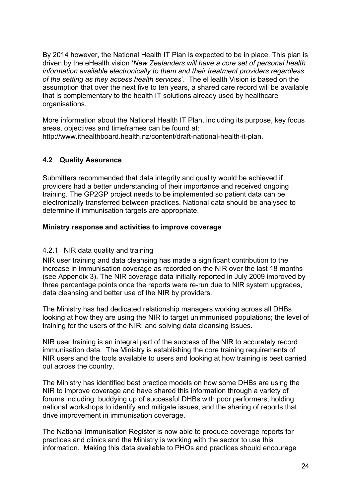By 2014 however, the National Health IT Plan is expected to be in place. This plan is driven by the eHealth vision '*New Zealanders will have a core set of personal health information available electronically to them and their treatment providers regardless of the setting as they access health services*'. The eHealth Vision is based on the assumption that over the next five to ten years, a shared care record will be available that is complementary to the health IT solutions already used by healthcare organisations.

More information about the National Health IT Plan, including its purpose, key focus areas, objectives and timeframes can be found at: http://www.ithealthboard.health.nz/content/draft-national-health-it-plan.

# <span id="page-23-0"></span>**4.2 Quality Assurance**

Submitters recommended that data integrity and quality would be achieved if providers had a better understanding of their importance and received ongoing training. The GP2GP project needs to be implemented so patient data can be electronically transferred between practices. National data should be analysed to determine if immunisation targets are appropriate.

#### **Ministry response and activities to improve coverage**

#### 4.2.1 NIR data quality and training

NIR user training and data cleansing has made a significant contribution to the increase in immunisation coverage as recorded on the NIR over the last 18 months (see Appendix 3). The NIR coverage data initially reported in July 2009 improved by three percentage points once the reports were re-run due to NIR system upgrades, data cleansing and better use of the NIR by providers.

The Ministry has had dedicated relationship managers working across all DHBs looking at how they are using the NIR to target unimmunised populations; the level of training for the users of the NIR; and solving data cleansing issues.

NIR user training is an integral part of the success of the NIR to accurately record immunisation data. The Ministry is establishing the core training requirements of NIR users and the tools available to users and looking at how training is best carried out across the country.

The Ministry has identified best practice models on how some DHBs are using the NIR to improve coverage and have shared this information through a variety of forums including: buddying up of successful DHBs with poor performers; holding national workshops to identify and mitigate issues; and the sharing of reports that drive improvement in immunisation coverage.

The National Immunisation Register is now able to produce coverage reports for practices and clinics and the Ministry is working with the sector to use this information. Making this data available to PHOs and practices should encourage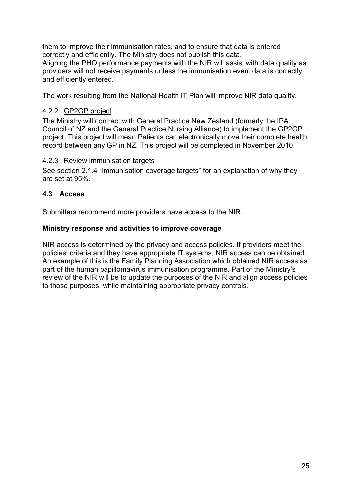them to improve their immunisation rates, and to ensure that data is entered correctly and efficiently. The Ministry does not publish this data. Aligning the PHO performance payments with the NIR will assist with data quality as providers will not receive payments unless the immunisation event data is correctly and efficiently entered.

The work resulting from the National Health IT Plan will improve NIR data quality.

#### 4.2.2 GP2GP project

The Ministry will contract with General Practice New Zealand (formerly the IPA Council of NZ and the General Practice Nursing Alliance) to implement the GP2GP project. This project will mean Patients can electronically move their complete health record between any GP in NZ. This project will be completed in November 2010.

#### 4.2.3 Review immunisation targets

See section 2.1.4 "Immunisation coverage targets" for an explanation of why they are set at 95%.

#### <span id="page-24-0"></span>**4.3 Access**

Submitters recommend more providers have access to the NIR.

#### **Ministry response and activities to improve coverage**

NIR access is determined by the privacy and access policies. If providers meet the policies' criteria and they have appropriate IT systems, NIR access can be obtained. An example of this is the Family Planning Association which obtained NIR access as part of the human papillomavirus immunisation programme. Part of the Ministry's review of the NIR will be to update the purposes of the NIR and align access policies to those purposes, while maintaining appropriate privacy controls.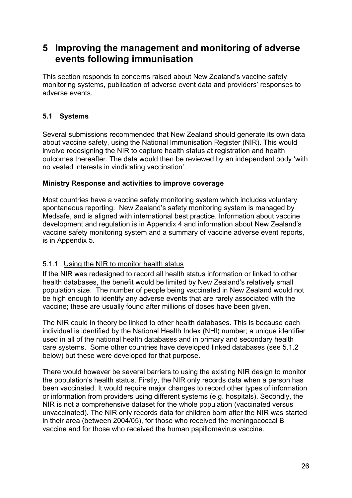# <span id="page-25-0"></span>**5 Improving the management and monitoring of adverse events following immunisation**

This section responds to concerns raised about New Zealand's vaccine safety monitoring systems, publication of adverse event data and providers' responses to adverse events.

# <span id="page-25-1"></span>**5.1 Systems**

Several submissions recommended that New Zealand should generate its own data about vaccine safety, using the National Immunisation Register (NIR). This would involve redesigning the NIR to capture health status at registration and health outcomes thereafter. The data would then be reviewed by an independent body 'with no vested interests in vindicating vaccination'.

#### **Ministry Response and activities to improve coverage**

Most countries have a vaccine safety monitoring system which includes voluntary spontaneous reporting. New Zealand's safety monitoring system is managed by Medsafe, and is aligned with international best practice. Information about vaccine development and regulation is in Appendix 4 and information about New Zealand's vaccine safety monitoring system and a summary of vaccine adverse event reports, is in Appendix 5.

#### 5.1.1 Using the NIR to monitor health status

If the NIR was redesigned to record all health status information or linked to other health databases, the benefit would be limited by New Zealand's relatively small population size. The number of people being vaccinated in New Zealand would not be high enough to identify any adverse events that are rarely associated with the vaccine; these are usually found after millions of doses have been given.

The NIR could in theory be linked to other health databases. This is because each individual is identified by the National Health Index (NHI) number; a unique identifier used in all of the national health databases and in primary and secondary health care systems. Some other countries have developed linked databases (see 5.1.2 below) but these were developed for that purpose.

There would however be several barriers to using the existing NIR design to monitor the population's health status. Firstly, the NIR only records data when a person has been vaccinated. It would require major changes to record other types of information or information from providers using different systems (e.g. hospitals). Secondly, the NIR is not a comprehensive dataset for the whole population (vaccinated versus unvaccinated). The NIR only records data for children born after the NIR was started in their area (between 2004/05), for those who received the meningococcal B vaccine and for those who received the human papillomavirus vaccine.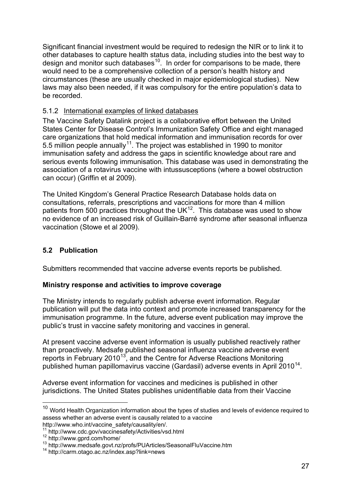Significant financial investment would be required to redesign the NIR or to link it to other databases to capture health status data, including studies into the best way to design and monitor such databases<sup>10</sup>. In order for comparisons to be made, there would need to be a comprehensive collection of a person's health history and circumstances (these are usually checked in major epidemiological studies). New laws may also been needed, if it was compulsory for the entire population's data to be recorded.

### 5.1.2 International examples of linked databases

The Vaccine Safety Datalink project is a collaborative effort between the United States Center for Disease Control's Immunization Safety Office and eight managed care organizations that hold medical information and immunisation records for over 5.5 million people annually<sup>11</sup>. The project was established in 1990 to monitor immunisation safety and address the gaps in scientific knowledge about rare and serious events following immunisation. This database was used in demonstrating the association of a rotavirus vaccine with intussusceptions (where a bowel obstruction can occur) (Griffin et al 2009).

The United Kingdom's General Practice Research Database holds data on consultations, referrals, prescriptions and vaccinations for more than 4 million patients from 500 practices throughout the UK<sup>[12](#page-26-3)</sup>. This database was used to show no evidence of an increased risk of Guillain-Barré syndrome after seasonal influenza vaccination (Stowe et al 2009).

# <span id="page-26-0"></span>**5.2 Publication**

Submitters recommended that vaccine adverse events reports be published.

#### **Ministry response and activities to improve coverage**

The Ministry intends to regularly publish adverse event information. Regular publication will put the data into context and promote increased transparency for the immunisation programme. In the future, adverse event publication may improve the public's trust in vaccine safety monitoring and vaccines in general.

At present vaccine adverse event information is usually published reactively rather than proactively. Medsafe published seasonal influenza vaccine adverse event reports in February 2010<sup>13</sup>, and the Centre for Adverse Reactions Monitoring published human papillomavirus vaccine (Gardasil) adverse events in April 2010<sup>14</sup>.

Adverse event information for vaccines and medicines is published in other jurisdictions. The United States publishes unidentifiable data from their Vaccine

1

<span id="page-26-1"></span><sup>&</sup>lt;sup>10</sup> World Health Organization information about the types of studies and levels of evidence required to assess whether an adverse event is causally related to a vaccine<br>http://www.who.int/vaccine safety/causality/en/.

<span id="page-26-3"></span>

<span id="page-26-2"></span><sup>&</sup>lt;sup>11</sup> http://www.cdc.gov/vaccinesafety/Activities/vsd.html<br><sup>12</sup> http://www.gprd.com/home/<br><sup>13</sup> http://www.medsafe.govt.nz/profs/PUArticles/SeasonalFluVaccine.htm

<span id="page-26-5"></span><span id="page-26-4"></span><sup>14</sup> http://carm.otago.ac.nz/index.asp?link=news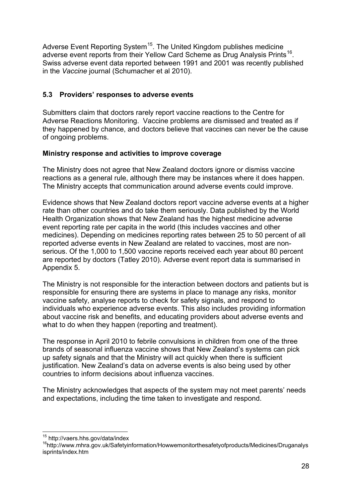Adverse Event Reporting System<sup>[15](#page-27-1)</sup>. The United Kingdom publishes medicine adverse event reports from their Yellow Card Scheme as Drug Analysis Prints<sup>[16](#page-27-2)</sup>. Swiss adverse event data reported between 1991 and 2001 was recently published in the *Vaccine* journal (Schumacher et al 2010).

### <span id="page-27-0"></span>**5.3 Providers' responses to adverse events**

Submitters claim that doctors rarely report vaccine reactions to the Centre for Adverse Reactions Monitoring. Vaccine problems are dismissed and treated as if they happened by chance, and doctors believe that vaccines can never be the cause of ongoing problems.

#### **Ministry response and activities to improve coverage**

The Ministry does not agree that New Zealand doctors ignore or dismiss vaccine reactions as a general rule, although there may be instances where it does happen. The Ministry accepts that communication around adverse events could improve.

Evidence shows that New Zealand doctors report vaccine adverse events at a higher rate than other countries and do take them seriously. Data published by the World Health Organization shows that New Zealand has the highest medicine adverse event reporting rate per capita in the world (this includes vaccines and other medicines). Depending on medicines reporting rates between 25 to 50 percent of all reported adverse events in New Zealand are related to vaccines, most are nonserious. Of the 1,000 to 1,500 vaccine reports received each year about 80 percent are reported by doctors (Tatley 2010). Adverse event report data is summarised in Appendix 5.

The Ministry is not responsible for the interaction between doctors and patients but is responsible for ensuring there are systems in place to manage any risks, monitor vaccine safety, analyse reports to check for safety signals, and respond to individuals who experience adverse events. This also includes providing information about vaccine risk and benefits, and educating providers about adverse events and what to do when they happen (reporting and treatment).

The response in April 2010 to febrile convulsions in children from one of the three brands of seasonal influenza vaccine shows that New Zealand's systems can pick up safety signals and that the Ministry will act quickly when there is sufficient justification. New Zealand's data on adverse events is also being used by other countries to inform decisions about influenza vaccines.

The Ministry acknowledges that aspects of the system may not meet parents' needs and expectations, including the time taken to investigate and respond.

<sup>1</sup> 

<span id="page-27-2"></span><span id="page-27-1"></span><sup>&</sup>lt;sup>15</sup> http://vaers.hhs.gov/data/index<br><sup>16</sup>http://www.mhra.gov.uk/Safetyinformation/Howwemonitorthesafetyofproducts/Medicines/Druganalys isprints/index.htm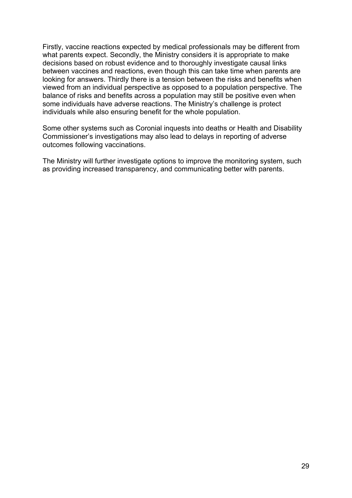Firstly, vaccine reactions expected by medical professionals may be different from what parents expect. Secondly, the Ministry considers it is appropriate to make decisions based on robust evidence and to thoroughly investigate causal links between vaccines and reactions, even though this can take time when parents are looking for answers. Thirdly there is a tension between the risks and benefits when viewed from an individual perspective as opposed to a population perspective. The balance of risks and benefits across a population may still be positive even when some individuals have adverse reactions. The Ministry's challenge is protect individuals while also ensuring benefit for the whole population.

Some other systems such as Coronial inquests into deaths or Health and Disability Commissioner's investigations may also lead to delays in reporting of adverse outcomes following vaccinations.

The Ministry will further investigate options to improve the monitoring system, such as providing increased transparency, and communicating better with parents.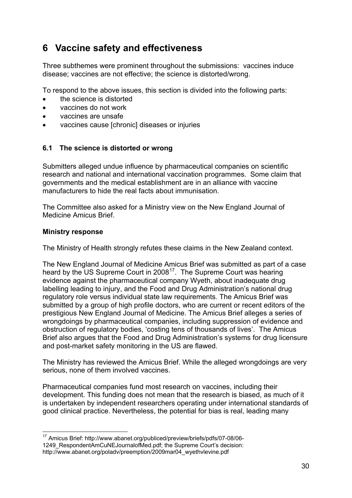# <span id="page-29-0"></span>**6 Vaccine safety and effectiveness**

Three subthemes were prominent throughout the submissions: vaccines induce disease; vaccines are not effective; the science is distorted/wrong.

To respond to the above issues, this section is divided into the following parts:

- the science is distorted
- vaccines do not work
- vaccines are unsafe
- vaccines cause [chronic] diseases or injuries

#### <span id="page-29-1"></span>**6.1 The science is distorted or wrong**

Submitters alleged undue influence by pharmaceutical companies on scientific research and national and international vaccination programmes. Some claim that governments and the medical establishment are in an alliance with vaccine manufacturers to hide the real facts about immunisation.

The Committee also asked for a Ministry view on the New England Journal of Medicine Amicus Brief.

#### **Ministry response**

The Ministry of Health strongly refutes these claims in the New Zealand context.

The New England Journal of Medicine Amicus Brief was submitted as part of a case heard by the US Supreme Court in 2008<sup>17</sup>. The Supreme Court was hearing evidence against the pharmaceutical company Wyeth, about inadequate drug labelling leading to injury, and the Food and Drug Administration's national drug regulatory role versus individual state law requirements. The Amicus Brief was submitted by a group of high profile doctors, who are current or recent editors of the prestigious New England Journal of Medicine. The Amicus Brief alleges a series of wrongdoings by pharmaceutical companies, including suppression of evidence and obstruction of regulatory bodies, 'costing tens of thousands of lives'. The Amicus Brief also argues that the Food and Drug Administration's systems for drug licensure and post-market safety monitoring in the US are flawed.

The Ministry has reviewed the Amicus Brief. While the alleged wrongdoings are very serious, none of them involved vaccines.

Pharmaceutical companies fund most research on vaccines, including their development. This funding does not mean that the research is biased, as much of it is undertaken by independent researchers operating under international standards of good clinical practice. Nevertheless, the potential for bias is real, leading many

<span id="page-29-2"></span><sup>1</sup> 17 Amicus Brief: http://www.abanet.org/publiced/preview/briefs/pdfs/07-08/06- 1249\_RespondentAmCuNEJournalofMed.pdf; the Supreme Court's decision: http://www.abanet.org/poladv/preemption/2009mar04\_wyethvlevine.pdf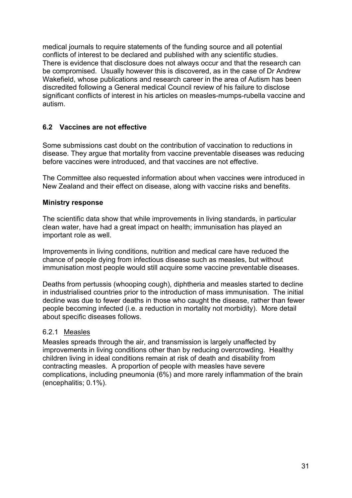medical journals to require statements of the funding source and all potential conflicts of interest to be declared and published with any scientific studies. There is evidence that disclosure does not always occur and that the research can be compromised. Usually however this is discovered, as in the case of Dr Andrew Wakefield, whose publications and research career in the area of Autism has been discredited following a General medical Council review of his failure to disclose significant conflicts of interest in his articles on measles-mumps-rubella vaccine and autism.

# <span id="page-30-0"></span>**6.2 Vaccines are not effective**

Some submissions cast doubt on the contribution of vaccination to reductions in disease. They argue that mortality from vaccine preventable diseases was reducing before vaccines were introduced, and that vaccines are not effective.

The Committee also requested information about when vaccines were introduced in New Zealand and their effect on disease, along with vaccine risks and benefits.

#### **Ministry response**

The scientific data show that while improvements in living standards, in particular clean water, have had a great impact on health; immunisation has played an important role as well.

Improvements in living conditions, nutrition and medical care have reduced the chance of people dying from infectious disease such as measles, but without immunisation most people would still acquire some vaccine preventable diseases.

Deaths from pertussis (whooping cough), diphtheria and measles started to decline in industrialised countries prior to the introduction of mass immunisation. The initial decline was due to fewer deaths in those who caught the disease, rather than fewer people becoming infected (i.e. a reduction in mortality not morbidity). More detail about specific diseases follows.

#### 6.2.1 Measles

Measles spreads through the air, and transmission is largely unaffected by improvements in living conditions other than by reducing overcrowding. Healthy children living in ideal conditions remain at risk of death and disability from contracting measles. A proportion of people with measles have severe complications, including pneumonia (6%) and more rarely inflammation of the brain (encephalitis; 0.1%).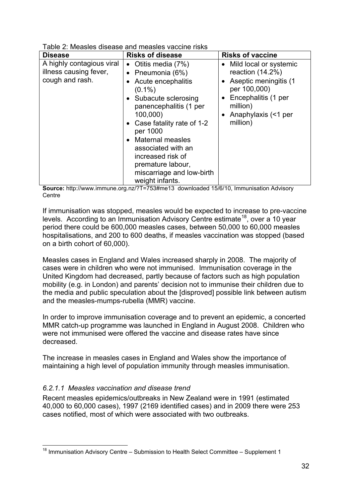Table 2: Measles disease and measles vaccine risks

<span id="page-31-0"></span>

| <b>Disease</b>                                                         | <b>Risks of disease</b>                                                                                                                                                                                                                                                                                                                          | <b>Risks of vaccine</b>                                                                                                                                                                            |
|------------------------------------------------------------------------|--------------------------------------------------------------------------------------------------------------------------------------------------------------------------------------------------------------------------------------------------------------------------------------------------------------------------------------------------|----------------------------------------------------------------------------------------------------------------------------------------------------------------------------------------------------|
| A highly contagious viral<br>illness causing fever,<br>cough and rash. | • Otitis media $(7%)$<br>• Pneumonia $(6%)$<br>Acute encephalitis<br>$(0.1\%)$<br>• Subacute sclerosing<br>panencephalitis (1 per<br>100,000)<br>• Case fatality rate of 1-2<br>per 1000<br><b>Maternal measles</b><br>$\bullet$<br>associated with an<br>increased risk of<br>premature labour,<br>miscarriage and low-birth<br>weight infants. | Mild local or systemic<br>$\bullet$<br>reaction $(14.2%)$<br>Aseptic meningitis (1<br>per 100,000)<br>Encephalitis (1 per<br>$\bullet$<br>million)<br>Anaphylaxis (<1 per<br>$\bullet$<br>million) |

**Source:** http://www.immune.org.nz/?T=753#me13 downloaded 15/6/10, Immunisation Advisory Centre

If immunisation was stopped, measles would be expected to increase to pre-vaccine levels. According to an Immunisation Advisory Centre estimate<sup>[18](#page-31-1)</sup>, over a 10 year period there could be 600,000 measles cases, between 50,000 to 60,000 measles hospitalisations, and 200 to 600 deaths, if measles vaccination was stopped (based on a birth cohort of 60,000).

Measles cases in England and Wales increased sharply in 2008. The majority of cases were in children who were not immunised. Immunisation coverage in the United Kingdom had decreased, partly because of factors such as high population mobility (e.g. in London) and parents' decision not to immunise their children due to the media and public speculation about the [disproved] possible link between autism and the measles-mumps-rubella (MMR) vaccine.

In order to improve immunisation coverage and to prevent an epidemic, a concerted MMR catch-up programme was launched in England in August 2008. Children who were not immunised were offered the vaccine and disease rates have since decreased.

The increase in measles cases in England and Wales show the importance of maintaining a high level of population immunity through measles immunisation.

# *6.2.1.1 Measles vaccination and disease trend*

Recent measles epidemics/outbreaks in New Zealand were in 1991 (estimated 40,000 to 60,000 cases), 1997 (2169 identified cases) and in 2009 there were 253 cases notified, most of which were associated with two outbreaks.

<span id="page-31-1"></span><sup>1</sup>  $18$  Immunisation Advisory Centre – Submission to Health Select Committee – Supplement 1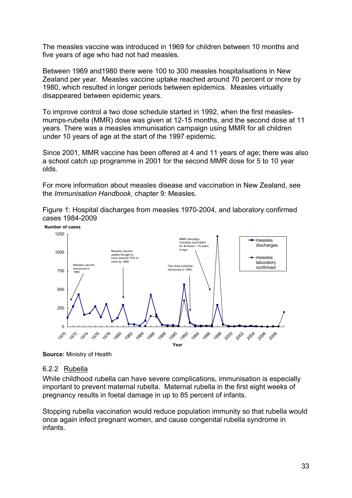The measles vaccine was introduced in 1969 for children between 10 months and five years of age who had not had measles.

Between 1969 and1980 there were 100 to 300 measles hospitalisations in New Zealand per year. Measles vaccine uptake reached around 70 percent or more by 1980, which resulted in longer periods between epidemics. Measles virtually disappeared between epidemic years.

To improve control a two dose schedule started in 1992, when the first measlesmumps-rubella (MMR) dose was given at 12-15 months, and the second dose at 11 years. There was a measles immunisation campaign using MMR for all children under 10 years of age at the start of the 1997 epidemic.

Since 2001, MMR vaccine has been offered at 4 and 11 years of age; there was also a school catch up programme in 2001 for the second MMR dose for 5 to 10 year olds.

For more information about measles disease and vaccination in New Zealand, see the *Immunisation Handbook*, chapter 9: Measles.

<span id="page-32-0"></span>Figure 1: Hospital discharges from measles 1970-2004, and laboratory confirmed cases 1984-2009



**Source:** Ministry of Health

#### 6.2.2 Rubella

While childhood rubella can have severe complications, immunisation is especially important to prevent maternal rubella. Maternal rubella in the first eight weeks of pregnancy results in foetal damage in up to 85 percent of infants.

Stopping rubella vaccination would reduce population immunity so that rubella would once again infect pregnant women, and cause congenital rubella syndrome in infants.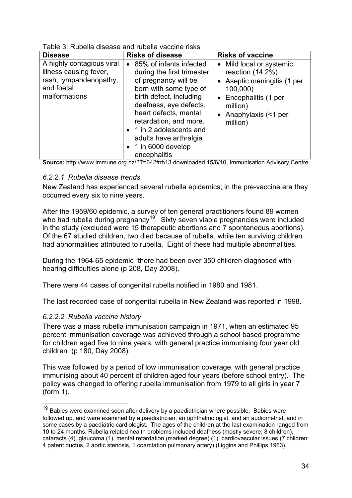| Table 3: Rubella disease and rubella vaccine risks |  |  |  |
|----------------------------------------------------|--|--|--|
|----------------------------------------------------|--|--|--|

<span id="page-33-0"></span>

| <b>Disease</b>                                                                                               | <b>Risks of disease</b>                                                                                                                                                                                                                                                                                        | <b>Risks of vaccine</b>                                                                                                                                               |
|--------------------------------------------------------------------------------------------------------------|----------------------------------------------------------------------------------------------------------------------------------------------------------------------------------------------------------------------------------------------------------------------------------------------------------------|-----------------------------------------------------------------------------------------------------------------------------------------------------------------------|
| A highly contagious viral<br>illness causing fever,<br>rash, lympahdenopathy,<br>and foetal<br>malformations | • 85% of infants infected<br>during the first trimester<br>of pregnancy will be<br>born with some type of<br>birth defect, including<br>deafness, eye defects,<br>heart defects, mental<br>retardation, and more.<br>• 1 in 2 adolescents and<br>adults have arthralgia<br>• 1 in 6000 develop<br>encephalitis | • Mild local or systemic<br>reaction $(14.2%)$<br>• Aseptic meningitis (1 per<br>100,000)<br>• Encephalitis (1 per<br>million)<br>• Anaphylaxis $($ 1 per<br>million) |

**Source:** http://www.immune.org.nz/?T=642#rb13 downloaded 15/6/10, Immunisation Advisory Centre

# *6.2.2.1 Rubella disease trends*

New Zealand has experienced several rubella epidemics; in the pre-vaccine era they occurred every six to nine years.

After the 1959/60 epidemic, a survey of ten general practitioners found 89 women who had rubella during pregnancy<sup>[19](#page-33-1)</sup>. Sixty seven viable pregnancies were included in the study (excluded were 15 therapeutic abortions and 7 spontaneous abortions). Of the 67 studied children, two died because of rubella, while ten surviving children had abnormalities attributed to rubella. Eight of these had multiple abnormalities.

During the 1964-65 epidemic "there had been over 350 children diagnosed with hearing difficulties alone (p 208, Day 2008).

There were 44 cases of congenital rubella notified in 1980 and 1981.

The last recorded case of congenital rubella in New Zealand was reported in 1998.

#### *6.2.2.2 Rubella vaccine history*

1

There was a mass rubella immunisation campaign in 1971, when an estimated 95 percent immunisation coverage was achieved through a school based programme for children aged five to nine years, with general practice immunising four year old children (p 180, Day 2008).

This was followed by a period of low immunisation coverage, with general practice immunising about 40 percent of children aged four years (before school entry). The policy was changed to offering rubella immunisation from 1979 to all girls in year 7 (form 1).

<span id="page-33-1"></span> $19$  Babies were examined soon after delivery by a paediatrician where possible. Babies were followed up, and were examined by a paediatrician, an ophthalmologist, and an audiometrist, and in some cases by a paediatric cardiologist. The ages of the children at the last examination ranged from 10 to 24 months. Rubella related health problems included deafness (mostly severe; 8 children), cataracts (4), glaucoma (1), mental retardation (marked degree) (1), cardiovascular issues (7 children: 4 patent ductus, 2 aortic stenosis, 1 coarctation pulmonary artery) (Liggins and Phillips 1963).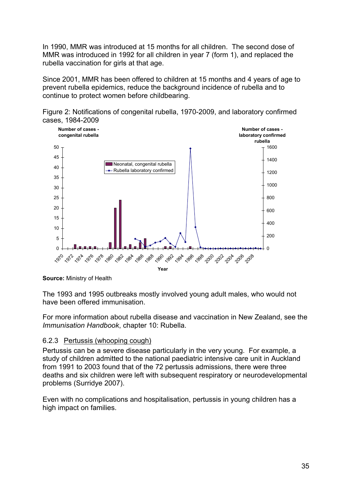In 1990, MMR was introduced at 15 months for all children. The second dose of MMR was introduced in 1992 for all children in year 7 (form 1), and replaced the rubella vaccination for girls at that age.

Since 2001, MMR has been offered to children at 15 months and 4 years of age to prevent rubella epidemics, reduce the background incidence of rubella and to continue to protect women before childbearing.

<span id="page-34-0"></span>Figure 2: Notifications of congenital rubella, 1970-2009, and laboratory confirmed cases, 1984-2009



**Source:** Ministry of Health

The 1993 and 1995 outbreaks mostly involved young adult males, who would not have been offered immunisation.

For more information about rubella disease and vaccination in New Zealand, see the *Immunisation Handbook*, chapter 10: Rubella.

#### 6.2.3 Pertussis (whooping cough)

Pertussis can be a severe disease particularly in the very young. For example, a study of children admitted to the national paediatric intensive care unit in Auckland from 1991 to 2003 found that of the 72 pertussis admissions, there were three deaths and six children were left with subsequent respiratory or neurodevelopmental problems (Surridye 2007).

Even with no complications and hospitalisation, pertussis in young children has a high impact on families.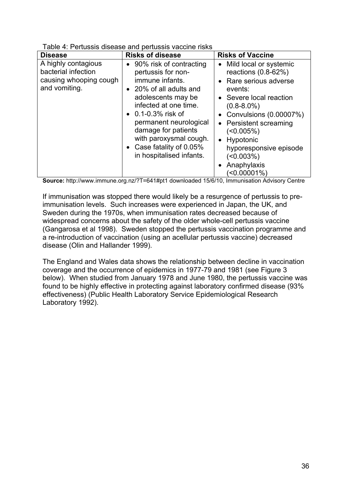| Table 4: Pertussis disease and pertussis vaccine risks |  |  |  |  |  |  |
|--------------------------------------------------------|--|--|--|--|--|--|
|--------------------------------------------------------|--|--|--|--|--|--|

<span id="page-35-0"></span>

| <b>Disease</b>                                                                        | <b>Risks of disease</b>                                                                                                                                                                                                                                                                                                  | <b>Risks of Vaccine</b>                                                                                                                                                                                                                                                                                                                                               |
|---------------------------------------------------------------------------------------|--------------------------------------------------------------------------------------------------------------------------------------------------------------------------------------------------------------------------------------------------------------------------------------------------------------------------|-----------------------------------------------------------------------------------------------------------------------------------------------------------------------------------------------------------------------------------------------------------------------------------------------------------------------------------------------------------------------|
| A highly contagious<br>bacterial infection<br>causing whooping cough<br>and vomiting. | 90% risk of contracting<br>$\bullet$<br>pertussis for non-<br>immune infants.<br>• 20% of all adults and<br>adolescents may be<br>infected at one time.<br>$\bullet$ 0.1-0.3% risk of<br>permanent neurological<br>damage for patients<br>with paroxysmal cough.<br>• Case fatality of 0.05%<br>in hospitalised infants. | Mild local or systemic<br>$\bullet$<br>reactions $(0.8-62%)$<br>Rare serious adverse<br>$\bullet$<br>events:<br>• Severe local reaction<br>$(0.8 - 8.0\%)$<br>Convulsions (0.00007%)<br>$\bullet$<br><b>Persistent screaming</b><br>$\bullet$<br>(<br>Hypotonic<br>$\bullet$<br>hyporesponsive episode<br>$(0.003\%)$<br>Anaphylaxis<br>$\bullet$<br>$($ $0.00001\%)$ |

**Source:** http://www.immune.org.nz/?T=641#pt1 downloaded 15/6/10, Immunisation Advisory Centre

If immunisation was stopped there would likely be a resurgence of pertussis to preimmunisation levels. Such increases were experienced in Japan, the UK, and Sweden during the 1970s, when immunisation rates decreased because of widespread concerns about the safety of the older whole-cell pertussis vaccine (Gangarosa et al 1998). Sweden stopped the pertussis vaccination programme and a re-introduction of vaccination (using an acellular pertussis vaccine) decreased disease (Olin and Hallander 1999).

The England and Wales data shows the relationship between decline in vaccination coverage and the occurrence of epidemics in 1977-79 and 1981 (see Figure 3 below). When studied from January 1978 and June 1980, the pertussis vaccine was found to be highly effective in protecting against laboratory confirmed disease (93% effectiveness) (Public Health Laboratory Service Epidemiological Research Laboratory 1992).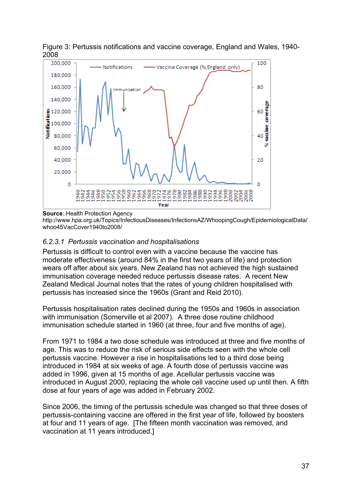

Figure 3: Pertussis notifications and vaccine coverage, England and Wales, 1940- 2008

**Source**: Health Protection Agency

## *6.2.3.1 Pertussis vaccination and hospitalisations*

Pertussis is difficult to control even with a vaccine because the vaccine has moderate effectiveness (around 84% in the first two years of life) and protection wears off after about six years. New Zealand has not achieved the high sustained immunisation coverage needed reduce pertussis disease rates. A recent New Zealand Medical Journal notes that the rates of young children hospitalised with pertussis has increased since the 1960s (Grant and Reid 2010).

Pertussis hospitalisation rates declined during the 1950s and 1960s in association with immunisation (Somerville et al 2007). A three dose routine childhood immunisation schedule started in 1960 (at three, four and five months of age).

From 1971 to 1984 a two dose schedule was introduced at three and five months of age. This was to reduce the risk of serious side effects seen with the whole cell pertussis vaccine. However a rise in hospitalisations led to a third dose being introduced in 1984 at six weeks of age. A fourth dose of pertussis vaccine was added in 1996, given at 15 months of age. Acellular pertussis vaccine was introduced in August 2000, replacing the whole cell vaccine used up until then. A fifth dose at four years of age was added in February 2002.

Since 2006, the timing of the pertussis schedule was changed so that three doses of pertussis-containing vaccine are offered in the first year of life, followed by boosters at four and 11 years of age. [The fifteen month vaccination was removed, and vaccination at 11 years introduced.]

http://www.hpa.org.uk/Topics/InfectiousDiseases/InfectionsAZ/WhoopingCough/EpidemiologicalData/ whoo45VacCover1940to2008/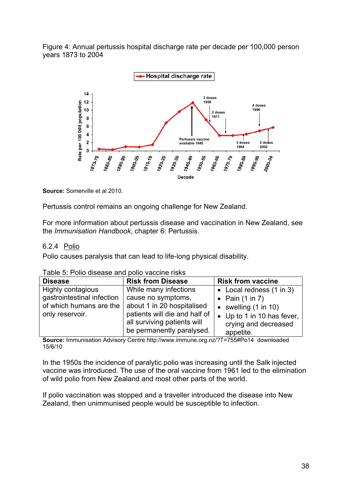Figure 4: Annual pertussis hospital discharge rate per decade per 100,000 person years 1873 to 2004



**Source:** Somerville et al 2010.

Pertussis control remains an ongoing challenge for New Zealand.

For more information about pertussis disease and vaccination in New Zealand, see the *Immunisation Handbook*, chapter 6: Pertussis.

#### 6.2.4 Polio

Polio causes paralysis that can lead to life-long physical disability.

| <b>TWO OF FORD SHOUGHOUGHTS PUTS TWO HUILD</b> |                               |                                     |
|------------------------------------------------|-------------------------------|-------------------------------------|
| <b>Disease</b>                                 | <b>Risk from Disease</b>      | <b>Risk from vaccine</b>            |
| Highly contagious                              | While many infections         | • Local redness $(1 \text{ in } 3)$ |
| gastrointestinal infection                     | cause no symptoms,            | • Pain $(1 \text{ in } 7)$          |
| of which humans are the                        | about 1 in 20 hospitalised    | • swelling $(1 \text{ in } 10)$     |
| only reservoir.                                | patients will die and half of | • Up to 1 in 10 has fever,          |
|                                                | all surviving patients will   | crying and decreased                |
|                                                | be permanently paralysed.     | appetite.                           |

Table 5: Polio disease and polio vaccine risks

**Source:** Immunisation Advisory Centre http://www.immune.org.nz/?T=755#Po14 downloaded 15/6/10

In the 1950s the incidence of paralytic polio was increasing until the Salk injected vaccine was introduced. The use of the oral vaccine from 1961 led to the elimination of wild polio from New Zealand and most other parts of the world.

If polio vaccination was stopped and a traveller introduced the disease into New Zealand, then unimmunised people would be susceptible to infection.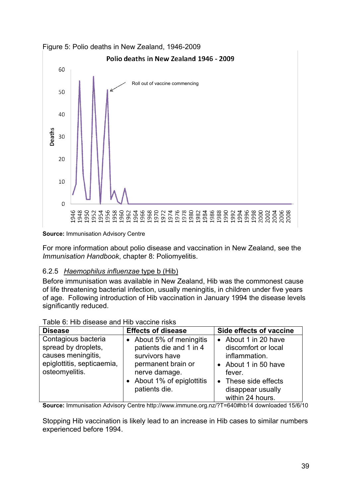

**Source:** Immunisation Advisory Centre

For more information about polio disease and vaccination in New Zealand, see the *Immunisation Handbook*, chapter 8: Poliomyelitis.

## 6.2.5 *Haemophilus influenzae* type b (Hib)

Before immunisation was available in New Zealand, Hib was the commonest cause of life threatening bacterial infection, usually meningitis, in children under five years of age. Following introduction of Hib vaccination in January 1994 the disease levels significantly reduced.

| <b>Disease</b>                                                                                                   | <b>Effects of disease</b>                                                                                                                                 | Side effects of vaccine                                                                                                                                         |
|------------------------------------------------------------------------------------------------------------------|-----------------------------------------------------------------------------------------------------------------------------------------------------------|-----------------------------------------------------------------------------------------------------------------------------------------------------------------|
| Contagious bacteria<br>spread by droplets,<br>causes meningitis,<br>epiglottitis, septicaemia,<br>osteomyelitis. | • About 5% of meningitis<br>patients die and 1 in 4<br>survivors have<br>permanent brain or<br>nerve damage.<br>About 1% of epiglottitis<br>patients die. | • About 1 in 20 have<br>discomfort or local<br>inflammation.<br>• About 1 in 50 have<br>fever.<br>• These side effects<br>disappear usually<br>within 24 hours. |

Table 6: Hib disease and Hib vaccine risks

**Source:** Immunisation Advisory Centre http://www.immune.org.nz/?T=640#hb14 downloaded 15/6/10

Stopping Hib vaccination is likely lead to an increase in Hib cases to similar numbers experienced before 1994.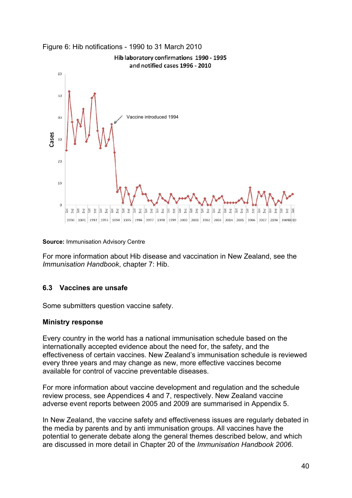

Figure 6: Hib notifications - 1990 to 31 March 2010

**Source:** Immunisation Advisory Centre

For more information about Hib disease and vaccination in New Zealand, see the *Immunisation Handbook*, chapter 7: Hib.

#### **6.3 Vaccines are unsafe**

Some submitters question vaccine safety.

#### **Ministry response**

Every country in the world has a national immunisation schedule based on the internationally accepted evidence about the need for, the safety, and the effectiveness of certain vaccines. New Zealand's immunisation schedule is reviewed every three years and may change as new, more effective vaccines become available for control of vaccine preventable diseases.

For more information about vaccine development and regulation and the schedule review process, see Appendices 4 and 7, respectively. New Zealand vaccine adverse event reports between 2005 and 2009 are summarised in Appendix 5.

In New Zealand, the vaccine safety and effectiveness issues are regularly debated in the media by parents and by anti immunisation groups. All vaccines have the potential to generate debate along the general themes described below, and which are discussed in more detail in Chapter 20 of the *Immunisation Handbook 2006*.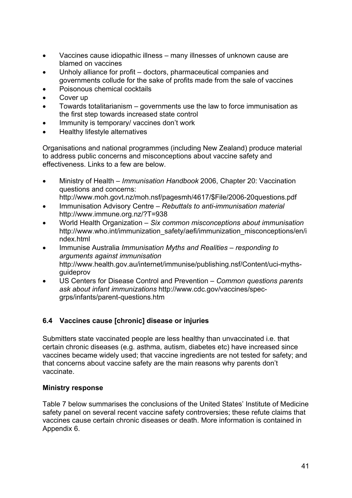- Vaccines cause idiopathic illness many illnesses of unknown cause are blamed on vaccines
- Unholy alliance for profit doctors, pharmaceutical companies and governments collude for the sake of profits made from the sale of vaccines
- Poisonous chemical cocktails
- Cover up
- Towards totalitarianism governments use the law to force immunisation as the first step towards increased state control
- Immunity is temporary/ vaccines don't work
- Healthy lifestyle alternatives

Organisations and national programmes (including New Zealand) produce material to address public concerns and misconceptions about vaccine safety and effectiveness. Links to a few are below.

 Ministry of Health – *Immunisation Handbook* 2006, Chapter 20: Vaccination questions and concerns:

http://www.moh.govt.nz/moh.nsf/pagesmh/4617/\$File/2006-20questions.pdf

- Immunisation Advisory Centre *Rebuttals to anti-immunisation material* http://www.immune.org.nz/?T=938
- World Health Organization *Six common misconceptions about immunisation* http://www.who.int/immunization\_safety/aefi/immunization\_misconceptions/en/i ndex.html
- Immunise Australia *Immunisation Myths and Realities responding to arguments against immunisation*  http://www.health.gov.au/internet/immunise/publishing.nsf/Content/uci-mythsguideprov
- US Centers for Disease Control and Prevention *Common questions parents ask about infant immunizations* http://www.cdc.gov/vaccines/specgrps/infants/parent-questions.htm

# **6.4 Vaccines cause [chronic] disease or injuries**

Submitters state vaccinated people are less healthy than unvaccinated i.e. that certain chronic diseases (e.g. asthma, autism, diabetes etc) have increased since vaccines became widely used; that vaccine ingredients are not tested for safety; and that concerns about vaccine safety are the main reasons why parents don't vaccinate.

## **Ministry response**

Table 7 below summarises the conclusions of the United States' Institute of Medicine safety panel on several recent vaccine safety controversies; these refute claims that vaccines cause certain chronic diseases or death. More information is contained in Appendix 6.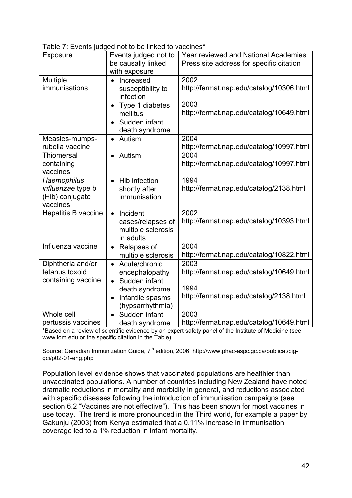Table 7: Events judged not to be linked to vaccines\*

| Exposure                                                               | rable r. Events judged not to be imited to vaccines<br>Events judged not to<br>be causally linked                                           | Year reviewed and National Academies<br>Press site address for specific citation                     |
|------------------------------------------------------------------------|---------------------------------------------------------------------------------------------------------------------------------------------|------------------------------------------------------------------------------------------------------|
| Multiple<br>immunisations                                              | with exposure<br>Increased<br>$\bullet$<br>susceptibility to<br>infection<br>Type 1 diabetes<br>mellitus<br>Sudden infant<br>death syndrome | 2002<br>http://fermat.nap.edu/catalog/10306.html<br>2003<br>http://fermat.nap.edu/catalog/10649.html |
| Measles-mumps-<br>rubella vaccine                                      | Autism<br>$\bullet$                                                                                                                         | 2004<br>http://fermat.nap.edu/catalog/10997.html                                                     |
| Thiomersal<br>containing<br>vaccines                                   | Autism<br>$\bullet$                                                                                                                         | 2004<br>http://fermat.nap.edu/catalog/10997.html                                                     |
| Haemophilus<br><i>influenzae</i> type b<br>(Hib) conjugate<br>vaccines | Hib infection<br>$\bullet$<br>shortly after<br>immunisation                                                                                 | 1994<br>http://fermat.nap.edu/catalog/2138.html                                                      |
| Hepatitis B vaccine                                                    | Incident<br>$\bullet$<br>cases/relapses of<br>multiple sclerosis<br>in adults                                                               | 2002<br>http://fermat.nap.edu/catalog/10393.html                                                     |
| Influenza vaccine                                                      | Relapses of<br>$\bullet$<br>multiple sclerosis                                                                                              | 2004<br>http://fermat.nap.edu/catalog/10822.html                                                     |
| Diphtheria and/or<br>tetanus toxoid<br>containing vaccine              | Acute/chronic<br>$\bullet$<br>encephalopathy<br>Sudden infant<br>$\bullet$<br>death syndrome<br>Infantile spasms<br>(hypsarrhythmia)        | 2003<br>http://fermat.nap.edu/catalog/10649.html<br>1994<br>http://fermat.nap.edu/catalog/2138.html  |
| Whole cell<br>pertussis vaccines                                       | Sudden infant<br>$\bullet$<br>death syndrome                                                                                                | 2003<br>http://fermat.nap.edu/catalog/10649.html                                                     |

\*Based on a review of scientific evidence by an expert safety panel of the Institute of Medicine (see www.iom.edu or the specific citation in the Table).

Source: Canadian Immunization Guide, 7<sup>th</sup> edition, 2006. http://www.phac-aspc.gc.ca/publicat/ciggci/p02-01-eng.php

Population level evidence shows that vaccinated populations are healthier than unvaccinated populations. A number of countries including New Zealand have noted dramatic reductions in mortality and morbidity in general, and reductions associated with specific diseases following the introduction of immunisation campaigns (see section 6.2 "Vaccines are not effective"). This has been shown for most vaccines in use today. The trend is more pronounced in the Third world, for example a paper by Gakunju (2003) from Kenya estimated that a 0.11% increase in immunisation coverage led to a 1% reduction in infant mortality.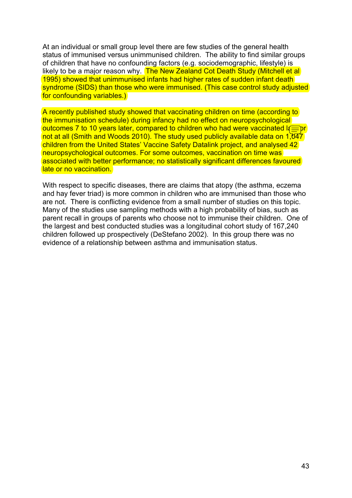At an individual or small group level there are few studies of the general health status of immunised versus unimmunised children. The ability to find similar groups of children that have no confounding factors (e.g. sociodemographic, lifestyle) is likely to be a major reason why. The New Zealand Cot Death Study (Mitchell et al 1995) showed that unimmunised infants had higher rates of sudden infant death syndrome (SIDS) than those who were immunised. (This case control study adjusted for confounding variables.)

A recently published study showed that vaccinating children on time (according to the immunisation schedule) during infancy had no effect on neuropsychological outcomes 7 to 10 years later, compared to children who had were vaccinated  $\sqrt{z}$ not at all (Smith and Woods 2010). The study used publicly available data on 1,047 children from the United States' Vaccine Safety Datalink project, and analysed 42 neuropsychological outcomes. For some outcomes, vaccination on time was associated with better performance; no statistically significant differences favoured late or no vaccination.

With respect to specific diseases, there are claims that atopy (the asthma, eczema and hay fever triad) is more common in children who are immunised than those who are not. There is conflicting evidence from a small number of studies on this topic. Many of the studies use sampling methods with a high probability of bias, such as parent recall in groups of parents who choose not to immunise their children. One of the largest and best conducted studies was a longitudinal cohort study of 167,240 children followed up prospectively (DeStefano 2002). In this group there was no evidence of a relationship between asthma and immunisation status.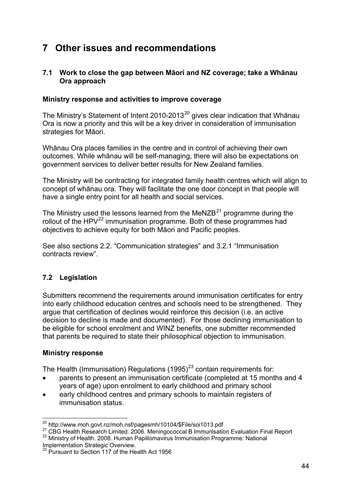# **7 Other issues and recommendations**

#### **7.1 Work to close the gap between Māori and NZ coverage; take a Whānau Ora approach**

#### **Ministry response and activities to improve coverage**

The Ministry's Statement of Intent 2010-2013<sup>20</sup> gives clear indication that Whānau Ora is now a priority and this will be a key driver in consideration of immunisation strategies for Māori.

Whānau Ora places families in the centre and in control of achieving their own outcomes. While whānau will be self-managing, there will also be expectations on government services to deliver better results for New Zealand families.

The Ministry will be contracting for integrated family health centres which will align to concept of whānau ora. They will facilitate the one door concept in that people will have a single entry point for all health and social services.

The Ministry used the lessons learned from the MeNZB $21$  programme during the rollout of the HPV $^{22}$  $^{22}$  $^{22}$  immunisation programme. Both of these programmes had objectives to achieve equity for both Māori and Pacific peoples.

See also sections 2.2. "Communication strategies" and 3.2.1 "Immunisation contracts review".

## **7.2 Legislation**

Submitters recommend the requirements around immunisation certificates for entry into early childhood education centres and schools need to be strengthened. They argue that certification of declines would reinforce this decision (i.e. an active decision to decline is made and documented). For those declining immunisation to be eligible for school enrolment and WINZ benefits, one submitter recommended that parents be required to state their philosophical objection to immunisation.

## **Ministry response**

The Health (Immunisation) Regulations (1995)<sup>[23](#page-43-3)</sup> contain requirements for:

- parents to present an immunisation certificate (completed at 15 months and 4 years of age) upon enrolment to early childhood and primary school
- early childhood centres and primary schools to maintain registers of immunisation status.

<span id="page-43-2"></span>Implementation Strategic Overview.

<span id="page-43-0"></span><sup>&</sup>lt;sup>20</sup> http://www.moh.govt.nz/moh.nsf/pagesmh/10104/\$File/soi1013.pdf

<span id="page-43-1"></span><sup>21</sup> CBG Health Research Limited. 2006. Meningococcal B Immunisation Evaluation Final Report<br>22 Ministry of Health. 2008. Human Papillomavirus Immunisation Programme: National

<span id="page-43-3"></span><sup>&</sup>lt;sup>23</sup> Pursuant to Section 117 of the Health Act 1956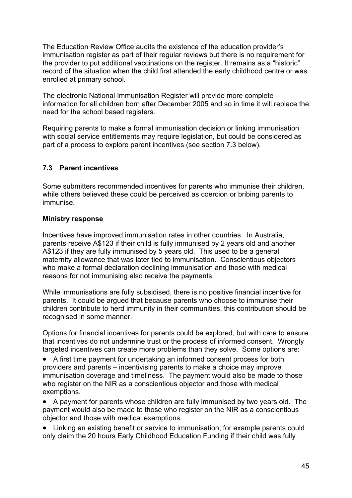The Education Review Office audits the existence of the education provider's immunisation register as part of their regular reviews but there is no requirement for the provider to put additional vaccinations on the register. It remains as a "historic" record of the situation when the child first attended the early childhood centre or was enrolled at primary school.

The electronic National Immunisation Register will provide more complete information for all children born after December 2005 and so in time it will replace the need for the school based registers.

Requiring parents to make a formal immunisation decision or linking immunisation with social service entitlements may require legislation, but could be considered as part of a process to explore parent incentives (see section 7.3 below).

## **7.3 Parent incentives**

Some submitters recommended incentives for parents who immunise their children, while others believed these could be perceived as coercion or bribing parents to immunise.

#### **Ministry response**

Incentives have improved immunisation rates in other countries. In Australia, parents receive A\$123 if their child is fully immunised by 2 years old and another A\$123 if they are fully immunised by 5 years old. This used to be a general maternity allowance that was later tied to immunisation. Conscientious objectors who make a formal declaration declining immunisation and those with medical reasons for not immunising also receive the payments.

While immunisations are fully subsidised, there is no positive financial incentive for parents. It could be argued that because parents who choose to immunise their children contribute to herd immunity in their communities, this contribution should be recognised in some manner.

Options for financial incentives for parents could be explored, but with care to ensure that incentives do not undermine trust or the process of informed consent. Wrongly targeted incentives can create more problems than they solve. Some options are:

 A first time payment for undertaking an informed consent process for both providers and parents – incentivising parents to make a choice may improve immunisation coverage and timeliness. The payment would also be made to those who register on the NIR as a conscientious objector and those with medical exemptions.

 A payment for parents whose children are fully immunised by two years old. The payment would also be made to those who register on the NIR as a conscientious objector and those with medical exemptions.

 Linking an existing benefit or service to immunisation, for example parents could only claim the 20 hours Early Childhood Education Funding if their child was fully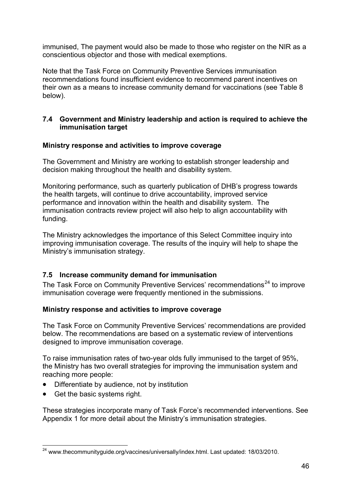immunised, The payment would also be made to those who register on the NIR as a conscientious objector and those with medical exemptions.

Note that the Task Force on Community Preventive Services immunisation recommendations found insufficient evidence to recommend parent incentives on their own as a means to increase community demand for vaccinations (see Table 8 below).

## **7.4 Government and Ministry leadership and action is required to achieve the immunisation target**

## **Ministry response and activities to improve coverage**

The Government and Ministry are working to establish stronger leadership and decision making throughout the health and disability system.

Monitoring performance, such as quarterly publication of DHB's progress towards the health targets, will continue to drive accountability, improved service performance and innovation within the health and disability system. The immunisation contracts review project will also help to align accountability with funding.

The Ministry acknowledges the importance of this Select Committee inquiry into improving immunisation coverage. The results of the inquiry will help to shape the Ministry's immunisation strategy.

# **7.5 Increase community demand for immunisation**

The Task Force on Community Preventive Services' recommendations<sup>24</sup> to improve immunisation coverage were frequently mentioned in the submissions.

# **Ministry response and activities to improve coverage**

The Task Force on Community Preventive Services' recommendations are provided below. The recommendations are based on a systematic review of interventions designed to improve immunisation coverage.

To raise immunisation rates of two-year olds fully immunised to the target of 95%, the Ministry has two overall strategies for improving the immunisation system and reaching more people:

- Differentiate by audience, not by institution
- Get the basic systems right.

These strategies incorporate many of Task Force's recommended interventions. See Appendix 1 for more detail about the Ministry's immunisation strategies.

<span id="page-45-0"></span><sup>1</sup>  $^{24}$  www.thecommunityguide.org/vaccines/universally/index.html. Last updated: 18/03/2010.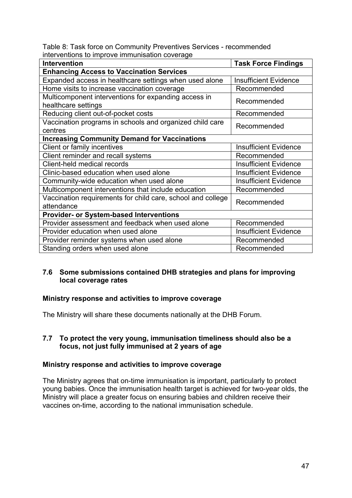Table 8: Task force on Community Preventives Services - recommended interventions to improve immunisation coverage

| <b>Intervention</b>                                                         | <b>Task Force Findings</b>   |
|-----------------------------------------------------------------------------|------------------------------|
| <b>Enhancing Access to Vaccination Services</b>                             |                              |
| Expanded access in healthcare settings when used alone                      | <b>Insufficient Evidence</b> |
| Home visits to increase vaccination coverage                                | Recommended                  |
| Multicomponent interventions for expanding access in<br>healthcare settings | Recommended                  |
| Reducing client out-of-pocket costs                                         | Recommended                  |
| Vaccination programs in schools and organized child care<br>centres         | Recommended                  |
| <b>Increasing Community Demand for Vaccinations</b>                         |                              |
| Client or family incentives                                                 | <b>Insufficient Evidence</b> |
| Client reminder and recall systems                                          | Recommended                  |
| Client-held medical records                                                 | <b>Insufficient Evidence</b> |
| Clinic-based education when used alone                                      | <b>Insufficient Evidence</b> |
| Community-wide education when used alone                                    | <b>Insufficient Evidence</b> |
| Multicomponent interventions that include education                         | Recommended                  |
| Vaccination requirements for child care, school and college<br>attendance   | Recommended                  |
| <b>Provider- or System-based Interventions</b>                              |                              |
| Provider assessment and feedback when used alone                            | Recommended                  |
| Provider education when used alone                                          | <b>Insufficient Evidence</b> |
| Provider reminder systems when used alone                                   | Recommended                  |
| Standing orders when used alone                                             | Recommended                  |

## **7.6 Some submissions contained DHB strategies and plans for improving local coverage rates**

## **Ministry response and activities to improve coverage**

The Ministry will share these documents nationally at the DHB Forum.

## **7.7 To protect the very young, immunisation timeliness should also be a focus, not just fully immunised at 2 years of age**

## **Ministry response and activities to improve coverage**

The Ministry agrees that on-time immunisation is important, particularly to protect young babies. Once the immunisation health target is achieved for two-year olds, the Ministry will place a greater focus on ensuring babies and children receive their vaccines on-time, according to the national immunisation schedule.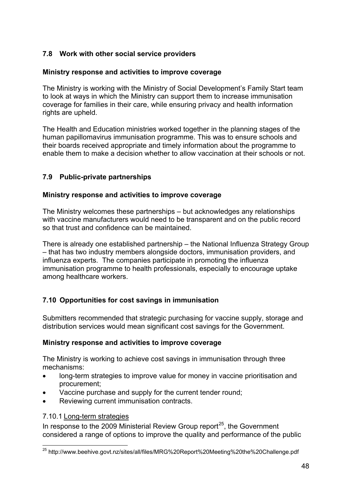# **7.8 Work with other social service providers**

## **Ministry response and activities to improve coverage**

The Ministry is working with the Ministry of Social Development's Family Start team to look at ways in which the Ministry can support them to increase immunisation coverage for families in their care, while ensuring privacy and health information rights are upheld.

The Health and Education ministries worked together in the planning stages of the human papillomavirus immunisation programme. This was to ensure schools and their boards received appropriate and timely information about the programme to enable them to make a decision whether to allow vaccination at their schools or not.

## **7.9 Public-private partnerships**

#### **Ministry response and activities to improve coverage**

The Ministry welcomes these partnerships – but acknowledges any relationships with vaccine manufacturers would need to be transparent and on the public record so that trust and confidence can be maintained.

There is already one established partnership – the National Influenza Strategy Group – that has two industry members alongside doctors, immunisation providers, and influenza experts. The companies participate in promoting the influenza immunisation programme to health professionals, especially to encourage uptake among healthcare workers.

# **7.10 Opportunities for cost savings in immunisation**

Submitters recommended that strategic purchasing for vaccine supply, storage and distribution services would mean significant cost savings for the Government.

## **Ministry response and activities to improve coverage**

The Ministry is working to achieve cost savings in immunisation through three mechanisms:

- long-term strategies to improve value for money in vaccine prioritisation and procurement;
- Vaccine purchase and supply for the current tender round;
- Reviewing current immunisation contracts.

#### 7.10.1 Long-term strategies

In response to the 2009 Ministerial Review Group report<sup>25</sup>, the Government considered a range of options to improve the quality and performance of the public

<span id="page-47-0"></span><sup>1</sup> <sup>25</sup> http://www.beehive.govt.nz/sites/all/files/MRG%20Report%20Meeting%20the%20Challenge.pdf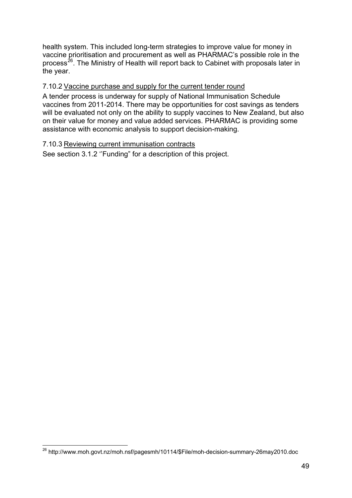health system. This included long-term strategies to improve value for money in vaccine prioritisation and procurement as well as PHARMAC's possible role in the process<sup>[26](#page-48-0)</sup>. The Ministry of Health will report back to Cabinet with proposals later in the year.

## 7.10.2 Vaccine purchase and supply for the current tender round

A tender process is underway for supply of National Immunisation Schedule vaccines from 2011-2014. There may be opportunities for cost savings as tenders will be evaluated not only on the ability to supply vaccines to New Zealand, but also on their value for money and value added services. PHARMAC is providing some assistance with economic analysis to support decision-making.

## 7.10.3 Reviewing current immunisation contracts

See section 3.1.2 "Funding" for a description of this project.

<span id="page-48-0"></span><sup>1</sup> <sup>26</sup> http://www.moh.govt.nz/moh.nsf/pagesmh/10114/\$File/moh-decision-summary-26may2010.doc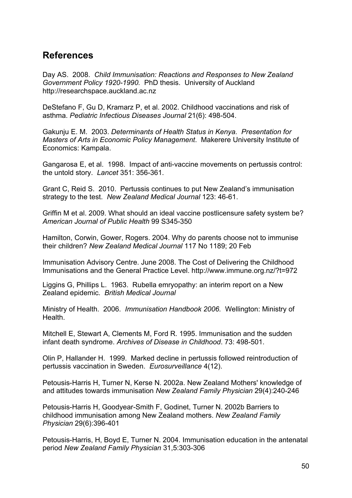# **References**

Day AS. 2008. *Child Immunisation: Reactions and Responses to New Zealand Government Policy 1920-1990.* PhD thesis. University of Auckland http://researchspace.auckland.ac.nz

[DeStefano F](http://www.ncbi.nlm.nih.gov/pubmed?term=%2522DeStefano%20F%2522%255BAuthor%255D), [Gu D](http://www.ncbi.nlm.nih.gov/pubmed?term=%2522Gu%20D%2522%255BAuthor%255D), [Kramarz P](http://www.ncbi.nlm.nih.gov/pubmed?term=%2522Kramarz%20P%2522%255BAuthor%255D), et al. 2002. Childhood vaccinations and risk of asthma. *[Pediatric Infectious Diseases Journal](javascript:AL_get(this,%20)* 21(6): 498-504.

Gakunju E. M. 2003. *Determinants of Health Status in Kenya. Presentation for Masters of Arts in Economic Policy Management*. Makerere University Institute of Economics: Kampala.

Gangarosa E, et al. 1998. Impact of anti-vaccine movements on pertussis control: the untold story. *Lancet* 351: 356-361.

Grant C, Reid S. 2010. Pertussis continues to put New Zealand's immunisation strategy to the test. *New Zealand Medical Journal* 123: 46-61.

Griffin M et al. 2009. What should an ideal vaccine postlicensure safety system be? *American Journal of Public Health* 99 S345-350

Hamilton, Corwin, Gower, Rogers. 2004. Why do parents choose not to immunise their children? *New Zealand Medical Journal* 117 No 1189; 20 Feb

Immunisation Advisory Centre. June 2008. The Cost of Delivering the Childhood Immunisations and the General Practice Level. http://www.immune.org.nz/?t=972

Liggins G, Phillips L. 1963. Rubella emryopathy: an interim report on a New Zealand epidemic. *British Medical Journal*

Ministry of Health. 2006. *Immunisation Handbook 2006.* Wellington: Ministry of **Health** 

Mitchell E, Stewart A, Clements M, Ford R. 1995. Immunisation and the sudden infant death syndrome. *Archives of Disease in Childhood*. 73: 498-501.

Olin P, Hallander H. 1999. Marked decline in pertussis followed reintroduction of pertussis vaccination in Sweden. *Eurosurveillance* 4(12).

Petousis-Harris H, Turner N, Kerse N. 2002a. New Zealand Mothers' knowledge of and attitudes towards immunisation *New Zealand Family Physician* 29(4):240-246

Petousis-Harris H, Goodyear-Smith F, Godinet, Turner N. 2002b Barriers to childhood immunisation among New Zealand mothers. *New Zealand Family Physician* 29(6):396-401

Petousis-Harris, H, Boyd E, Turner N. 2004. Immunisation education in the antenatal period *New Zealand Family Physician* 31,5:303-306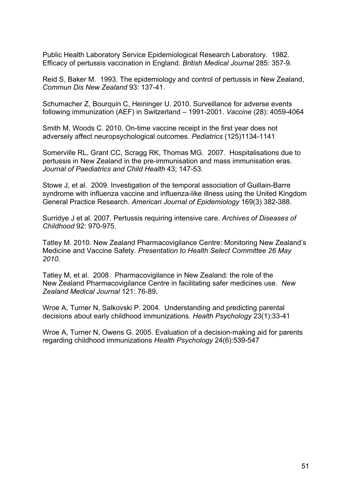Public Health Laboratory Service Epidemiological Research Laboratory. 1982. Efficacy of pertussis vaccination in England. *British Medical Journal* 285: 357-9.

Reid S, Baker M. 1993. The epidemiology and control of pertussis in New Zealand, *Commun Dis New Zealand* 93: 137-41.

Schumacher Z, Bourquin C, Heininger U. 2010. Surveillance for adverse events following immunization (AEF) in Switzerland – 1991-2001. *Vaccine* (28): 4059-4064

Smith M, Woods C. 2010. On-time vaccine receipt in the first year does not adversely affect neuropsychological outcomes. *Pediatrics* (125)1134-1141

Somerville RL, Grant CC, Scragg RK, Thomas MG. 2007. Hospitalisations due to pertussis in New Zealand in the pre-immunisation and mass immunisation eras. *Journal of Paediatrics and Child Health* 43; 147-53.

Stowe J, et al. 2009. Investigation of the temporal association of Guillain-Barre syndrome with influenza vaccine and influenza-like illness using the United Kingdom General Practice Research. *American Journal of Epidemiology* 169(3) 382-388.

Surridye J et al. 2007. Pertussis requiring intensive care. *Archives of Diseases of Childhood* 92: 970-975.

Tatley M. 2010. New Zealand Pharmacovigilance Centre: Monitoring New Zealand's Medicine and Vaccine Safety. *Presentation to Health Select Committee 26 May 2010.*

Tatley M, et al. 2008. Pharmacovigilance in New Zealand: the role of the New Zealand Pharmacovigilance Centre in facilitating safer medicines use. *New Zealand Medical Journal* 121: 76-89**.**

Wroe A, Turner N, Salkovski P. 2004. Understanding and predicting parental decisions about early childhood immunizations. *Health Psychology* 23(1):33-41

Wroe A, Turner N, Owens G. 2005. Evaluation of a decision-making aid for parents regarding childhood immunizations *Health Psychology* 24(6):539-547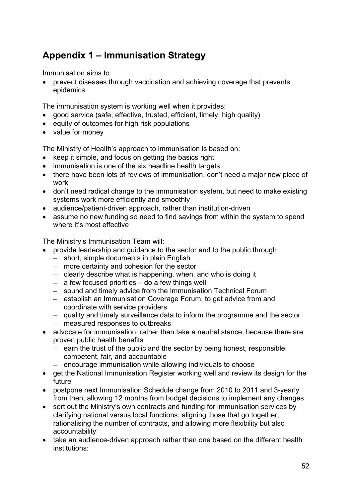# **Appendix 1 – Immunisation Strategy**

Immunisation aims to:

 prevent diseases through vaccination and achieving coverage that prevents epidemics

The immunisation system is working well when it provides:

- good service (safe, effective, trusted, efficient, timely, high quality)
- equity of outcomes for high risk populations
- value for money

The Ministry of Health's approach to immunisation is based on:

- $\bullet$  keep it simple, and focus on getting the basics right
- immunisation is one of the six headline health targets
- there have been lots of reviews of immunisation, don't need a major new piece of work
- don't need radical change to the immunisation system, but need to make existing systems work more efficiently and smoothly
- audience/patient-driven approach, rather than institution-driven
- assume no new funding so need to find savings from within the system to spend where it's most effective

The Ministry's Immunisation Team will:

- provide leadership and guidance to the sector and to the public through
	- short, simple documents in plain English
	- more certainty and cohesion for the sector
	- clearly describe what is happening, when, and who is doing it
	- $-$  a few focused priorities  $-$  do a few things well
	- sound and timely advice from the Immunisation Technical Forum
	- establish an Immunisation Coverage Forum, to get advice from and coordinate with service providers
	- quality and timely surveillance data to inform the programme and the sector
	- measured responses to outbreaks
- advocate for immunisation, rather than take a neutral stance, because there are proven public health benefits
	- earn the trust of the public and the sector by being honest, responsible, competent, fair, and accountable
		- encourage immunisation while allowing individuals to choose
- get the National Immunisation Register working well and review its design for the future
- postpone next Immunisation Schedule change from 2010 to 2011 and 3-yearly from then, allowing 12 months from budget decisions to implement any changes
- sort out the Ministry's own contracts and funding for immunisation services by clarifying national versus local functions, aligning those that go together, rationalising the number of contracts, and allowing more flexibility but also accountability
- take an audience-driven approach rather than one based on the different health institutions: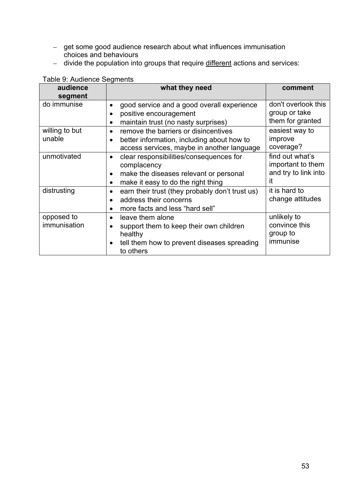- get some good audience research about what influences immunisation choices and behaviours
- divide the population into groups that require different actions and services:

| audience       | what they need                                               | comment              |
|----------------|--------------------------------------------------------------|----------------------|
| segment        |                                                              |                      |
| do immunise    | good service and a good overall experience<br>$\bullet$      | don't overlook this  |
|                | positive encouragement<br>$\bullet$                          | group or take        |
|                | maintain trust (no nasty surprises)<br>$\bullet$             | them for granted     |
| willing to but | remove the barriers or disincentives<br>$\bullet$            | easiest way to       |
| unable         | better information, including about how to<br>$\bullet$      | improve              |
|                | access services, maybe in another language                   | coverage?            |
| unmotivated    | clear responsibilities/consequences for<br>$\bullet$         | find out what's      |
|                | complacency                                                  | important to them    |
|                | make the diseases relevant or personal<br>$\bullet$          | and try to link into |
|                | make it easy to do the right thing<br>٠                      | it                   |
| distrusting    | earn their trust (they probably don't trust us)<br>$\bullet$ | it is hard to        |
|                | address their concerns<br>$\bullet$                          | change attitudes     |
|                | more facts and less "hard sell"<br>$\bullet$                 |                      |
| opposed to     | leave them alone<br>$\bullet$                                | unlikely to          |
| immunisation   | support them to keep their own children<br>$\bullet$         | convince this        |
|                | healthy                                                      | group to             |
|                | tell them how to prevent diseases spreading<br>$\bullet$     | immunise             |
|                | to others                                                    |                      |

## Table 9: Audience Segments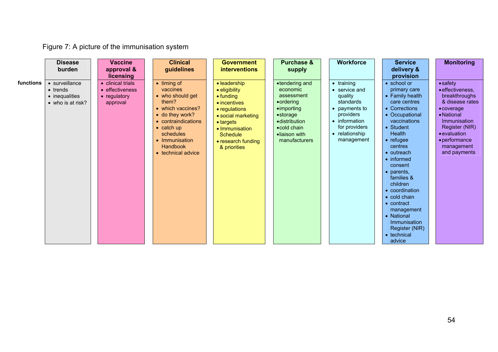# Figure 7: A picture of the immunisation system

|           | <b>Disease</b><br><b>burden</b>                                                   | <b>Vaccine</b><br>approval &<br>licensing                        | <b>Clinical</b><br>guidelines                                                                                                                                                                                             | <b>Government</b><br><i>interventions</i>                                                                                                                                                                  | <b>Purchase &amp;</b><br>supply                                                                                                                                                        | <b>Workforce</b>                                                                                                                                                    | <b>Service</b><br>delivery &<br>provision                                                                                                                                                                                                                                                                                                                                                                                     | <b>Monitoring</b>                                                                                                                                                                                             |
|-----------|-----------------------------------------------------------------------------------|------------------------------------------------------------------|---------------------------------------------------------------------------------------------------------------------------------------------------------------------------------------------------------------------------|------------------------------------------------------------------------------------------------------------------------------------------------------------------------------------------------------------|----------------------------------------------------------------------------------------------------------------------------------------------------------------------------------------|---------------------------------------------------------------------------------------------------------------------------------------------------------------------|-------------------------------------------------------------------------------------------------------------------------------------------------------------------------------------------------------------------------------------------------------------------------------------------------------------------------------------------------------------------------------------------------------------------------------|---------------------------------------------------------------------------------------------------------------------------------------------------------------------------------------------------------------|
| functions | • surveillance<br>$\bullet$ trends<br>• inequalities<br>$\bullet$ who is at risk? | • clinical trials<br>• effectiveness<br>• regulatory<br>approval | $\bullet$ timing of<br>vaccines<br>• who should get<br>them?<br>• which vaccines?<br>• do they work?<br>• contraindications<br>$\bullet$ catch up<br>schedules<br>• Immunisation<br><b>Handbook</b><br>• technical advice | · leadership<br>• eligibility<br>$\bullet$ funding<br>$\bullet$ incentives<br>• regulations<br>· social marketing<br>$\bullet$ targets<br>• Immunisation<br>Schedule<br>• research funding<br>& priorities | •tendering and<br>economic<br>assessment<br>$\bullet$ ordering<br>$\bullet$ importing<br>$\bullet$ storage<br>• distribution<br>$\bullet$ cold chain<br>•liaison with<br>manufacturers | $\bullet$ training<br>$\bullet$ service and<br>quality<br>standards<br>• payments to<br>providers<br>• information<br>for providers<br>• relationship<br>management | • school or<br>primary care<br>• Family health<br>care centres<br>• Corrections<br>• Occupational<br>vaccinations<br>• Student<br><b>Health</b><br>$\bullet$ refugee<br>centres<br>$\bullet$ outreach<br>$\bullet$ informed<br>consent<br>• parents,<br>families &<br>children<br>• coordination<br>• cold chain<br>$\bullet$ contract<br>management<br>• National<br>Immunisation<br>Register (NIR)<br>• technical<br>advice | $\bullet$ safety<br>• effectiveness,<br>breakthroughs<br>& disease rates<br>$\bullet$ coverage<br>• National<br>Immunisation<br>Register (NIR)<br>• evaluation<br>• performance<br>management<br>and payments |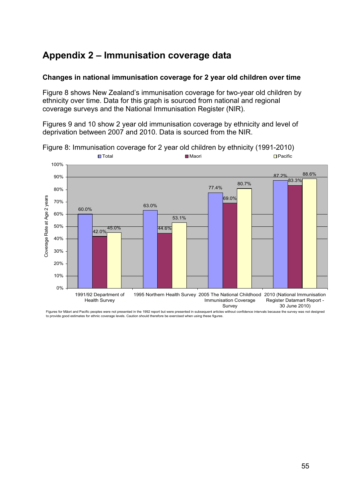# **Appendix 2 – Immunisation coverage data**

#### **Changes in national immunisation coverage for 2 year old children over time**

Figure 8 shows New Zealand's immunisation coverage for two-year old children by ethnicity over time. Data for this graph is sourced from national and regional coverage surveys and the National Immunisation Register (NIR).

Figures 9 and 10 show 2 year old immunisation coverage by ethnicity and level of deprivation between 2007 and 2010. Data is sourced from the NIR.



Figure 8: Immunisation coverage for 2 year old children by ethnicity (1991-2010)

Figures for Māori and Pacific peoples were not presented in the 1992 report but were presented in subsequent articles without confidence intervals because the survey was not designed to provide good estimates for ethnic coverage levels. Caution should therefore be exercised when using these figures.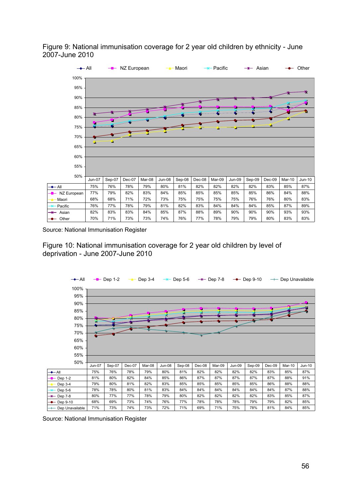Figure 9: National immunisation coverage for 2 year old children by ethnicity - June 2007-June 2010



Source: National Immunisation Register

Figure 10: National immunisation coverage for 2 year old children by level of deprivation - June 2007-June 2010



Source: National Immunisation Register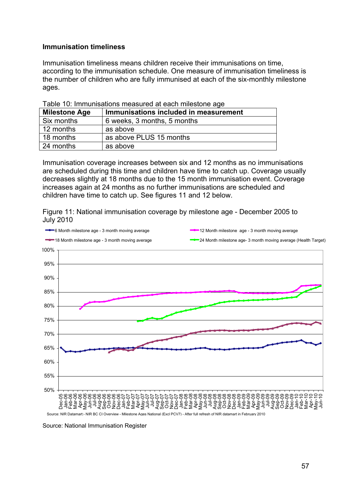#### **Immunisation timeliness**

Immunisation timeliness means children receive their immunisations on time, according to the immunisation schedule. One measure of immunisation timeliness is the number of children who are fully immunised at each of the six-monthly milestone ages.

| <b>Milestone Age</b> | Immunisations included in measurement |  |  |  |  |  |  |  |  |  |
|----------------------|---------------------------------------|--|--|--|--|--|--|--|--|--|
| Six months           | 6 weeks, 3 months, 5 months           |  |  |  |  |  |  |  |  |  |
| 12 months            | as above                              |  |  |  |  |  |  |  |  |  |
| 18 months            | as above PLUS 15 months               |  |  |  |  |  |  |  |  |  |
| 24 months            | as above                              |  |  |  |  |  |  |  |  |  |

| Table 10: Immunisations measured at each milestone age |  |  |  |  |  |  |
|--------------------------------------------------------|--|--|--|--|--|--|
|--------------------------------------------------------|--|--|--|--|--|--|

Immunisation coverage increases between six and 12 months as no immunisations are scheduled during this time and children have time to catch up. Coverage usually decreases slightly at 18 months due to the 15 month immunisation event. Coverage increases again at 24 months as no further immunisations are scheduled and children have time to catch up. See figures 11 and 12 below.

Figure 11: National immunisation coverage by milestone age - December 2005 to July 2010



Source: National Immunisation Register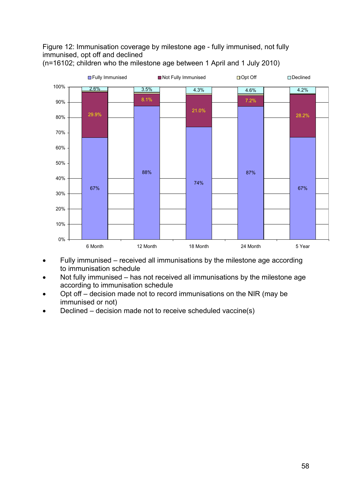Figure 12: Immunisation coverage by milestone age - fully immunised, not fully immunised, opt off and declined



(n=16102; children who the milestone age between 1 April and 1 July 2010)

- Fully immunised received all immunisations by the milestone age according to immunisation schedule
- Not fully immunised has not received all immunisations by the milestone age according to immunisation schedule
- Opt off decision made not to record immunisations on the NIR (may be immunised or not)
- Declined decision made not to receive scheduled vaccine(s)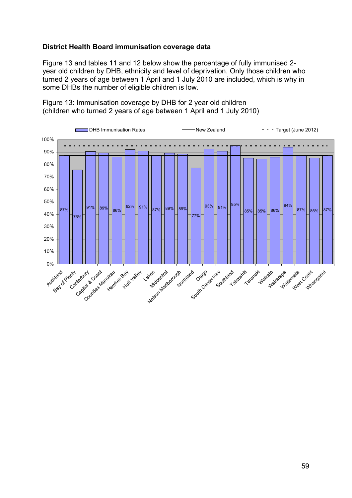#### **District Health Board immunisation coverage data**

Figure 13 and tables 11 and 12 below show the percentage of fully immunised 2 year old children by DHB, ethnicity and level of deprivation. Only those children who turned 2 years of age between 1 April and 1 July 2010 are included, which is why in some DHBs the number of eligible children is low.

Figure 13: Immunisation coverage by DHB for 2 year old children (children who turned 2 years of age between 1 April and 1 July 2010)

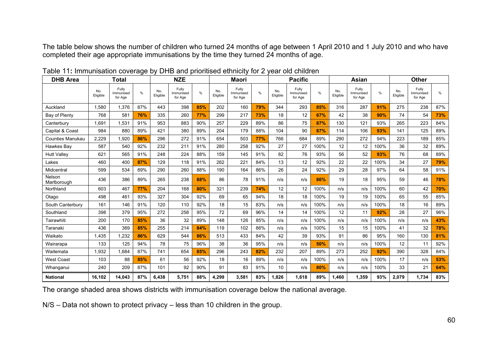The table below shows the number of children who turned 24 months of age between 1 April 2010 and 1 July 2010 and who have completed their age appropriate immunisations by the time they turned 24 months of age.

| <b>DHB Area</b>         |                 | <b>Total</b>                  |      |                 | <b>NZE</b>                    |      |                 | <b>Maori</b>                  |     |                 | <b>Pacific</b>                |      | Asian           |                               |      | <b>Other</b>    |                               |      |
|-------------------------|-----------------|-------------------------------|------|-----------------|-------------------------------|------|-----------------|-------------------------------|-----|-----------------|-------------------------------|------|-----------------|-------------------------------|------|-----------------|-------------------------------|------|
|                         | No.<br>Eligible | Fully<br>Immunised<br>for Age | $\%$ | No.<br>Eligible | Fully<br>Immunised<br>for Age | $\%$ | No.<br>Eligible | Fully<br>Immunised<br>for Age | %   | No.<br>Eligible | Fully<br>Immunised<br>for Age | %    | No.<br>Eligible | Fully<br>Immunised<br>for Age | %    | No.<br>Eligible | Fully<br>Immunised<br>for Age | $\%$ |
| Auckland                | 1,580           | 1,376                         | 87%  | 443             | 398                           | 85%  | 202             | 160                           | 79% | 344             | 293                           | 85%  | 316             | 287                           | 91%  | 275             | 238                           | 87%  |
| Bay of Plenty           | 768             | 581                           | 76%  | 335             | 260                           | 77%  | 299             | 217                           | 73% | 18              | 12                            | 67%  | 42              | 38                            | 90%  | 74              | 54                            | 73%  |
| Canterbury              | 1.691           | 1.531                         | 91%  | 953             | 883                           | 90%  | 257             | 229                           | 89% | 86              | 75                            | 87%  | 130             | 121                           | 93%  | 265             | 223                           | 84%  |
| Capital & Coast         | 984             | 880                           | 89%  | 421             | 380                           | 89%  | 204             | 179                           | 88% | 104             | 90                            | 87%  | 114             | 106                           | 93%  | 141             | 125                           | 89%  |
| <b>Counties Manukau</b> | 2.229           | 1.920                         | 86%  | 296             | 272                           | 91%  | 654             | 503                           | 77% | 766             | 684                           | 89%  | 290             | 272                           | 94%  | 223             | 189                           | 85%  |
| Hawkes Bay              | 587             | 540                           | 92%  | 232             | 211                           | 91%  | 280             | 258                           | 92% | 27              | 27                            | 100% | 12              | 12                            | 100% | 36              | 32                            | 89%  |
| <b>Hutt Vallev</b>      | 621             | 565                           | 91%  | 248             | 224                           | 88%  | 159             | 145                           | 91% | 82              | 76                            | 93%  | 56              | 52                            | 93%  | 76              | 68                            | 89%  |
| Lakes                   | 460             | 400                           | 87%  | 129             | 118                           | 91%  | 262             | 221                           | 84% | 13              | 12                            | 92%  | 22              | 22                            | 100% | 34              | 27                            | 79%  |
| Midcentral              | 599             | 534                           | 89%  | 290             | 260                           | 88%  | 190             | 164                           | 86% | 26              | 24                            | 92%  | 29              | 28                            | 97%  | 64              | 58                            | 91%  |
| Nelson<br>Marlborough   | 436             | 386                           | 89%  | 265             | 238                           | 88%  | 86              | 78                            | 91% | n/s             | n/s                           | 86%  | 19              | 18                            | 95%  | 59              | 46                            | 78%  |
| Northland               | 603             | 467                           | 77%  | 204             | 168                           | 80%  | 321             | 239                           | 74% | 12              | 12                            | 100% | n/s             | n/s                           | 100% | 60              | 42                            | 70%  |
| Otago                   | 498             | 461                           | 93%  | 327             | 304                           | 92%  | 69              | 65                            | 94% | 18              | 18                            | 100% | 19              | 19                            | 100% | 65              | 55                            | 85%  |
| South Canterbury        | 161             | 146                           | 91%  | 120             | 110                           | 92%  | 18              | 15                            | 83% | n/s             | n/s                           | 100% | n/s             | n/s                           | 100% | 18              | 16                            | 89%  |
| Southland               | 398             | 379                           | 95%  | 272             | 258                           | 95%  | 72              | 69                            | 96% | 14              | 14                            | 100% | 12              | 11                            | 92%  | 28              | 27                            | 96%  |
| Tairawhiti              | 200             | 170                           | 85%  | 36              | 32                            | 89%  | 148             | 126                           | 85% | n/s             | n/s                           | 100% | n/s             | n/s                           | 100% | n/s             | n/s                           | 43%  |
| Taranaki                | 436             | 369                           | 85%  | 255             | 214                           | 84%  | 119             | 102                           | 86% | n/s             | n/s                           | 100% | 15              | 15                            | 100% | 41              | 32                            | 78%  |
| Waikato                 | 1,435           | 1,232                         | 86%  | 629             | 544                           | 86%  | 513             | 433                           | 84% | 42              | 39                            | 93%  | 91              | 86                            | 95%  | 160             | 130                           | 81%  |
| Wairarapa               | 133             | 125                           | 94%  | 78              | 75                            | 96%  | 38              | 36                            | 95% | n/s             | n/s                           | 50%  | n/s             | n/s                           | 100% | 12              | 11                            | 92%  |
| Waitemata               | 1,932           | 1,684                         | 87%  | 741             | 654                           | 85%  | 296             | 243                           | 82% | 232             | 207                           | 89%  | 273             | 252                           | 92%  | 390             | 328                           | 84%  |
| <b>West Coast</b>       | 103             | 88                            | 85%  | 61              | 56                            | 92%  | 18              | 16                            | 89% | n/s             | n/s                           | 100% | n/s             | n/s                           | 100% | 17              | n/s                           | 53%  |
| Whanganui               | 240             | 209                           | 87%  | 101             | 92                            | 90%  | 91              | 83                            | 91% | 10              | n/s                           | 80%  | n/s             | n/s                           | 100% | 33              | 21                            | 64%  |
| <b>National</b>         | 16.102          | 14,043                        | 87%  | 6,438           | 5,751                         | 88%  | 4,299           | 3,581                         | 83% | 1,826           | 1,618                         | 89%  | 1,460           | 1,359                         | 93%  | 2,079           | 1,734                         | 83%  |

Table 11**:** Immunisation coverage by DHB and prioritised ethnicity for 2 year old children

The orange shaded area shows districts with immunisation coverage below the national average.

N/S – Data not shown to protect privacy – less than 10 children in the group.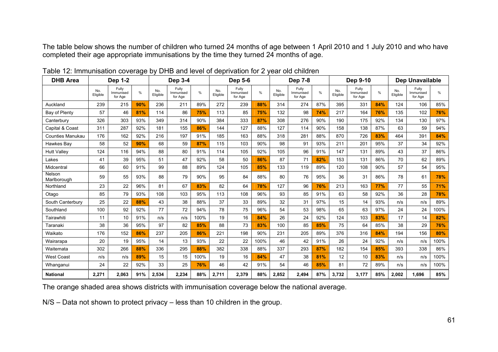The table below shows the number of children who turned 24 months of age between 1 April 2010 and 1 July 2010 and who have completed their age appropriate immunisations by the time they turned 24 months of age.

| <b>DHB Area</b>         | <b>Dep 3-4</b><br><b>Dep 1-2</b> |                               |               |                 |                               | Dep 5-6       |                 |                               | <b>Dep 7-8</b> |                 |                               | <b>Dep 9-10</b> |                 |                               | Dep Unavailable |                 |                               |      |
|-------------------------|----------------------------------|-------------------------------|---------------|-----------------|-------------------------------|---------------|-----------------|-------------------------------|----------------|-----------------|-------------------------------|-----------------|-----------------|-------------------------------|-----------------|-----------------|-------------------------------|------|
|                         | No.<br>Eligible                  | Fully<br>Immunised<br>for Age | $\frac{0}{0}$ | No.<br>Eligible | Fully<br>Immunised<br>for Age | $\frac{1}{2}$ | No.<br>Eligible | Fully<br>Immunised<br>for Age | %              | No.<br>Eligible | Fully<br>Immunised<br>for Age | $\frac{0}{0}$   | No.<br>Eligible | Fully<br>Immunised<br>for Age | %               | No.<br>Eligible | Fully<br>Immunised<br>for Age | $\%$ |
| Auckland                | 239                              | 215                           | 90%           | 236             | 211                           | 89%           | 272             | 239                           | 88%            | 314             | 274                           | 87%             | 395             | 331                           | 84%             | 124             | 106                           | 85%  |
| Bay of Plenty           | 57                               | 46                            | 81%           | 114             | 86                            | 75%           | 113             | 85                            | 75%            | 132             | 98                            | 74%             | 217             | 164                           | 76%             | 135             | 102                           | 76%  |
| Canterbury              | 326                              | 303                           | 93%           | 349             | 314                           | 90%           | 384             | 333                           | 87%            | 308             | 276                           | 90%             | 190             | 175                           | 92%             | 134             | 130                           | 97%  |
| Capital & Coast         | 311                              | 287                           | 92%           | 181             | 155                           | 86%           | 144             | 127                           | 88%            | 127             | 114                           | 90%             | 158             | 138                           | 87%             | 63              | 59                            | 94%  |
| <b>Counties Manukau</b> | 176                              | 162                           | 92%           | 216             | 197                           | 91%           | 185             | 163                           | 88%            | 318             | 281                           | 88%             | 870             | 726                           | 83%             | 464             | 391                           | 84%  |
| Hawkes Bay              | 58                               | 52                            | 90%           | 68              | 59                            | 87%           | 115             | 103                           | 90%            | 98              | 91                            | 93%             | 211             | 201                           | 95%             | 37              | 34                            | 92%  |
| <b>Hutt Valley</b>      | 124                              | 116                           | 94%           | 88              | 80                            | 91%           | 114             | 105                           | 92%            | 105             | 96                            | 91%             | 147             | 131                           | 89%             | 43              | 37                            | 86%  |
| Lakes                   | 41                               | 39                            | 95%           | 51              | 47                            | 92%           | 58              | 50                            | 86%            | 87              | 71                            | 82%             | 153             | 131                           | 86%             | 70              | 62                            | 89%  |
| Midcentral              | 66                               | 60                            | 91%           | 99              | 88                            | 89%           | 124             | 105                           | 85%            | 133             | 119                           | 89%             | 120             | 108                           | 90%             | 57              | 54                            | 95%  |
| Nelson<br>Marlborough   | 59                               | 55                            | 93%           | 88              | 79                            | 90%           | 95              | 84                            | 88%            | 80              | 76                            | 95%             | 36              | 31                            | 86%             | 78              | 61                            | 78%  |
| Northland               | 23                               | 22                            | 96%           | 81              | 67                            | 83%           | 82              | 64                            | 78%            | 127             | 96                            | 76%             | 213             | 163                           | 77%             | 77              | 55                            | 71%  |
| Otago                   | 85                               | 79                            | 93%           | 108             | 103                           | 95%           | 113             | 108                           | 96%            | 93              | 85                            | 91%             | 63              | 58                            | 92%             | 36              | 28                            | 78%  |
| South Canterbury        | 25                               | 22                            | 88%           | 43              | 38                            | 88%           | 37              | 33                            | 89%            | 32              | 31                            | 97%             | 15              | 14                            | 93%             | n/s             | n/s                           | 89%  |
| Southland               | 100                              | 92                            | 92%           | 77              | 72                            | 94%           | 78              | 75                            | 96%            | 54              | 53                            | 98%             | 65              | 63                            | 97%             | 24              | 24                            | 100% |
| Tairawhiti              | 11                               | 10                            | 91%           | n/s             | n/s                           | 100%          | 19              | 16                            | 84%            | 26              | 24                            | 92%             | 124             | 103                           | 83%             | 17              | 14                            | 82%  |
| Taranaki                | 38                               | 36                            | 95%           | 97              | 82                            | 85%           | 88              | 73                            | 83%            | 100             | 85                            | 85%             | 75              | 64                            | 85%             | 38              | 29                            | 76%  |
| Waikato                 | 176                              | 152                           | 86%           | 237             | 205                           | 86%           | 221             | 198                           | 90%            | 231             | 205                           | 89%             | 376             | 316                           | 84%             | 194             | 156                           | 80%  |
| Wairarapa               | 20                               | 19                            | 95%           | 14              | 13                            | 93%           | 22              | 22                            | 100%           | 46              | 42                            | 91%             | 26              | 24                            | 92%             | n/s             | n/s                           | 100% |
| Waitemata               | 302                              | 266                           | 88%           | 336             | 295                           | 88%           | 382             | 338                           | 88%            | 337             | 293                           | 87%             | 182             | 154                           | 85%             | 393             | 338                           | 86%  |
| <b>West Coast</b>       | n/s                              | n/s                           | 89%           | 15              | 15                            | 100%          | 19              | 16                            | 84%            | 47              | 38                            | 81%             | 12              | 10                            | 83%             | n/s             | n/s                           | 100% |
| Whanganui               | 24                               | 22                            | 92%           | 33              | 25                            | 76%           | 46              | 42                            | 91%            | 54              | 46                            | 85%             | 81              | 72                            | 89%             | n/s             | n/s                           | 100% |
| <b>National</b>         | 2,271                            | 2,063                         | 91%           | 2,534           | 2,234                         | 88%           | 2,711           | 2,379                         | 88%            | 2,852           | 2,494                         | 87%             | 3,732           | 3,177                         | 85%             | 2,002           | 1,696                         | 85%  |

Table 12: Immunisation coverage by DHB and level of deprivation for 2 year old children

The orange shaded area shows districts with immunisation coverage below the national average.

N/S – Data not shown to protect privacy – less than 10 children in the group.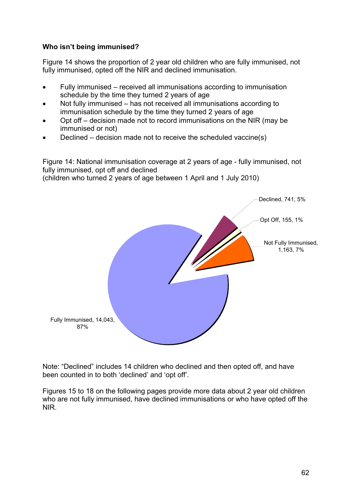## **Who isn't being immunised?**

Figure 14 shows the proportion of 2 year old children who are fully immunised, not fully immunised, opted off the NIR and declined immunisation.

- Fully immunised received all immunisations according to immunisation schedule by the time they turned 2 years of age
- Not fully immunised has not received all immunisations according to immunisation schedule by the time they turned 2 years of age
- Opt off decision made not to record immunisations on the NIR (may be immunised or not)
- Declined decision made not to receive the scheduled vaccine(s)

Figure 14: National immunisation coverage at 2 years of age - fully immunised, not fully immunised, opt off and declined

(children who turned 2 years of age between 1 April and 1 July 2010)



Note: "Declined" includes 14 children who declined and then opted off, and have been counted in to both 'declined' and 'opt off'.

Figures 15 to 18 on the following pages provide more data about 2 year old children who are not fully immunised, have declined immunisations or who have opted off the NIR.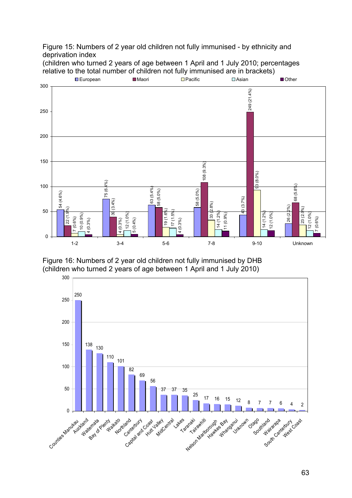Figure 15: Numbers of 2 year old children not fully immunised - by ethnicity and deprivation index

■European ■Maori DPacific DAsian ■Other 300 249 (21.4%) 249 (21.4%) 250 200 150 108 (9.3%) 108 (9.3%) 93 (8.0%) 75 (6.4%) 100 63 (5.4%) 68 (5.8%) 58 (5.0%) 58 (5.0%) 54 (4.6%) 43 (3.7%) 39 (3.4%) 33 (2.8%) 26 (2.2%) 23 (2.0%) 50 19 (1.6%) 17 (1.5%)  $\overline{14}$  (1.2%) 14 (1.2%) 11 (0.9%) 12 (1.0%) 12 (1.0%) 12 (1.0%) 22 (1.9 10 (0.9%)  $(0.6\%)$  $(0.6\%)$ 5 (0.4%)  $4(0.3\%)$  $(0.3\%)$ 4 (0.3%)  $\overline{0}$ 1-2 3-4 5-6 7-8 9-10 Unknown

(children who turned 2 years of age between 1 April and 1 July 2010; percentages relative to the total number of children not fully immunised are in brackets)

Figure 16: Numbers of 2 year old children not fully immunised by DHB (children who turned 2 years of age between 1 April and 1 July 2010)

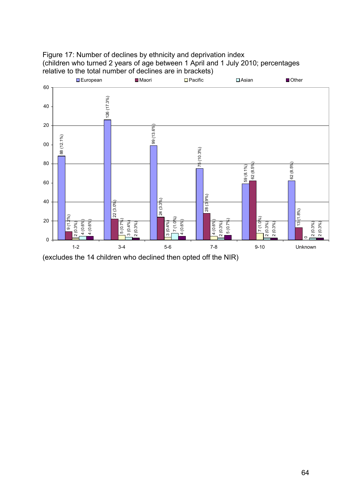

Figure 17: Number of declines by ethnicity and deprivation index (children who turned 2 years of age between 1 April and 1 July 2010; percentages relative to the total number of declines are in brackets)

(excludes the 14 children who declined then opted off the NIR)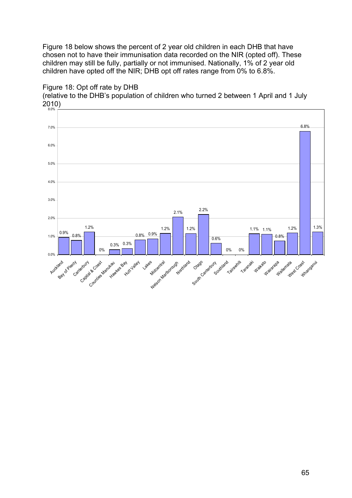Figure 18 below shows the percent of 2 year old children in each DHB that have chosen not to have their immunisation data recorded on the NIR (opted off). These children may still be fully, partially or not immunised. Nationally, 1% of 2 year old children have opted off the NIR; DHB opt off rates range from 0% to 6.8%.



Figure 18: Opt off rate by DHB

(relative to the DHB's population of children who turned 2 between 1 April and 1 July 2010)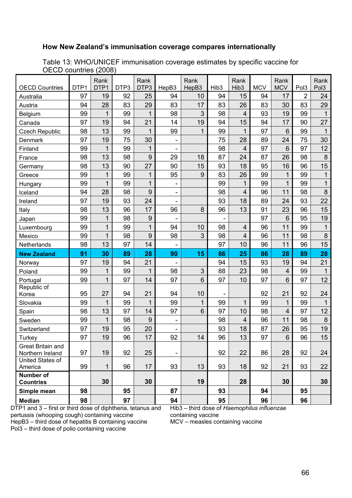## **How New Zealand's immunisation coverage compares internationally**

|                                      | <b>OUGHLING</b> | ◡◡◡            |      |              |                          |              |                          |                  |            |                         |                  |                  |
|--------------------------------------|-----------------|----------------|------|--------------|--------------------------|--------------|--------------------------|------------------|------------|-------------------------|------------------|------------------|
|                                      |                 | Rank           |      | Rank         |                          | Rank         |                          | Rank             |            | Rank                    |                  | Rank             |
| <b>OECD Countries</b>                | DTP1            | DTP1           | DTP3 | DTP3         | HepB3                    | HepB3        | Hib <sub>3</sub>         | Hib <sub>3</sub> | <b>MCV</b> | <b>MCV</b>              | Pol <sub>3</sub> | Pol <sub>3</sub> |
| Australia                            | 97              | 19             | 92   | 25           | 94                       | 10           | 94                       | 15               | 94         | 17                      | $\overline{2}$   | 24               |
| Austria                              | 94              | 28             | 83   | 29           | 83                       | 17           | 83                       | 26               | 83         | 30                      | 83               | 29               |
| Belgium                              | 99              | 1              | 99   | 1            | 98                       | 3            | 98                       | 4                | 93         | 19                      | 99               | $\mathbf{1}$     |
| Canada                               | 97              | 19             | 94   | 21           | 14                       | 19           | 94                       | 15               | 94         | 17                      | 90               | 27               |
| <b>Czech Republic</b>                | 98              | 13             | 99   | $\mathbf{1}$ | 99                       | $\mathbf{1}$ | 99                       | $\mathbf{1}$     | 97         | $6\phantom{1}$          | 99               | $\mathbf{1}$     |
| Denmark                              | 97              | 19             | 75   | 30           |                          |              | 75                       | 28               | 89         | 24                      | 75               | 30               |
| Finland                              | 99              | 1              | 99   | 1            |                          |              | 98                       | 4                | 97         | 6                       | 97               | 12               |
| France                               | 98              | 13             | 98   | 9            | 29                       | 18           | 87                       | 24               | 87         | 26                      | 98               | 8                |
| Germany                              | 98              | 13             | 90   | 27           | 90                       | 15           | 93                       | 18               | 95         | 16                      | 96               | 15               |
| Greece                               | 99              | $\overline{1}$ | 99   | $\mathbf{1}$ | 95                       | 9            | 83                       | 26               | 99         | 1                       | 99               | $\mathbf{1}$     |
| Hungary                              | 99              | $\mathbf{1}$   | 99   | $\mathbf{1}$ |                          |              | 99                       | 1                | 99         | $\overline{1}$          | 99               | $\mathbf{1}$     |
| Iceland                              | 94              | 28             | 98   | 9            |                          |              | 98                       | 4                | 96         | 11                      | 98               | 8                |
| Ireland                              | 97              | 19             | 93   | 24           |                          |              | 93                       | 18               | 89         | 24                      | 93               | 22               |
| Italy                                | 98              | 13             | 96   | 17           | 96                       | 8            | 96                       | 13               | 91         | 23                      | 96               | 15               |
| Japan                                | 99              | 1              | 98   | 9            |                          |              | $\overline{\phantom{0}}$ |                  | 97         | 6                       | 95               | 19               |
| Luxembourg                           | 99              | $\overline{1}$ | 99   | 1            | 94                       | 10           | 98                       | 4                | 96         | 11                      | 99               | $\mathbf{1}$     |
| Mexico                               | 99              | $\overline{1}$ | 98   | 9            | 98                       | 3            | 98                       | 4                | 96         | 11                      | 98               | 8                |
| Netherlands                          | 98              | 13             | 97   | 14           |                          |              | 97                       | 10               | 96         | 11                      | 96               | 15               |
| <b>New Zealand</b>                   | 91              | 30             | 89   | 28           | 90                       | 15           | 86                       | 25               | 86         | 28                      | 89               | 28               |
| Norway                               | 97              | 19             | 94   | 21           |                          |              | 94                       | 15               | 93         | 19                      | 94               | 21               |
| Poland                               | 99              | 1              | 99   | 1            | 98                       | 3            | 88                       | 23               | 98         | $\overline{\mathbf{4}}$ | 99               | 1                |
| Portugal                             | 99              | 1              | 97   | 14           | 97                       | 6            | 97                       | 10               | 97         | $6\phantom{1}$          | 97               | 12               |
| Republic of<br>Korea                 | 95              | 27             | 94   | 21           | 94                       | 10           |                          |                  | 92         | 21                      | 92               | 24               |
| Slovakia                             | 99              | $\mathbf{1}$   | 99   | 1            | 99                       | 1            | 99                       | $\overline{1}$   | 99         | 1                       | 99               | $\mathbf{1}$     |
| Spain                                | 98              | 13             | 97   | 14           | 97                       | 6            | 97                       | 10               | 98         | 4                       | 97               | 12               |
| Sweden                               | 99              | 1              | 98   | 9            |                          |              | 98                       | 4                | 96         | 11                      | 98               | 8                |
| Switzerland                          | 97              | 19             | 95   | 20           |                          |              | 93                       | 18               | 87         | 26                      | 95               | 19               |
| Turkey                               | 97              | 19             | 96   | 17           | 92                       | 14           | 96                       | 13               | 97         | $\,6$                   | 96               | 15 <sub>1</sub>  |
| Great Britain and                    |                 |                |      |              |                          |              |                          |                  |            |                         |                  |                  |
| Northern Ireland                     | 97              | 19             | 92   | 25           | $\overline{\phantom{a}}$ |              | 92                       | 22               | 86         | 28                      | 92               | 24               |
| United States of                     |                 |                |      |              |                          |              |                          |                  |            |                         |                  |                  |
| America                              | 99              | $\mathbf{1}$   | 96   | 17           | 93                       | 13           | 93                       | 18               | 92         | 21                      | 93               | 22               |
| <b>Number of</b><br><b>Countries</b> |                 | 30             |      | 30           |                          | 19           |                          | 28               |            | 30                      |                  | 30               |
| Simple mean                          | 98              |                | 95   |              | 87                       |              | 93                       |                  | 94         |                         | 95               |                  |
| <b>Median</b>                        | 98              |                | 97   |              | 94                       |              | 95                       |                  | 96         |                         | 96               |                  |

Table 13: WHO/UNICEF immunisation coverage estimates by specific vaccine for OECD countries (2008)

DTP1 and 3 – first or third dose of diphtheria, tetanus and Hib3 – third dose of *Haemophilus influenzae* pertussis (whooping cough) containing vaccine containing vaccine HepB3 – third dose of hepatitis B containing vaccine MCV – measles containing vaccine

Pol3 – third dose of polio containing vaccine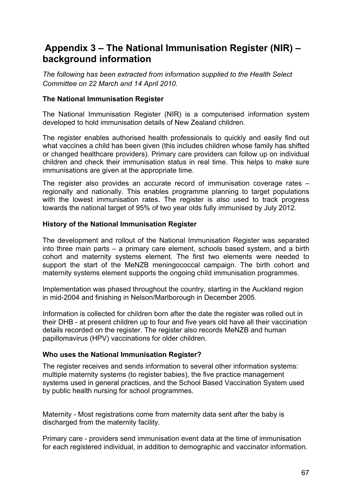# **Appendix 3 – The National Immunisation Register (NIR) – background information**

*The following has been extracted from information supplied to the Health Select Committee on 22 March and 14 April 2010.* 

## **The National Immunisation Register**

The National Immunisation Register (NIR) is a computerised information system developed to hold immunisation details of New Zealand children.

The register enables authorised health professionals to quickly and easily find out what vaccines a child has been given (this includes children whose family has shifted or changed healthcare providers). Primary care providers can follow up on individual children and check their immunisation status in real time. This helps to make sure immunisations are given at the appropriate time.

The register also provides an accurate record of immunisation coverage rates – regionally and nationally. This enables programme planning to target populations with the lowest immunisation rates. The register is also used to track progress towards the national target of 95% of two year olds fully immunised by July 2012.

## **History of the National Immunisation Register**

The development and rollout of the National Immunisation Register was separated into three main parts – a primary care element, schools based system, and a birth cohort and maternity systems element. The first two elements were needed to support the start of the MeNZB meningococcal campaign. The birth cohort and maternity systems element supports the ongoing child immunisation programmes.

Implementation was phased throughout the country, starting in the Auckland region in mid-2004 and finishing in Nelson/Marlborough in December 2005.

Information is collected for children born after the date the register was rolled out in their DHB - at present children up to four and five years old have all their vaccination details recorded on the register. The register also records MeNZB and human papillomavirus (HPV) vaccinations for older children.

## **Who uses the National Immunisation Register?**

The register receives and sends information to several other information systems: multiple maternity systems (to register babies), the five practice management systems used in general practices, and the School Based Vaccination System used by public health nursing for school programmes.

Maternity - Most registrations come from maternity data sent after the baby is discharged from the maternity facility.

Primary care - providers send immunisation event data at the time of immunisation for each registered individual, in addition to demographic and vaccinator information.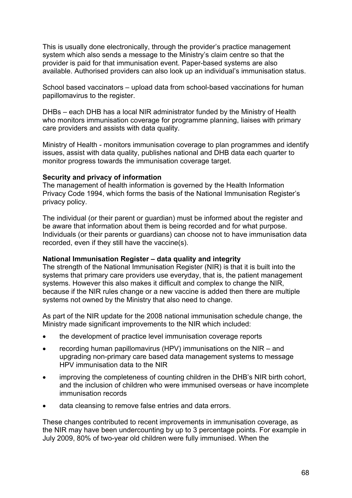This is usually done electronically, through the provider's practice management system which also sends a message to the Ministry's claim centre so that the provider is paid for that immunisation event. Paper-based systems are also available. Authorised providers can also look up an individual's immunisation status.

School based vaccinators – upload data from school-based vaccinations for human papillomavirus to the register.

DHBs – each DHB has a local NIR administrator funded by the Ministry of Health who monitors immunisation coverage for programme planning, liaises with primary care providers and assists with data quality.

Ministry of Health - monitors immunisation coverage to plan programmes and identify issues, assist with data quality, publishes national and DHB data each quarter to monitor progress towards the immunisation coverage target.

#### **Security and privacy of information**

The management of health information is governed by the Health Information Privacy Code 1994, which forms the basis of the National Immunisation Register's privacy policy.

The individual (or their parent or guardian) must be informed about the register and be aware that information about them is being recorded and for what purpose. Individuals (or their parents or guardians) can choose not to have immunisation data recorded, even if they still have the vaccine(s).

#### **National Immunisation Register – data quality and integrity**

The strength of the National Immunisation Register (NIR) is that it is built into the systems that primary care providers use everyday, that is, the patient management systems. However this also makes it difficult and complex to change the NIR, because if the NIR rules change or a new vaccine is added then there are multiple systems not owned by the Ministry that also need to change.

As part of the NIR update for the 2008 national immunisation schedule change, the Ministry made significant improvements to the NIR which included:

- the development of practice level immunisation coverage reports
- recording human papillomavirus (HPV) immunisations on the NIR and upgrading non-primary care based data management systems to message HPV immunisation data to the NIR
- improving the completeness of counting children in the DHB's NIR birth cohort, and the inclusion of children who were immunised overseas or have incomplete immunisation records
- data cleansing to remove false entries and data errors.

These changes contributed to recent improvements in immunisation coverage, as the NIR may have been undercounting by up to 3 percentage points. For example in July 2009, 80% of two-year old children were fully immunised. When the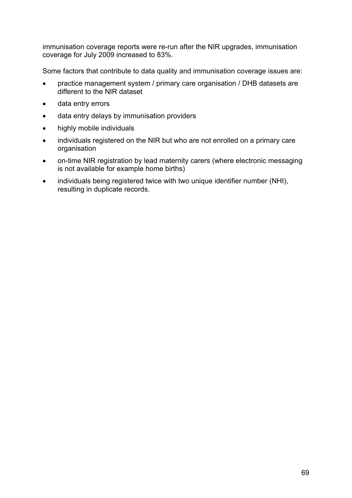immunisation coverage reports were re-run after the NIR upgrades, immunisation coverage for July 2009 increased to 83%.

Some factors that contribute to data quality and immunisation coverage issues are:

- practice management system / primary care organisation / DHB datasets are different to the NIR dataset
- data entry errors
- data entry delays by immunisation providers
- highly mobile individuals
- individuals registered on the NIR but who are not enrolled on a primary care organisation
- on-time NIR registration by lead maternity carers (where electronic messaging is not available for example home births)
- individuals being registered twice with two unique identifier number (NHI), resulting in duplicate records.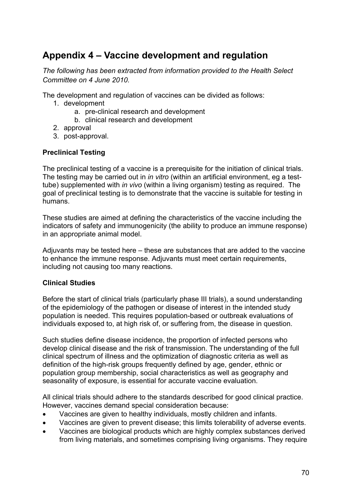# **Appendix 4 – Vaccine development and regulation**

*The following has been extracted from information provided to the Health Select Committee on 4 June 2010.* 

The development and regulation of vaccines can be divided as follows:

- 1. development
	- a. pre-clinical research and development
	- b. clinical research and development
- 2. approval
- 3. post-approval.

## **Preclinical Testing**

The preclinical testing of a vaccine is a prerequisite for the initiation of clinical trials. The testing may be carried out in *in vitro* (within an artificial environment, eg a testtube) supplemented with *in vivo* (within a living organism) testing as required. The goal of preclinical testing is to demonstrate that the vaccine is suitable for testing in humans.

These studies are aimed at defining the characteristics of the vaccine including the indicators of safety and immunogenicity (the ability to produce an immune response) in an appropriate animal model.

Adjuvants may be tested here – these are substances that are added to the vaccine to enhance the immune response. Adjuvants must meet certain requirements, including not causing too many reactions.

#### **Clinical Studies**

Before the start of clinical trials (particularly phase III trials), a sound understanding of the epidemiology of the pathogen or disease of interest in the intended study population is needed. This requires population-based or outbreak evaluations of individuals exposed to, at high risk of, or suffering from, the disease in question.

Such studies define disease incidence, the proportion of infected persons who develop clinical disease and the risk of transmission. The understanding of the full clinical spectrum of illness and the optimization of diagnostic criteria as well as definition of the high-risk groups frequently defined by age, gender, ethnic or population group membership, social characteristics as well as geography and seasonality of exposure, is essential for accurate vaccine evaluation.

All clinical trials should adhere to the standards described for good clinical practice. However, vaccines demand special consideration because:

- Vaccines are given to healthy individuals, mostly children and infants.
- Vaccines are given to prevent disease; this limits tolerability of adverse events.
- Vaccines are biological products which are highly complex substances derived from living materials, and sometimes comprising living organisms. They require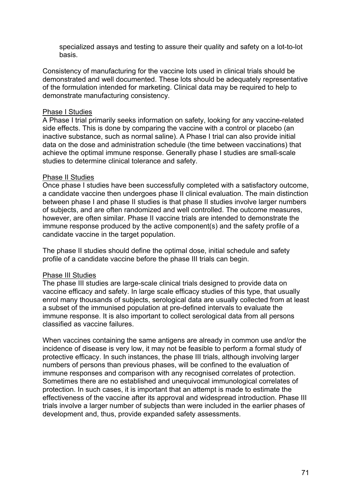specialized assays and testing to assure their quality and safety on a lot-to-lot basis.

Consistency of manufacturing for the vaccine lots used in clinical trials should be demonstrated and well documented. These lots should be adequately representative of the formulation intended for marketing. Clinical data may be required to help to demonstrate manufacturing consistency.

#### Phase I Studies

A Phase I trial primarily seeks information on safety, looking for any vaccine-related side effects. This is done by comparing the vaccine with a control or placebo (an inactive substance, such as normal saline). A Phase I trial can also provide initial data on the dose and administration schedule (the time between vaccinations) that achieve the optimal immune response. Generally phase I studies are small-scale studies to determine clinical tolerance and safety.

#### Phase II Studies

Once phase I studies have been successfully completed with a satisfactory outcome, a candidate vaccine then undergoes phase II clinical evaluation. The main distinction between phase I and phase II studies is that phase II studies involve larger numbers of subjects, and are often randomized and well controlled. The outcome measures, however, are often similar. Phase II vaccine trials are intended to demonstrate the immune response produced by the active component(s) and the safety profile of a candidate vaccine in the target population.

The phase II studies should define the optimal dose, initial schedule and safety profile of a candidate vaccine before the phase III trials can begin.

#### Phase III Studies

The phase III studies are large-scale clinical trials designed to provide data on vaccine efficacy and safety. In large scale efficacy studies of this type, that usually enrol many thousands of subjects, serological data are usually collected from at least a subset of the immunised population at pre-defined intervals to evaluate the immune response. It is also important to collect serological data from all persons classified as vaccine failures.

When vaccines containing the same antigens are already in common use and/or the incidence of disease is very low, it may not be feasible to perform a formal study of protective efficacy. In such instances, the phase III trials, although involving larger numbers of persons than previous phases, will be confined to the evaluation of immune responses and comparison with any recognised correlates of protection. Sometimes there are no established and unequivocal immunological correlates of protection. In such cases, it is important that an attempt is made to estimate the effectiveness of the vaccine after its approval and widespread introduction. Phase III trials involve a larger number of subjects than were included in the earlier phases of development and, thus, provide expanded safety assessments.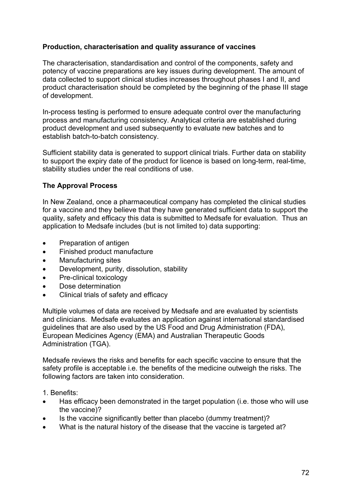## **Production, characterisation and quality assurance of vaccines**

The characterisation, standardisation and control of the components, safety and potency of vaccine preparations are key issues during development. The amount of data collected to support clinical studies increases throughout phases I and II, and product characterisation should be completed by the beginning of the phase III stage of development.

In-process testing is performed to ensure adequate control over the manufacturing process and manufacturing consistency. Analytical criteria are established during product development and used subsequently to evaluate new batches and to establish batch-to-batch consistency.

Sufficient stability data is generated to support clinical trials. Further data on stability to support the expiry date of the product for licence is based on long-term, real-time, stability studies under the real conditions of use.

## **The Approval Process**

In New Zealand, once a pharmaceutical company has completed the clinical studies for a vaccine and they believe that they have generated sufficient data to support the quality, safety and efficacy this data is submitted to Medsafe for evaluation. Thus an application to Medsafe includes (but is not limited to) data supporting:

- Preparation of antigen
- Finished product manufacture
- Manufacturing sites
- Development, purity, dissolution, stability
- Pre-clinical toxicology
- Dose determination
- Clinical trials of safety and efficacy

Multiple volumes of data are received by Medsafe and are evaluated by scientists and clinicians. Medsafe evaluates an application against international standardised guidelines that are also used by the US Food and Drug Administration (FDA), European Medicines Agency (EMA) and Australian Therapeutic Goods Administration (TGA).

Medsafe reviews the risks and benefits for each specific vaccine to ensure that the safety profile is acceptable i.e. the benefits of the medicine outweigh the risks. The following factors are taken into consideration.

## 1. Benefits:

- Has efficacy been demonstrated in the target population (i.e. those who will use the vaccine)?
- Is the vaccine significantly better than placebo (dummy treatment)?
- What is the natural history of the disease that the vaccine is targeted at?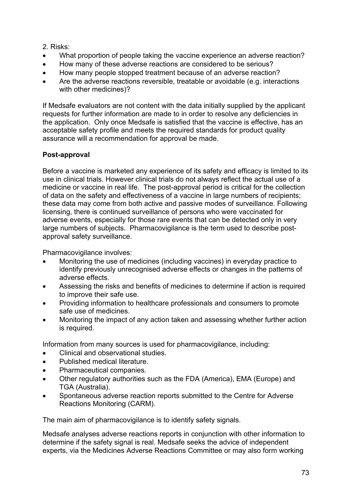2. Risks:

- What proportion of people taking the vaccine experience an adverse reaction?
- How many of these adverse reactions are considered to be serious?
- How many people stopped treatment because of an adverse reaction?
- Are the adverse reactions reversible, treatable or avoidable (e.g. interactions with other medicines)?

If Medsafe evaluators are not content with the data initially supplied by the applicant requests for further information are made to in order to resolve any deficiencies in the application. Only once Medsafe is satisfied that the vaccine is effective, has an acceptable safety profile and meets the required standards for product quality assurance will a recommendation for approval be made.

## **Post-approval**

Before a vaccine is marketed any experience of its safety and efficacy is limited to its use in clinical trials. However clinical trials do not always reflect the actual use of a medicine or vaccine in real life. The post-approval period is critical for the collection of data on the safety and effectiveness of a vaccine in large numbers of recipients; these data may come from both active and passive modes of surveillance. Following licensing, there is continued surveillance of persons who were vaccinated for adverse events, especially for those rare events that can be detected only in very large numbers of subjects. Pharmacovigilance is the term used to describe postapproval safety surveillance.

Pharmacovigilance involves:

- Monitoring the use of medicines (including vaccines) in everyday practice to identify previously unrecognised adverse effects or changes in the patterns of adverse effects.
- Assessing the risks and benefits of medicines to determine if action is required to improve their safe use.
- Providing information to healthcare professionals and consumers to promote safe use of medicines.
- Monitoring the impact of any action taken and assessing whether further action is required.

Information from many sources is used for pharmacovigilance, including:

- Clinical and observational studies.
- Published medical literature.
- Pharmaceutical companies.
- Other regulatory authorities such as the FDA (America), EMA (Europe) and TGA (Australia).
- Spontaneous adverse reaction reports submitted to the [Centre for Adverse](http://carm.otago.ac.nz/)  [Reactions Monitoring \(CARM\).](http://carm.otago.ac.nz/)

The main aim of pharmacovigilance is to identify safety signals.

Medsafe analyses adverse reactions reports in conjunction with other information to determine if the safety signal is real. Medsafe seeks the advice of independent experts, via the Medicines Adverse Reactions Committee or may also form working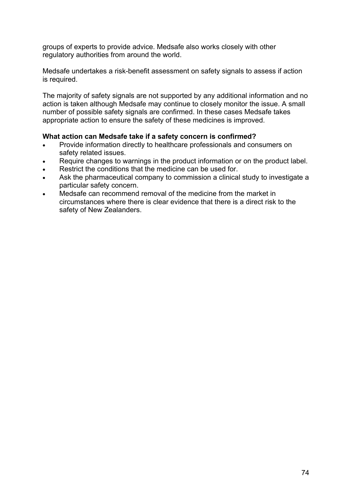groups of experts to provide advice. Medsafe also works closely with other regulatory authorities from around the world.

Medsafe undertakes a risk-benefit assessment on safety signals to assess if action is required.

The majority of safety signals are not supported by any additional information and no action is taken although Medsafe may continue to closely monitor the issue. A small number of possible safety signals are confirmed. In these cases Medsafe takes appropriate action to ensure the safety of these medicines is improved.

### **What action can Medsafe take if a safety concern is confirmed?**

- Provide information directly to healthcare professionals and consumers on safety related issues.
- Require changes to warnings in the product information or on the product label.
- Restrict the conditions that the medicine can be used for.
- Ask the pharmaceutical company to commission a clinical study to investigate a particular safety concern.
- Medsafe can recommend removal of the medicine from the market in circumstances where there is clear evidence that there is a direct risk to the safety of New Zealanders.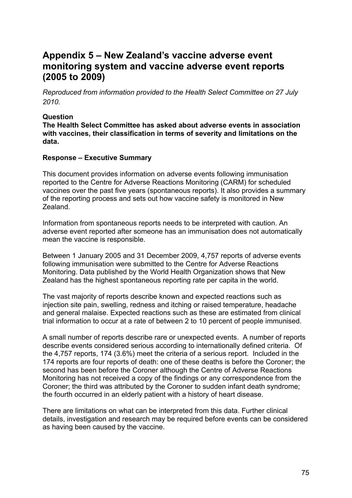## **Appendix 5 – New Zealand's vaccine adverse event monitoring system and vaccine adverse event reports (2005 to 2009)**

*Reproduced from information provided to the Health Select Committee on 27 July 2010.* 

#### **Question**

**The Health Select Committee has asked about adverse events in association with vaccines, their classification in terms of severity and limitations on the data.** 

#### **Response – Executive Summary**

This document provides information on adverse events following immunisation reported to the Centre for Adverse Reactions Monitoring (CARM) for scheduled vaccines over the past five years (spontaneous reports). It also provides a summary of the reporting process and sets out how vaccine safety is monitored in New Zealand.

Information from spontaneous reports needs to be interpreted with caution. An adverse event reported after someone has an immunisation does not automatically mean the vaccine is responsible.

Between 1 January 2005 and 31 December 2009, 4,757 reports of adverse events following immunisation were submitted to the Centre for Adverse Reactions Monitoring. Data published by the World Health Organization shows that New Zealand has the highest spontaneous reporting rate per capita in the world.

The vast majority of reports describe known and expected reactions such as injection site pain, swelling, redness and itching or raised temperature, headache and general malaise. Expected reactions such as these are estimated from clinical trial information to occur at a rate of between 2 to 10 percent of people immunised.

A small number of reports describe rare or unexpected events. A number of reports describe events considered serious according to internationally defined criteria. Of the 4,757 reports, 174 (3.6%) meet the criteria of a serious report. Included in the 174 reports are four reports of death: one of these deaths is before the Coroner; the second has been before the Coroner although the Centre of Adverse Reactions Monitoring has not received a copy of the findings or any correspondence from the Coroner; the third was attributed by the Coroner to sudden infant death syndrome; the fourth occurred in an elderly patient with a history of heart disease.

There are limitations on what can be interpreted from this data. Further clinical details, investigation and research may be required before events can be considered as having been caused by the vaccine.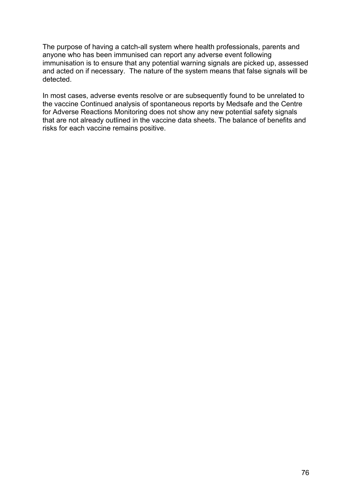The purpose of having a catch-all system where health professionals, parents and anyone who has been immunised can report any adverse event following immunisation is to ensure that any potential warning signals are picked up, assessed and acted on if necessary. The nature of the system means that false signals will be detected.

In most cases, adverse events resolve or are subsequently found to be unrelated to the vaccine Continued analysis of spontaneous reports by Medsafe and the Centre for Adverse Reactions Monitoring does not show any new potential safety signals that are not already outlined in the vaccine data sheets. The balance of benefits and risks for each vaccine remains positive.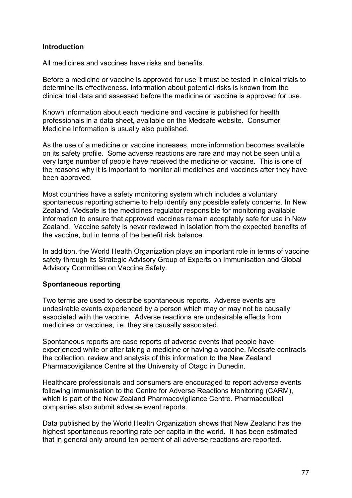#### **Introduction**

All medicines and vaccines have risks and benefits.

Before a medicine or vaccine is approved for use it must be tested in clinical trials to determine its effectiveness. Information about potential risks is known from the clinical trial data and assessed before the medicine or vaccine is approved for use.

Known information about each medicine and vaccine is published for health professionals in a data sheet, available on the Medsafe website. Consumer Medicine Information is usually also published.

As the use of a medicine or vaccine increases, more information becomes available on its safety profile. Some adverse reactions are rare and may not be seen until a very large number of people have received the medicine or vaccine. This is one of the reasons why it is important to monitor all medicines and vaccines after they have been approved.

Most countries have a safety monitoring system which includes a voluntary spontaneous reporting scheme to help identify any possible safety concerns. In New Zealand, Medsafe is the medicines regulator responsible for monitoring available information to ensure that approved vaccines remain acceptably safe for use in New Zealand. Vaccine safety is never reviewed in isolation from the expected benefits of the vaccine, but in terms of the benefit risk balance.

In addition, the World Health Organization plays an important role in terms of vaccine safety through its Strategic Advisory Group of Experts on Immunisation and Global Advisory Committee on Vaccine Safety.

#### **Spontaneous reporting**

Two terms are used to describe spontaneous reports. Adverse events are undesirable events experienced by a person which may or may not be causally associated with the vaccine. Adverse reactions are undesirable effects from medicines or vaccines, i.e. they are causally associated.

Spontaneous reports are case reports of adverse events that people have experienced while or after taking a medicine or having a vaccine. Medsafe contracts the collection, review and analysis of this information to the New Zealand Pharmacovigilance Centre at the University of Otago in Dunedin.

Healthcare professionals and consumers are encouraged to report adverse events following immunisation to the Centre for Adverse Reactions Monitoring (CARM), which is part of the New Zealand Pharmacovigilance Centre. Pharmaceutical companies also submit adverse event reports.

Data published by the World Health Organization shows that New Zealand has the highest spontaneous reporting rate per capita in the world. It has been estimated that in general only around ten percent of all adverse reactions are reported.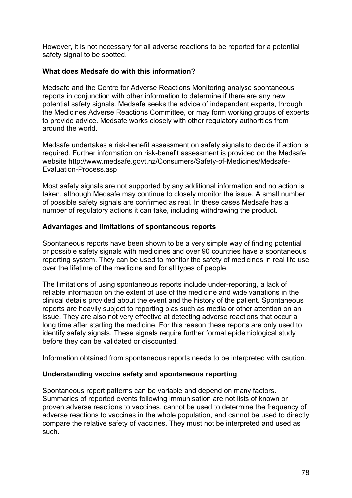However, it is not necessary for all adverse reactions to be reported for a potential safety signal to be spotted.

### **What does Medsafe do with this information?**

Medsafe and the Centre for Adverse Reactions Monitoring analyse spontaneous reports in conjunction with other information to determine if there are any new potential safety signals. Medsafe seeks the advice of independent experts, through the Medicines Adverse Reactions Committee, or may form working groups of experts to provide advice. Medsafe works closely with other regulatory authorities from around the world.

Medsafe undertakes a risk-benefit assessment on safety signals to decide if action is required. Further information on risk-benefit assessment is provided on the Medsafe website http://www.medsafe.govt.nz/Consumers/Safety-of-Medicines/Medsafe-Evaluation-Process.asp

Most safety signals are not supported by any additional information and no action is taken, although Medsafe may continue to closely monitor the issue. A small number of possible safety signals are confirmed as real. In these cases Medsafe has a number of regulatory actions it can take, including withdrawing the product.

### **Advantages and limitations of spontaneous reports**

Spontaneous reports have been shown to be a very simple way of finding potential or possible safety signals with medicines and over 90 countries have a spontaneous reporting system. They can be used to monitor the safety of medicines in real life use over the lifetime of the medicine and for all types of people.

The limitations of using spontaneous reports include under-reporting, a lack of reliable information on the extent of use of the medicine and wide variations in the clinical details provided about the event and the history of the patient. Spontaneous reports are heavily subject to reporting bias such as media or other attention on an issue. They are also not very effective at detecting adverse reactions that occur a long time after starting the medicine. For this reason these reports are only used to identify safety signals. These signals require further formal epidemiological study before they can be validated or discounted.

Information obtained from spontaneous reports needs to be interpreted with caution.

### **Understanding vaccine safety and spontaneous reporting**

Spontaneous report patterns can be variable and depend on many factors. Summaries of reported events following immunisation are not lists of known or proven adverse reactions to vaccines, cannot be used to determine the frequency of adverse reactions to vaccines in the whole population, and cannot be used to directly compare the relative safety of vaccines. They must not be interpreted and used as such.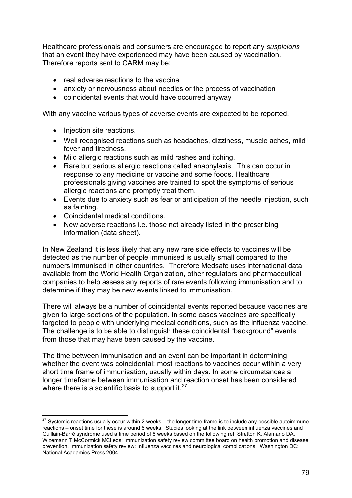Healthcare professionals and consumers are encouraged to report any *suspicions* that an event they have experienced may have been caused by vaccination. Therefore reports sent to CARM may be:

- real adverse reactions to the vaccine
- anxiety or nervousness about needles or the process of vaccination
- coincidental events that would have occurred anyway

With any vaccine various types of adverse events are expected to be reported.

- Injection site reactions.
- Well recognised reactions such as headaches, dizziness, muscle aches, mild fever and tiredness.
- Mild allergic reactions such as mild rashes and itching.
- Rare but serious allergic reactions called anaphylaxis. This can occur in response to any medicine or vaccine and some foods. Healthcare professionals giving vaccines are trained to spot the symptoms of serious allergic reactions and promptly treat them.
- Events due to anxiety such as fear or anticipation of the needle injection, such as fainting.
- Coincidental medical conditions.

 $\overline{a}$ 

 New adverse reactions i.e. those not already listed in the prescribing information (data sheet).

In New Zealand it is less likely that any new rare side effects to vaccines will be detected as the number of people immunised is usually small compared to the numbers immunised in other countries. Therefore Medsafe uses international data available from the World Health Organization, other regulators and pharmaceutical companies to help assess any reports of rare events following immunisation and to determine if they may be new events linked to immunisation.

There will always be a number of coincidental events reported because vaccines are given to large sections of the population. In some cases vaccines are specifically targeted to people with underlying medical conditions, such as the influenza vaccine. The challenge is to be able to distinguish these coincidental "background" events from those that may have been caused by the vaccine.

The time between immunisation and an event can be important in determining whether the event was coincidental; most reactions to vaccines occur within a very short time frame of immunisation, usually within days. In some circumstances a longer timeframe between immunisation and reaction onset has been considered where there is a scientific basis to support it. $27$ 

<span id="page-78-0"></span> $27$  Systemic reactions usually occur within 2 weeks – the longer time frame is to include any possible autoimmune reactions – onset time for these is around 6 weeks. Studies looking at the link between influenza vaccines and Guillain-Barré syndrome used a time period of 8 weeks based on the following ref: Stratton K, Alamario DA, Wizemann T McCormick MCl eds: Immunization safety review committee board on health promotion and disease prevention. Immunization safety review: Influenza vaccines and neurological complications. Washington DC: National Acadamies Press 2004.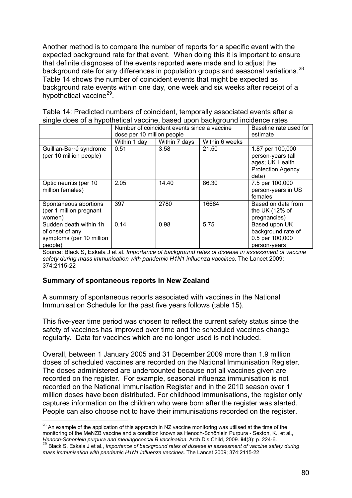Another method is to compare the number of reports for a specific event with the expected background rate for that event. When doing this it is important to ensure that definite diagnoses of the events reported were made and to adjust the background rate for any differences in population groups and seasonal variations.<sup>[28](#page-79-0)</sup> Table 14 shows the number of coincident events that might be expected as background rate events within one day, one week and six weeks after receipt of a hypothetical vaccine<sup>[29](#page-79-1)</sup>.

| Table 14: Predicted numbers of coincident, temporally associated events after a |  |  |
|---------------------------------------------------------------------------------|--|--|
| single does of a hypothetical vaccine, based upon background incidence rates    |  |  |

|                                                                                  | Number of coincident events since a vaccine<br>dose per 10 million people |               |                | Baseline rate used for<br>estimate                                                            |
|----------------------------------------------------------------------------------|---------------------------------------------------------------------------|---------------|----------------|-----------------------------------------------------------------------------------------------|
|                                                                                  | Within 1 day                                                              | Within 7 days | Within 6 weeks |                                                                                               |
| Guillian-Barré syndrome<br>(per 10 million people)                               | 0.51                                                                      | 3.58          | 21.50          | 1.87 per 100,000<br>person-years (all<br>ages; UK Health<br><b>Protection Agency</b><br>data) |
| Optic neuritis (per 10<br>million females)                                       | 2.05                                                                      | 14.40         | 86.30          | 7.5 per 100,000<br>person-years in US<br>females                                              |
| Spontaneous abortions<br>(per 1 million pregnant<br>women)                       | 397                                                                       | 2780          | 16684          | Based on data from<br>the UK $(12\%$ of<br>pregnancies)                                       |
| Sudden death within 1h<br>of onset of any<br>symptoms (per 10 million<br>people) | 0.14                                                                      | 0.98          | 5.75           | Based upon UK<br>background rate of<br>0.5 per 100,000<br>person-years                        |

Source: Black S, Eskala J et al. *Importance of background rates of disease in assessment of vaccine safety during mass immunisation with pandemic H1N1 influenza vaccines*. The Lancet 2009; 374:2115-22

### **Summary of spontaneous reports in New Zealand**

A summary of spontaneous reports associated with vaccines in the National Immunisation Schedule for the past five years follows (table 15).

This five-year time period was chosen to reflect the current safety status since the safety of vaccines has improved over time and the scheduled vaccines change regularly. Data for vaccines which are no longer used is not included.

Overall, between 1 January 2005 and 31 December 2009 more than 1.9 million doses of scheduled vaccines are recorded on the National Immunisation Register. The doses administered are undercounted because not all vaccines given are recorded on the register. For example, seasonal influenza immunisation is not recorded on the National Immunisation Register and in the 2010 season over 1 million doses have been distributed. For childhood immunisations, the register only captures information on the children who were born after the register was started. People can also choose not to have their immunisations recorded on the register.

<span id="page-79-0"></span><sup>1</sup>  $^{28}$  An example of the application of this approach in NZ vaccine monitoring was utilised at the time of the monitoring of the MeNZB vaccine and a condition known as Henoch-Schönlein Purpura - Sexton, K., et al., Henoch-Schonlein purpura and meningococcal B vaccination. Arch Dis Child, 2009. 94(3): p. 224-6.<br><sup>29</sup> Black S, Eskala J et al., *Importance of background rates of disease in assessment of vaccine safety during* 

<span id="page-79-1"></span>*mass immunisation with pandemic H1N1 influenza vaccines*. The Lancet 2009; 374:2115-22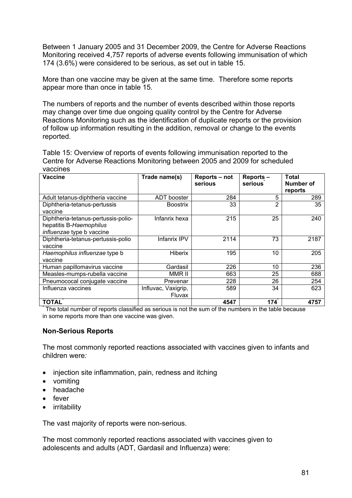Between 1 January 2005 and 31 December 2009, the Centre for Adverse Reactions Monitoring received 4,757 reports of adverse events following immunisation of which 174 (3.6%) were considered to be serious, as set out in table 15.

More than one vaccine may be given at the same time. Therefore some reports appear more than once in table 15.

The numbers of reports and the number of events described within those reports may change over time due ongoing quality control by the Centre for Adverse Reactions Monitoring such as the identification of duplicate reports or the provision of follow up information resulting in the addition, removal or change to the events reported.

Table 15: Overview of reports of events following immunisation reported to the Centre for Adverse Reactions Monitoring between 2005 and 2009 for scheduled vaccines

| <b>Vaccine</b>                                                                              | Trade name(s)                        | Reports - not<br>serious | Reports-<br>serious | <b>Total</b><br>Number of<br>reports |
|---------------------------------------------------------------------------------------------|--------------------------------------|--------------------------|---------------------|--------------------------------------|
| Adult tetanus-diphtheria vaccine                                                            | ADT booster                          | 284                      | 5                   | 289                                  |
| Diphtheria-tetanus-pertussis<br>vaccine                                                     | <b>Boostrix</b>                      | 33                       | 2                   | 35                                   |
| Diphtheria-tetanus-pertussis-polio-<br>hepatitis B-Haemophilus<br>influenzae type b vaccine | Infanrix hexa                        | 215                      | 25                  | 240                                  |
| Diphtheria-tetanus-pertussis-polio<br>vaccine                                               | Infanrix IPV                         | 2114                     | 73                  | 2187                                 |
| Haemophilus influenzae type b<br>vaccine                                                    | <b>Hiberix</b>                       | 195                      | 10                  | 205                                  |
| Human papillomavirus vaccine                                                                | Gardasil                             | 226                      | 10                  | 236                                  |
| Measles-mumps-rubella vaccine                                                               | MMR II                               | 663                      | 25                  | 688                                  |
| Pneumococal conjugate vaccine                                                               | Prevenar                             | 228                      | 26                  | 254                                  |
| Influenza vaccines                                                                          | Influvac, Vaxigrip,<br><b>Fluvax</b> | 589                      | 34                  | 623                                  |
| <b>TOTAL</b>                                                                                |                                      | 4547                     | 174                 | 4757                                 |

**TOTAL<sup>\*</sup> 4757 174**<sup>\*</sup> **174**<sup>\*</sup> **1757 174**<sup>\*</sup> **1757 174**<sup>\*</sup> **1757 1757 112 1757 111 1757 111 1757 11 111 111 111 111 111 111 111 111 111 111 111 1** in some reports more than one vaccine was given.

#### **Non-Serious Reports**

The most commonly reported reactions associated with vaccines given to infants and children were*:* 

- injection site inflammation, pain, redness and itching
- vomiting
- headache
- fever
- irritability

The vast majority of reports were non-serious.

The most commonly reported reactions associated with vaccines given to adolescents and adults (ADT, Gardasil and Influenza) were: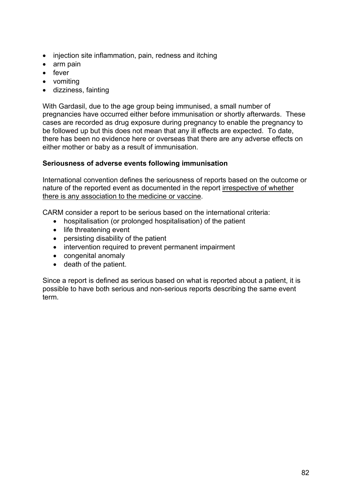- injection site inflammation, pain, redness and itching
- arm pain
- fever
- vomiting
- dizziness, fainting

With Gardasil, due to the age group being immunised, a small number of pregnancies have occurred either before immunisation or shortly afterwards. These cases are recorded as drug exposure during pregnancy to enable the pregnancy to be followed up but this does not mean that any ill effects are expected. To date, there has been no evidence here or overseas that there are any adverse effects on either mother or baby as a result of immunisation.

#### **Seriousness of adverse events following immunisation**

International convention defines the seriousness of reports based on the outcome or nature of the reported event as documented in the report irrespective of whether there is any association to the medicine or vaccine.

CARM consider a report to be serious based on the international criteria:

- hospitalisation (or prolonged hospitalisation) of the patient
- life threatening event
- persisting disability of the patient
- intervention required to prevent permanent impairment
- congenital anomaly
- death of the patient.

Since a report is defined as serious based on what is reported about a patient, it is possible to have both serious and non-serious reports describing the same event term.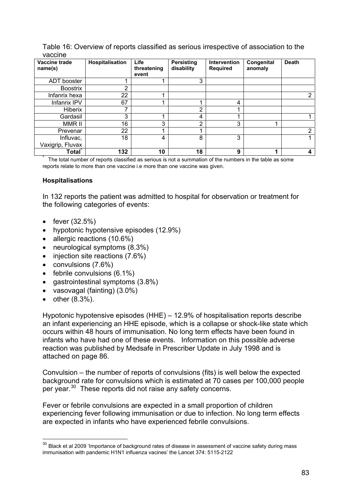| Table 16: Overview of reports classified as serious irrespective of association to the |  |
|----------------------------------------------------------------------------------------|--|
| vaccine                                                                                |  |

| <b>Vaccine trade</b><br>name(s) | Hospitalisation | Life<br>threatening<br>event | Persisting<br>disability | <b>Intervention</b><br><b>Required</b> | Congenital<br>anomaly | <b>Death</b> |
|---------------------------------|-----------------|------------------------------|--------------------------|----------------------------------------|-----------------------|--------------|
| ADT booster                     |                 |                              | 3                        |                                        |                       |              |
| <b>Boostrix</b>                 | າ               |                              |                          |                                        |                       |              |
| Infanrix hexa                   | 22              | л                            |                          |                                        |                       | 2            |
| Infanrix IPV                    | 67              |                              |                          | 4                                      |                       |              |
| Hiberix                         | -               |                              | 2                        |                                        |                       |              |
| Gardasil                        | 3               |                              | 4                        |                                        |                       |              |
| MMR II                          | 16              | 3                            | っ                        | 3                                      |                       |              |
| Prevenar                        | 22              | ◢                            |                          |                                        |                       | 2            |
| Influvac,                       | 18              | 4                            | 8                        | 3                                      |                       |              |
| Vaxigrip, Fluvax                |                 |                              |                          |                                        |                       |              |
| <b>Total</b>                    | 132             | 10                           | 18                       | 9                                      |                       |              |

The total number of reports classified as serious is not a summation of the numbers in the table as some reports relate to more than one vaccine i.e more than one vaccine was given.

#### **Hospitalisations**

In 132 reports the patient was admitted to hospital for observation or treatment for the following categories of events:

- fever  $(32.5%)$
- hypotonic hypotensive episodes (12.9%)
- allergic reactions (10.6%)
- neurological symptoms (8.3%)
- injection site reactions (7.6%)
- $\bullet$  convulsions (7.6%)
- $\bullet$  febrile convulsions (6.1%)
- aastrointestinal symptoms (3.8%)
- vasovagal (fainting) (3.0%)
- $\bullet$  other  $(8.3\%)$ .

1

Hypotonic hypotensive episodes (HHE) – 12.9% of hospitalisation reports describe an infant experiencing an HHE episode, which is a collapse or shock-like state which occurs within 48 hours of immunisation. No long term effects have been found in infants who have had one of these events. Information on this possible adverse reaction was published by Medsafe in Prescriber Update in July 1998 and is attached on page 86.

Convulsion – the number of reports of convulsions (fits) is well below the expected background rate for convulsions which is estimated at 70 cases per 100,000 people per year.[30](#page-82-0) These reports did not raise any safety concerns.

Fever or febrile convulsions are expected in a small proportion of children experiencing fever following immunisation or due to infection. No long term effects are expected in infants who have experienced febrile convulsions.

<span id="page-82-0"></span> $30$  Black et al 2009 'Importance of background rates of disease in assessment of vaccine safety during mass immunisation with pandemic H1N1 influenza vacines' the Lancet 374: 5115-2122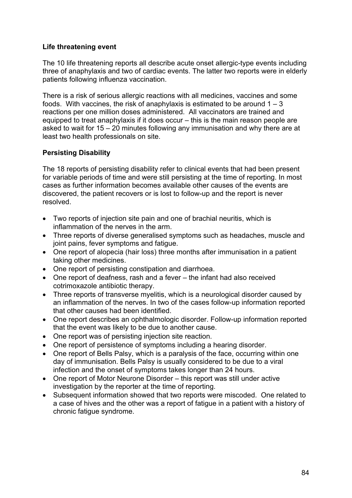### **Life threatening event**

The 10 life threatening reports all describe acute onset allergic-type events including three of anaphylaxis and two of cardiac events. The latter two reports were in elderly patients following influenza vaccination.

There is a risk of serious allergic reactions with all medicines, vaccines and some foods. With vaccines, the risk of anaphylaxis is estimated to be around  $1 - 3$ reactions per one million doses administered. All vaccinators are trained and equipped to treat anaphylaxis if it does occur – this is the main reason people are asked to wait for 15 – 20 minutes following any immunisation and why there are at least two health professionals on site.

### **Persisting Disability**

The 18 reports of persisting disability refer to clinical events that had been present for variable periods of time and were still persisting at the time of reporting. In most cases as further information becomes available other causes of the events are discovered, the patient recovers or is lost to follow-up and the report is never resolved.

- Two reports of injection site pain and one of brachial neuritis, which is inflammation of the nerves in the arm.
- Three reports of diverse generalised symptoms such as headaches, muscle and joint pains, fever symptoms and fatigue.
- One report of alopecia (hair loss) three months after immunisation in a patient taking other medicines.
- One report of persisting constipation and diarrhoea.
- One report of deafness, rash and a fever the infant had also received cotrimoxazole antibiotic therapy.
- Three reports of transverse myelitis, which is a neurological disorder caused by an inflammation of the nerves. In two of the cases follow-up information reported that other causes had been identified.
- One report describes an ophthalmologic disorder. Follow-up information reported that the event was likely to be due to another cause.
- One report was of persisting injection site reaction.
- One report of persistence of symptoms including a hearing disorder.
- One report of Bells Palsy, which is a paralysis of the face, occurring within one day of immunisation. Bells Palsy is usually considered to be due to a viral infection and the onset of symptoms takes longer than 24 hours.
- One report of Motor Neurone Disorder this report was still under active investigation by the reporter at the time of reporting.
- Subsequent information showed that two reports were miscoded. One related to a case of hives and the other was a report of fatigue in a patient with a history of chronic fatigue syndrome.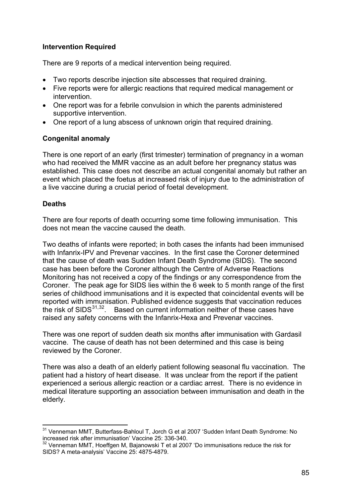### **Intervention Required**

There are 9 reports of a medical intervention being required.

- Two reports describe injection site abscesses that required draining.
- Five reports were for allergic reactions that required medical management or intervention.
- One report was for a febrile convulsion in which the parents administered supportive intervention.
- One report of a lung abscess of unknown origin that required draining.

### **Congenital anomaly**

There is one report of an early (first trimester) termination of pregnancy in a woman who had received the MMR vaccine as an adult before her pregnancy status was established. This case does not describe an actual congenital anomaly but rather an event which placed the foetus at increased risk of injury due to the administration of a live vaccine during a crucial period of foetal development.

### **Deaths**

There are four reports of death occurring some time following immunisation. This does not mean the vaccine caused the death.

Two deaths of infants were reported; in both cases the infants had been immunised with Infanrix-IPV and Prevenar vaccines. In the first case the Coroner determined that the cause of death was Sudden Infant Death Syndrome (SIDS). The second case has been before the Coroner although the Centre of Adverse Reactions Monitoring has not received a copy of the findings or any correspondence from the Coroner. The peak age for SIDS lies within the 6 week to 5 month range of the first series of childhood immunisations and it is expected that coincidental events will be reported with immunisation. Published evidence suggests that vaccination reduces the risk of SIDS<sup>31,32</sup>. Based on current information neither of these cases have Based on current information neither of these cases have raised any safety concerns with the Infanrix-Hexa and Prevenar vaccines.

There was one report of sudden death six months after immunisation with Gardasil vaccine. The cause of death has not been determined and this case is being reviewed by the Coroner.

There was also a death of an elderly patient following seasonal flu vaccination. The patient had a history of heart disease. It was unclear from the report if the patient experienced a serious allergic reaction or a cardiac arrest. There is no evidence in medical literature supporting an association between immunisation and death in the elderly.

<span id="page-84-0"></span><sup>1</sup> <sup>31</sup> Venneman MMT, Butterfass-Bahloul T, Jorch G et al 2007 'Sudden Infant Death Syndrome: No increased risk after immunisation' Vaccine 25: 336-340.

<span id="page-84-1"></span><sup>&</sup>lt;sup>32</sup> Venneman MMT, Hoeffgen M, Bajanowski T et al 2007 'Do immunisations reduce the risk for SIDS? A meta-analysis' Vaccine 25: 4875-4879.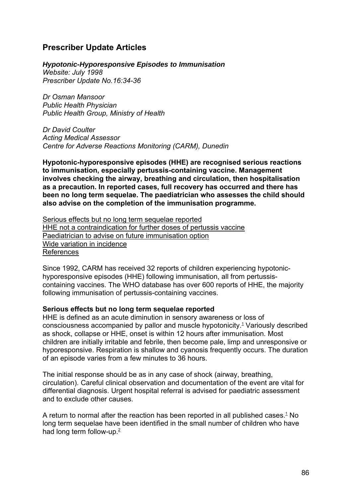## **Prescriber Update Articles**

*Hypotonic-Hyporesponsive Episodes to Immunisation* 

*Website: July 1998 Prescriber Update No.16:34-36*

*Dr Osman Mansoor Public Health Physician Public Health Group, Ministry of Health* 

*Dr David Coulter Acting Medical Assessor Centre for Adverse Reactions Monitoring (CARM), Dunedin* 

**Hypotonic-hyporesponsive episodes (HHE) are recognised serious reactions to immunisation, especially pertussis-containing vaccine. Management involves checking the airway, breathing and circulation, then hospitalisation as a precaution. In reported cases, full recovery has occurred and there has been no long term sequelae. The paediatrician who assesses the child should also advise on the completion of the immunisation programme.**

[Serious effects but no long term sequelae reported](http://www.medsafe.govt.nz/profs/puarticles/8.htm#Serious#Serious) [HHE not a contraindication for further doses of pertussis vaccine](http://www.medsafe.govt.nz/profs/puarticles/8.htm#HHE#HHE) [Paediatrician to advise on future immunisation option](http://www.medsafe.govt.nz/profs/puarticles/8.htm#Paediatrician#Paediatrician) [Wide variation in incidence](http://www.medsafe.govt.nz/profs/puarticles/8.htm#Wide#Wide) [References](http://www.medsafe.govt.nz/profs/puarticles/8.htm#References#References)

Since 1992, CARM has received 32 reports of children experiencing hypotonichyporesponsive episodes (HHE) following immunisation, all from pertussiscontaining vaccines. The WHO database has over 600 reports of HHE, the majority following immunisation of pertussis-containing vaccines.

#### **Serious effects but no long term sequelae reported**

HHE is defined as an acute diminution in sensory awareness or loss of  $consciousness accompanied by pallor and muscle hypotonicity.<sup>1</sup> Variously described$  $consciousness accompanied by pallor and muscle hypotonicity.<sup>1</sup> Variously described$  $consciousness accompanied by pallor and muscle hypotonicity.<sup>1</sup> Variously described$ as shock, collapse or HHE, onset is within 12 hours after immunisation. Most children are initially irritable and febrile, then become pale, limp and unresponsive or hyporesponsive. Respiration is shallow and cyanosis frequently occurs. The duration of an episode varies from a few minutes to 36 hours.

The initial response should be as in any case of shock (airway, breathing, circulation). Careful clinical observation and documentation of the event are vital for differential diagnosis. Urgent hospital referral is advised for paediatric assessment and to exclude other causes.

A return to normal after the reaction has been reported in all published cases. $1$  No long term sequelae have been identified in the small number of children who have had long term follow-up.<sup>2</sup>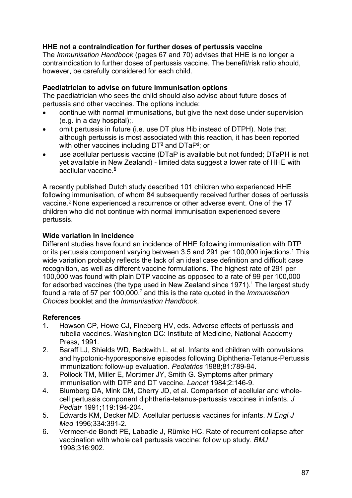### **HHE not a contraindication for further doses of pertussis vaccine**

The *Immunisation Handbook* (pages 67 and 70) advises that HHE is no longer a contraindication to further doses of pertussis vaccine. The benefit/risk ratio should, however, be carefully considered for each child.

### **Paediatrician to advise on future immunisation options**

The paediatrician who sees the child should also advise about future doses of pertussis and other vaccines. The options include:

- continue with normal immunisations, but give the next dose under supervision (e.g. in a day hospital);.
- omit pertussis in future (i.e. use DT plus Hib instead of DTPH). Note that although pertussis is most associated with this reaction, it has been reported with other vaccines including DT $^3$  and DTaP<sup>4</sup>; or
- use acellular pertussis vaccine (DTaP is available but not funded; DTaPH is not yet available in New Zealand) - limited data suggest a lower rate of HHE with acellular vaccine.<sup>5</sup>

A recently published Dutch study described 101 children who experienced HHE following immunisation, of whom 84 subsequently received further doses of pertussis vaccine.<sup>[6](http://www.medsafe.govt.nz/profs/puarticles/8.htm#6.#6.)</sup> None experienced a recurrence or other adverse event. One of the 17 children who did not continue with normal immunisation experienced severe pertussis.

### **Wide variation in incidence**

Different studies have found an incidence of HHE following immunisation with DTP or its pertussis component varying between 3.5 and 29[1](http://www.medsafe.govt.nz/profs/puarticles/8.htm#1#1) per 100,000 injections.<sup>1</sup> This wide variation probably reflects the lack of an ideal case definition and difficult case recognition, as well as different vaccine formulations. The highest rate of 291 per 100,000 was found with plain DTP vaccine as opposed to a rate of 99 per 100,000 for adsorbed vaccines (the type used in New Zealand since 1971). $<sup>1</sup>$  The largest study</sup> found a rate of 5[7](http://www.medsafe.govt.nz/profs/puarticles/8.htm#7#7) per 100,000,<sup>7</sup> and this is the rate quoted in the *Immunisation Choices* booklet and the *Immunisation Handbook*.

### **References**

- 1. Howson CP, Howe CJ, Fineberg HV, eds. Adverse effects of pertussis and rubella vaccines. Washington DC: Institute of Medicine, National Academy Press, 1991.
- 2. Baraff LJ, Shields WD, Beckwith L, et al. Infants and children with convulsions and hypotonic-hyporesponsive episodes following Diphtheria-Tetanus-Pertussis immunization: follow-up evaluation. *Pediatrics* 1988;81:789-94.
- 3. Pollock TM, Miller E, Mortimer JY, Smith G. Symptoms after primary immunisation with DTP and DT vaccine. *Lancet* 1984;2:146-9.
- 4. Blumberg DA, Mink CM, Cherry JD, et al. Comparison of acellular and wholecell pertussis component diphtheria-tetanus-pertussis vaccines in infants. *J Pediatr* 1991;119:194-204.
- 5. Edwards KM, Decker MD. Acellular pertussis vaccines for infants. *N Engl J Med* 1996;334:391-2.
- 6. Vermeer-de Bondt PE, Labadie J, Rümke HC. Rate of recurrent collapse after vaccination with whole cell pertussis vaccine: follow up study. *BMJ* 1998;316:902.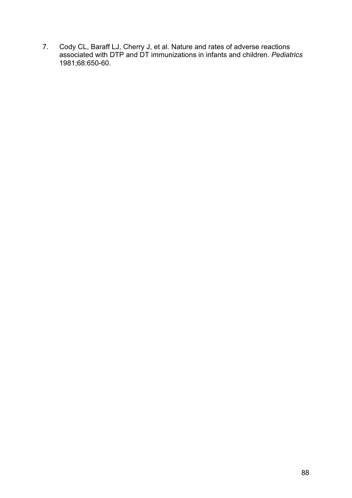7. Cody CL, Baraff LJ, Cherry J, et al. Nature and rates of adverse reactions associated with DTP and DT immunizations in infants and children. *Pediatrics* 1981;68:650-60.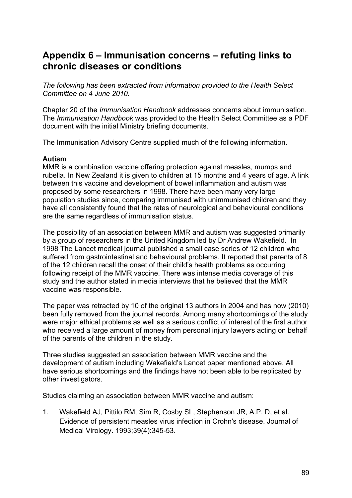## **Appendix 6 – Immunisation concerns – refuting links to chronic diseases or conditions**

*The following has been extracted from information provided to the Health Select Committee on 4 June 2010.* 

Chapter 20 of the *Immunisation Handbook* addresses concerns about immunisation. The *Immunisation Handbook* was provided to the Health Select Committee as a PDF document with the initial Ministry briefing documents.

The Immunisation Advisory Centre supplied much of the following information.

#### **Autism**

MMR is a combination vaccine offering protection against measles, mumps and rubella. In New Zealand it is given to children at 15 months and 4 years of age. A link between this vaccine and development of bowel inflammation and autism was proposed by some researchers in 1998. There have been many very large population studies since, comparing immunised with unimmunised children and they have all consistently found that the rates of neurological and behavioural conditions are the same regardless of immunisation status.

The possibility of an association between MMR and autism was suggested primarily by a group of researchers in the United Kingdom led by Dr Andrew Wakefield. In 1998 The Lancet medical journal published a small case series of 12 children who suffered from gastrointestinal and behavioural problems. It reported that parents of 8 of the 12 children recall the onset of their child's health problems as occurring following receipt of the MMR vaccine. There was intense media coverage of this study and the author stated in media interviews that he believed that the MMR vaccine was responsible.

The paper was retracted by 10 of the original 13 authors in 2004 and has now (2010) been fully removed from the journal records. Among many shortcomings of the study were major ethical problems as well as a serious conflict of interest of the first author who received a large amount of money from personal injury lawyers acting on behalf of the parents of the children in the study.

Three studies suggested an association between MMR vaccine and the development of autism including Wakefield's Lancet paper mentioned above. All have serious shortcomings and the findings have not been able to be replicated by other investigators.

Studies claiming an association between MMR vaccine and autism:

1. Wakefield AJ, Pittilo RM, Sim R, Cosby SL, Stephenson JR, A.P. D, et al. Evidence of persistent measles virus infection in Crohn's disease. Journal of Medical Virology. 1993;39(4):345-53.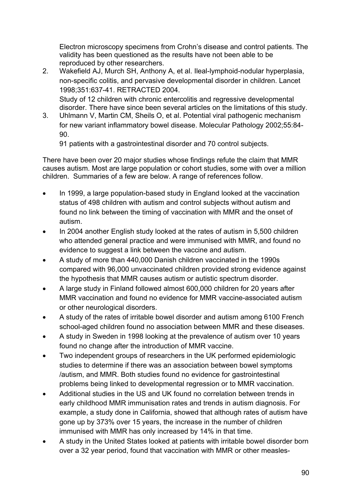Electron microscopy specimens from Crohn's disease and control patients. The validity has been questioned as the results have not been able to be reproduced by other researchers.

2. Wakefield AJ, Murch SH, Anthony A, et al. Ileal-lymphoid-nodular hyperplasia, non-specific colitis, and pervasive developmental disorder in children. Lancet 1998;351:637-41. RETRACTED 2004.

Study of 12 children with chronic entercolitis and regressive developmental disorder. There have since been several articles on the limitations of this study.

3. Uhlmann V, Martin CM, Sheils O, et al. Potential viral pathogenic mechanism for new variant inflammatory bowel disease. Molecular Pathology 2002;55:84- 90.

91 patients with a gastrointestinal disorder and 70 control subjects.

There have been over 20 major studies whose findings refute the claim that MMR causes autism. Most are large population or cohort studies, some with over a million children. Summaries of a few are below. A range of references follow.

- In 1999, a large population-based study in England looked at the vaccination status of 498 children with autism and control subjects without autism and found no link between the timing of vaccination with MMR and the onset of autism.
- In 2004 another English study looked at the rates of autism in 5,500 children who attended general practice and were immunised with MMR, and found no evidence to suggest a link between the vaccine and autism.
- A study of more than 440,000 Danish children vaccinated in the 1990s compared with 96,000 unvaccinated children provided strong evidence against the hypothesis that MMR causes autism or autistic spectrum disorder.
- A large study in Finland followed almost 600,000 children for 20 years after MMR vaccination and found no evidence for MMR vaccine-associated autism or other neurological disorders.
- A study of the rates of irritable bowel disorder and autism among 6100 French school-aged children found no association between MMR and these diseases.
- A study in Sweden in 1998 looking at the prevalence of autism over 10 years found no change after the introduction of MMR vaccine.
- Two independent groups of researchers in the UK performed epidemiologic studies to determine if there was an association between bowel symptoms /autism, and MMR. Both studies found no evidence for gastrointestinal problems being linked to developmental regression or to MMR vaccination.
- Additional studies in the US and UK found no correlation between trends in early childhood MMR immunisation rates and trends in autism diagnosis. For example, a study done in California, showed that although rates of autism have gone up by 373% over 15 years, the increase in the number of children immunised with MMR has only increased by 14% in that time.
- A study in the United States looked at patients with irritable bowel disorder born over a 32 year period, found that vaccination with MMR or other measles-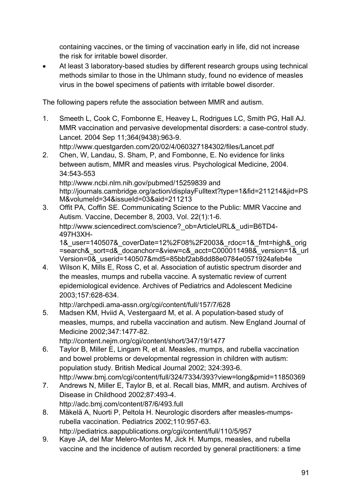containing vaccines, or the timing of vaccination early in life, did not increase the risk for irritable bowel disorder.

 At least 3 laboratory-based studies by different research groups using technical methods similar to those in the Uhlmann study, found no evidence of measles virus in the bowel specimens of patients with irritable bowel disorder.

The following papers refute the association between MMR and autism.

1. Smeeth L, Cook C, Fombonne E, Heavey L, Rodrigues LC, Smith PG, Hall AJ. MMR vaccination and pervasive developmental disorders: a case-control study. Lancet. 2004 Sep 11;364(9438):963-9.

http://www.questgarden.com/20/02/4/060327184302/files/Lancet.pdf

2. Chen, W, Landau, S. Sham, P, and Fombonne, E. No evidence for links between autism, MMR and measles virus. Psychological Medicine, 2004. 34:543-553

http://www.ncbi.nlm.nih.gov/pubmed/15259839 and http://journals.cambridge.org/action/displayFulltext?type=1&fid=211214&jid=PS M&volumeId=34&issueId=03&aid=211213

3. Offit PA, Coffin SE. Communicating Science to the Public: MMR Vaccine and Autism. Vaccine, December 8, 2003, Vol. 22(1):1-6. http://www.sciencedirect.com/science?\_ob=ArticleURL&\_udi=B6TD4-497H3XH-1&\_user=140507&\_coverDate=12%2F08%2F2003&\_rdoc=1&\_fmt=high&\_orig

=search&\_sort=d&\_docanchor=&view=c&\_acct=C000011498&\_version=1&\_url Version=0&\_userid=140507&md5=85bbf2ab8dd88e0784e0571924afeb4e

4. Wilson K, Mills E, Ross C, et al. Association of autistic spectrum disorder and the measles, mumps and rubella vaccine. A systematic review of current epidemiological evidence. Archives of Pediatrics and Adolescent Medicine 2003;157:628-634.

http://archpedi.ama-assn.org/cgi/content/full/157/7/628

5. Madsen KM, Hviid A, Vestergaard M, et al. A population-based study of measles, mumps, and rubella vaccination and autism. New England Journal of Medicine 2002;347:1477-82.

http://content.nejm.org/cgi/content/short/347/19/1477

- 6. Taylor B, Miller E, Lingam R, et al. Measles, mumps, and rubella vaccination and bowel problems or developmental regression in children with autism: population study. British Medical Journal 2002; 324:393-6. http://www.bmj.com/cgi/content/full/324/7334/393?view=long&pmid=11850369
- 7. Andrews N, Miller E, Taylor B, et al. Recall bias, MMR, and autism. Archives of Disease in Childhood 2002;87:493-4. http://adc.bmj.com/content/87/6/493.full
- 8. Mäkelä A, Nuorti P, Peltola H. Neurologic disorders after measles-mumpsrubella vaccination. Pediatrics 2002;110:957-63. http://pediatrics.aappublications.org/cgi/content/full/110/5/957
- 9. Kaye JA, del Mar Melero-Montes M, Jick H. Mumps, measles, and rubella vaccine and the incidence of autism recorded by general practitioners: a time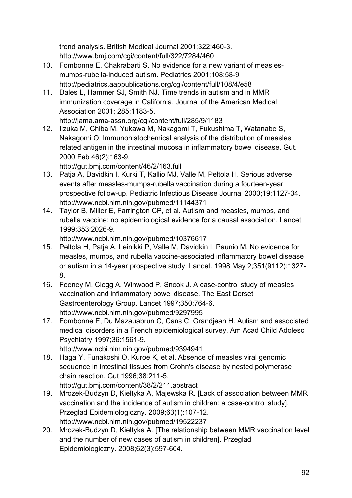trend analysis. British Medical Journal 2001;322:460-3. http://www.bmj.com/cgi/content/full/322/7284/460

- 10. Fombonne E, Chakrabarti S. No evidence for a new variant of measlesmumps-rubella-induced autism. Pediatrics 2001;108:58-9 http://pediatrics.aappublications.org/cgi/content/full/108/4/e58
- 11. Dales L, Hammer SJ, Smith NJ. Time trends in autism and in MMR immunization coverage in California. Journal of the American Medical Association 2001; 285:1183-5. http://jama.ama-assn.org/cgi/content/full/285/9/1183
- 12. Iizuka M, Chiba M, Yukawa M, Nakagomi T, Fukushima T, Watanabe S, Nakagomi O. Immunohistochemical analysis of the distribution of measles related antigen in the intestinal mucosa in inflammatory bowel disease. Gut. 2000 Feb 46(2):163-9.

http://gut.bmj.com/content/46/2/163.full

- 13. Patja A, Davidkin I, Kurki T, Kallio MJ, Valle M, Peltola H. Serious adverse events after measles-mumps-rubella vaccination during a fourteen-year prospective follow-up. Pediatric Infectious Disease Journal 2000;19:1127-34. http://www.ncbi.nlm.nih.gov/pubmed/11144371
- 14. Taylor B, Miller E, Farrington CP, et al. Autism and measles, mumps, and rubella vaccine: no epidemiological evidence for a causal association. Lancet 1999;353:2026-9.

http://www.ncbi.nlm.nih.gov/pubmed/10376617

- 15. Peltola H, Patja A, Leinikki P, Valle M, Davidkin I, Paunio M. No evidence for measles, mumps, and rubella vaccine-associated inflammatory bowel disease or autism in a 14-year prospective study. Lancet. 1998 May 2;351(9112):1327- 8.
- 16. Feeney M, Ciegg A, Winwood P, Snook J. A case-control study of measles vaccination and inflammatory bowel disease. The East Dorset Gastroenterology Group. Lancet 1997;350:764-6. http://www.ncbi.nlm.nih.gov/pubmed/9297995
- 17. Fombonne E, Du Mazauabrun C, Cans C, Grandjean H. Autism and associated medical disorders in a French epidemiological survey. Am Acad Child Adolesc Psychiatry 1997;36:1561-9. http://www.ncbi.nlm.nih.gov/pubmed/9394941

18. Haga Y, Funakoshi O, Kuroe K, et al. Absence of measles viral genomic sequence in intestinal tissues from Crohn's disease by nested polymerase chain reaction. Gut 1996;38:211-5.

- http://gut.bmj.com/content/38/2/211.abstract
- 19. Mrozek-Budzyn D, Kieltyka A, Majewska R. [Lack of association between MMR vaccination and the incidence of autism in children: a case-control study]. Przeglad Epidemiologiczny. 2009;63(1):107-12. http://www.ncbi.nlm.nih.gov/pubmed/19522237
- 20. Mrozek-Budzyn D, Kieltyka A. [The relationship between MMR vaccination level and the number of new cases of autism in children]. Przeglad Epidemiologiczny. 2008;62(3):597-604.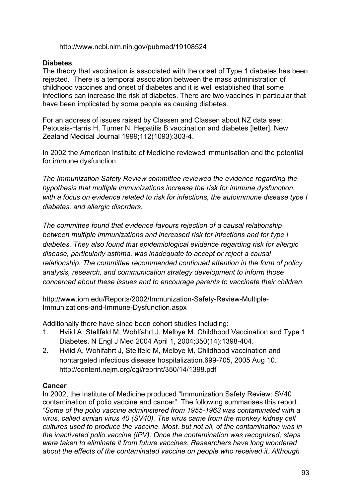#### http://www.ncbi.nlm.nih.gov/pubmed/19108524

#### **Diabetes**

The theory that vaccination is associated with the onset of Type 1 diabetes has been rejected. There is a temporal association between the mass administration of childhood vaccines and onset of diabetes and it is well established that some infections can increase the risk of diabetes. There are two vaccines in particular that have been implicated by some people as causing diabetes.

For an address of issues raised by Classen and Classen about NZ data see: Petousis-Harris H, Turner N. Hepatitis B vaccination and diabetes [letter]. New Zealand Medical Journal 1999;112(1093):303-4.

In 2002 the American Institute of Medicine reviewed immunisation and the potential for immune dysfunction:

*The Immunization Safety Review committee reviewed the evidence regarding the hypothesis that multiple immunizations increase the risk for immune dysfunction, with a focus on evidence related to risk for infections, the autoimmune disease type I diabetes, and allergic disorders.* 

*The committee found that evidence favours rejection of a causal relationship between multiple immunizations and increased risk for infections and for type I diabetes. They also found that epidemiological evidence regarding risk for allergic disease, particularly asthma, was inadequate to accept or reject a causal relationship. The committee recommended continued attention in the form of policy analysis, research, and communication strategy development to inform those concerned about these issues and to encourage parents to vaccinate their children.* 

http://www.iom.edu/Reports/2002/Immunization-Safety-Review-Multiple-Immunizations-and-Immune-Dysfunction.aspx

Additionally there have since been cohort studies including:

- 1. Hviid A, Stellfeld M, Wohlfahrt J, Melbye M. Childhood Vaccination and Type 1 Diabetes. N Engl J Med 2004 April 1, 2004;350(14):1398-404.
- 2. Hviid A, Wohlfahrt J, Stellfeld M, Melbye M. Childhood vaccination and nontargeted infectious disease hospitalization.699-705, 2005 Aug 10. http://content.nejm.org/cgi/reprint/350/14/1398.pdf

#### **Cancer**

In 2002, the Institute of Medicine produced "Immunization Safety Review: SV40 contamination of polio vaccine and cancer". The following summarises this report. *"Some of the polio vaccine administered from 1955-1963 was contaminated with a virus, called simian virus 40 (SV40). The virus came from the monkey kidney cell cultures used to produce the vaccine. Most, but not all, of the contamination was in the inactivated polio vaccine (IPV). Once the contamination was recognized, steps were taken to eliminate it from future vaccines. Researchers have long wondered about the effects of the contaminated vaccine on people who received it. Although*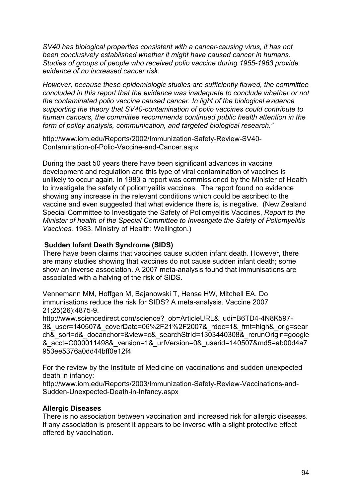*SV40 has biological properties consistent with a cancer-causing virus, it has not been conclusively established whether it might have caused cancer in humans. Studies of groups of people who received polio vaccine during 1955-1963 provide evidence of no increased cancer risk.* 

*However, because these epidemiologic studies are sufficiently flawed, the committee concluded in this report that the evidence was inadequate to conclude whether or not the contaminated polio vaccine caused cancer. In light of the biological evidence supporting the theory that SV40-contamination of polio vaccines could contribute to human cancers, the committee recommends continued public health attention in the form of policy analysis, communication, and targeted biological research."* 

http://www.iom.edu/Reports/2002/Immunization-Safety-Review-SV40- Contamination-of-Polio-Vaccine-and-Cancer.aspx

During the past 50 years there have been significant advances in vaccine development and regulation and this type of viral contamination of vaccines is unlikely to occur again. In 1983 a report was commissioned by the Minister of Health to investigate the safety of poliomyelitis vaccines. The report found no evidence showing any increase in the relevant conditions which could be ascribed to the vaccine and even suggested that what evidence there is, is negative. (New Zealand Special Committee to Investigate the Safety of Poliomyelitis Vaccines, *Report to the Minister of health of the Special Committee to Investigate the Safety of Poliomyelitis Vaccines.* 1983, Ministry of Health: Wellington.)

#### **Sudden Infant Death Syndrome (SIDS)**

There have been claims that vaccines cause sudden infant death. However, there are many studies showing that vaccines do not cause sudden infant death; some show an inverse association. A 2007 meta-analysis found that immunisations are associated with a halving of the risk of SIDS.

Vennemann MM, Hoffgen M, Bajanowski T, Hense HW, Mitchell EA. Do immunisations reduce the risk for SIDS? A meta-analysis. Vaccine 2007 21;25(26):4875-9.

http://www.sciencedirect.com/science?\_ob=ArticleURL&\_udi=B6TD4-4N8K597- 3&\_user=140507&\_coverDate=06%2F21%2F2007&\_rdoc=1&\_fmt=high&\_orig=sear ch&\_sort=d&\_docanchor=&view=c&\_searchStrId=1303440308&\_rerunOrigin=google &\_acct=C000011498&\_version=1&\_urlVersion=0&\_userid=140507&md5=ab00d4a7 953ee5376a0dd44bff0e12f4

For the review by the Institute of Medicine on vaccinations and sudden unexpected death in infancy:

http://www.iom.edu/Reports/2003/Immunization-Safety-Review-Vaccinations-and-Sudden-Unexpected-Death-in-Infancy.aspx

#### **Allergic Diseases**

There is no association between vaccination and increased risk for allergic diseases. If any association is present it appears to be inverse with a slight protective effect offered by vaccination.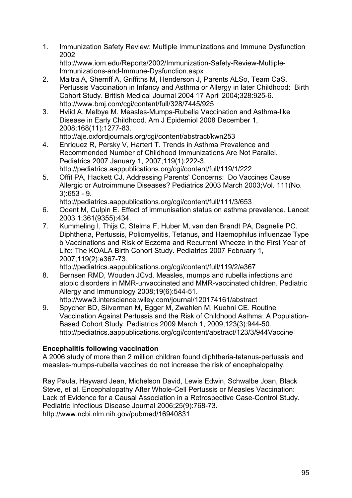1. Immunization Safety Review: Multiple Immunizations and Immune Dysfunction 2002 http://www.iom.edu/Reports/2002/Immunization-Safety-Review-Multiple-

Immunizations-and-Immune-Dysfunction.aspx

- 2. Maitra A, Sherriff A, Griffiths M, Henderson J, Parents ALSo, Team CaS. Pertussis Vaccination in Infancy and Asthma or Allergy in later Childhood: Birth Cohort Study. British Medical Journal 2004 17 April 2004;328:925-6. http://www.bmj.com/cgi/content/full/328/7445/925
- 3. Hviid A, Melbye M. Measles-Mumps-Rubella Vaccination and Asthma-like Disease in Early Childhood. Am J Epidemiol 2008 December 1, 2008;168(11):1277-83. http://aje.oxfordjournals.org/cgi/content/abstract/kwn253
- 4. Enriquez R, Persky V, Hartert T. Trends in Asthma Prevalence and Recommended Number of Childhood Immunizations Are Not Parallel. Pediatrics 2007 January 1, 2007;119(1):222-3. http://pediatrics.aappublications.org/cgi/content/full/119/1/222
- 5. Offit PA, Hackett CJ. Addressing Parents' Concerns: Do Vaccines Cause Allergic or Autroimmune Diseases? Pediatrics 2003 March 2003;Vol. 111(No. 3):653 - 9.

http://pediatrics.aappublications.org/cgi/content/full/111/3/653

- 6. Odent M, Culpin E. Effect of immunisation status on asthma prevalence. Lancet 2003 1;361(9355):434.
- 7. Kummeling I, Thijs C, Stelma F, Huber M, van den Brandt PA, Dagnelie PC. Diphtheria, Pertussis, Poliomyelitis, Tetanus, and Haemophilus influenzae Type b Vaccinations and Risk of Eczema and Recurrent Wheeze in the First Year of Life: The KOALA Birth Cohort Study. Pediatrics 2007 February 1, 2007;119(2):e367-73.

http://pediatrics.aappublications.org/cgi/content/full/119/2/e367

- 8. Bernsen RMD, Wouden JCvd. Measles, mumps and rubella infections and atopic disorders in MMR-unvaccinated and MMR-vaccinated children. Pediatric Allergy and Immunology 2008;19(6):544-51. http://www3.interscience.wiley.com/journal/120174161/abstract
- 9. Spycher BD, Silverman M, Egger M, Zwahlen M, Kuehni CE. Routine Vaccination Against Pertussis and the Risk of Childhood Asthma: A Population-Based Cohort Study. Pediatrics 2009 March 1, 2009;123(3):944-50. http://pediatrics.aappublications.org/cgi/content/abstract/123/3/944Vaccine

## **Encephalitis following vaccination**

A 2006 study of more than 2 million children found diphtheria-tetanus-pertussis and measles-mumps-rubella vaccines do not increase the risk of encephalopathy.

Ray Paula, Hayward Jean, Michelson David, Lewis Edwin, Schwalbe Joan, Black Steve, et al. Encephalopathy After Whole-Cell Pertussis or Measles Vaccination: Lack of Evidence for a Causal Association in a Retrospective Case-Control Study. Pediatric Infectious Disease Journal 2006;25(9):768-73. http://www.ncbi.nlm.nih.gov/pubmed/16940831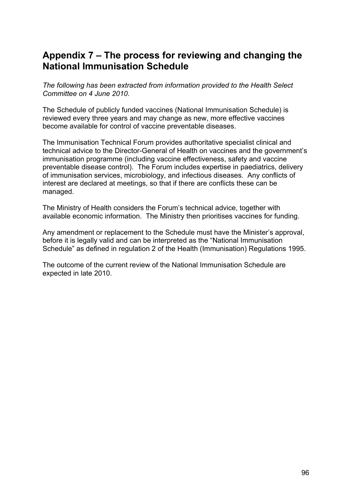# **Appendix 7 – The process for reviewing and changing the National Immunisation Schedule**

*The following has been extracted from information provided to the Health Select Committee on 4 June 2010.* 

The Schedule of publicly funded vaccines (National Immunisation Schedule) is reviewed every three years and may change as new, more effective vaccines become available for control of vaccine preventable diseases.

The Immunisation Technical Forum provides authoritative specialist clinical and technical advice to the Director-General of Health on vaccines and the government's immunisation programme (including vaccine effectiveness, safety and vaccine preventable disease control). The Forum includes expertise in paediatrics, delivery of immunisation services, microbiology, and infectious diseases. Any conflicts of interest are declared at meetings, so that if there are conflicts these can be managed.

The Ministry of Health considers the Forum's technical advice, together with available economic information. The Ministry then prioritises vaccines for funding.

Any amendment or replacement to the Schedule must have the Minister's approval, before it is legally valid and can be interpreted as the "National Immunisation Schedule" as defined in regulation 2 of the Health (Immunisation) Regulations 1995.

The outcome of the current review of the National Immunisation Schedule are expected in late 2010.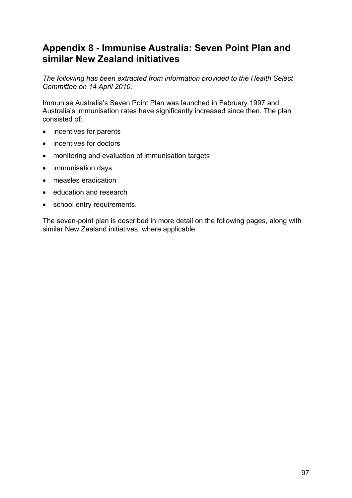## **Appendix 8 - Immunise Australia: Seven Point Plan and similar New Zealand initiatives**

*The following has been extracted from information provided to the Health Select Committee on 14 April 2010.* 

Immunise Australia's Seven Point Plan was launched in February 1997 and Australia's immunisation rates have significantly increased since then. The plan consisted of:

- incentives for parents
- incentives for doctors
- monitoring and evaluation of immunisation targets
- immunisation days
- measles eradication
- education and research
- school entry requirements.

The seven-point plan is described in more detail on the following pages, along with similar New Zealand initiatives, where applicable.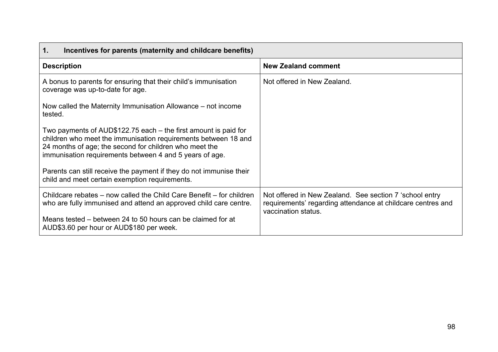| Incentives for parents (maternity and childcare benefits)<br>$\mathbf 1$ .                                                                                                                                                                             |                                                                                                                                               |  |  |  |
|--------------------------------------------------------------------------------------------------------------------------------------------------------------------------------------------------------------------------------------------------------|-----------------------------------------------------------------------------------------------------------------------------------------------|--|--|--|
| <b>Description</b>                                                                                                                                                                                                                                     | <b>New Zealand comment</b>                                                                                                                    |  |  |  |
| A bonus to parents for ensuring that their child's immunisation<br>coverage was up-to-date for age.                                                                                                                                                    | Not offered in New Zealand.                                                                                                                   |  |  |  |
| Now called the Maternity Immunisation Allowance – not income<br>tested.                                                                                                                                                                                |                                                                                                                                               |  |  |  |
| Two payments of AUD\$122.75 each – the first amount is paid for<br>children who meet the immunisation requirements between 18 and<br>24 months of age; the second for children who meet the<br>immunisation requirements between 4 and 5 years of age. |                                                                                                                                               |  |  |  |
| Parents can still receive the payment if they do not immunise their<br>child and meet certain exemption requirements.                                                                                                                                  |                                                                                                                                               |  |  |  |
| Childcare rebates – now called the Child Care Benefit – for children<br>who are fully immunised and attend an approved child care centre.                                                                                                              | Not offered in New Zealand. See section 7 'school entry<br>requirements' regarding attendance at childcare centres and<br>vaccination status. |  |  |  |
| Means tested – between 24 to 50 hours can be claimed for at<br>AUD\$3.60 per hour or AUD\$180 per week.                                                                                                                                                |                                                                                                                                               |  |  |  |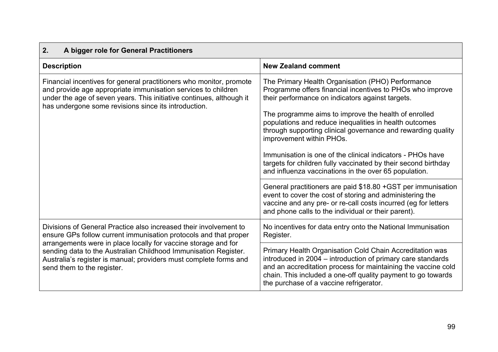| A bigger role for General Practitioners<br>2.                                                                                                                                                                                                                        |                                                                                                                                                                                                                                                                                                                                                                                                                                                                                                                                                                                                                                                                                                                                                                          |  |  |
|----------------------------------------------------------------------------------------------------------------------------------------------------------------------------------------------------------------------------------------------------------------------|--------------------------------------------------------------------------------------------------------------------------------------------------------------------------------------------------------------------------------------------------------------------------------------------------------------------------------------------------------------------------------------------------------------------------------------------------------------------------------------------------------------------------------------------------------------------------------------------------------------------------------------------------------------------------------------------------------------------------------------------------------------------------|--|--|
| <b>Description</b>                                                                                                                                                                                                                                                   | <b>New Zealand comment</b>                                                                                                                                                                                                                                                                                                                                                                                                                                                                                                                                                                                                                                                                                                                                               |  |  |
| Financial incentives for general practitioners who monitor, promote<br>and provide age appropriate immunisation services to children<br>under the age of seven years. This initiative continues, although it<br>has undergone some revisions since its introduction. | The Primary Health Organisation (PHO) Performance<br>Programme offers financial incentives to PHOs who improve<br>their performance on indicators against targets.<br>The programme aims to improve the health of enrolled<br>populations and reduce inequalities in health outcomes<br>through supporting clinical governance and rewarding quality<br>improvement within PHOs.<br>Immunisation is one of the clinical indicators - PHOs have<br>targets for children fully vaccinated by their second birthday<br>and influenza vaccinations in the over 65 population.<br>General practitioners are paid \$18.80 + GST per immunisation<br>event to cover the cost of storing and administering the<br>vaccine and any pre- or re-call costs incurred (eg for letters |  |  |
|                                                                                                                                                                                                                                                                      | and phone calls to the individual or their parent).                                                                                                                                                                                                                                                                                                                                                                                                                                                                                                                                                                                                                                                                                                                      |  |  |
| Divisions of General Practice also increased their involvement to<br>ensure GPs follow current immunisation protocols and that proper                                                                                                                                | No incentives for data entry onto the National Immunisation<br>Register.                                                                                                                                                                                                                                                                                                                                                                                                                                                                                                                                                                                                                                                                                                 |  |  |
| arrangements were in place locally for vaccine storage and for<br>sending data to the Australian Childhood Immunisation Register.<br>Australia's register is manual; providers must complete forms and<br>send them to the register.                                 | Primary Health Organisation Cold Chain Accreditation was<br>introduced in 2004 – introduction of primary care standards<br>and an accreditation process for maintaining the vaccine cold<br>chain. This included a one-off quality payment to go towards<br>the purchase of a vaccine refrigerator.                                                                                                                                                                                                                                                                                                                                                                                                                                                                      |  |  |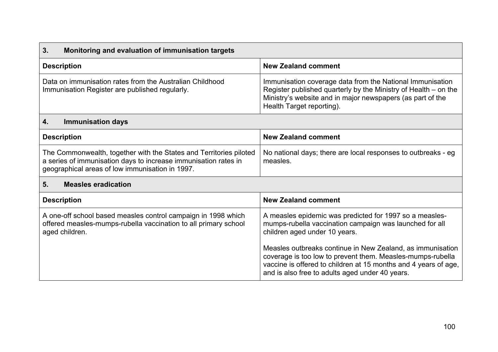| 3.<br>Monitoring and evaluation of immunisation targets                                                                                                                                  |                                                                                                                                                                                                                                                |  |
|------------------------------------------------------------------------------------------------------------------------------------------------------------------------------------------|------------------------------------------------------------------------------------------------------------------------------------------------------------------------------------------------------------------------------------------------|--|
| <b>Description</b>                                                                                                                                                                       | <b>New Zealand comment</b>                                                                                                                                                                                                                     |  |
| Data on immunisation rates from the Australian Childhood<br>Immunisation Register are published regularly.                                                                               | Immunisation coverage data from the National Immunisation<br>Register published quarterly by the Ministry of Health – on the<br>Ministry's website and in major newspapers (as part of the<br>Health Target reporting).                        |  |
| <b>Immunisation days</b><br>4.                                                                                                                                                           |                                                                                                                                                                                                                                                |  |
| <b>Description</b>                                                                                                                                                                       | <b>New Zealand comment</b>                                                                                                                                                                                                                     |  |
| The Commonwealth, together with the States and Territories piloted<br>a series of immunisation days to increase immunisation rates in<br>geographical areas of low immunisation in 1997. | No national days; there are local responses to outbreaks - eg<br>measles.                                                                                                                                                                      |  |
| <b>Measles eradication</b><br>5.                                                                                                                                                         |                                                                                                                                                                                                                                                |  |
| <b>Description</b>                                                                                                                                                                       | <b>New Zealand comment</b>                                                                                                                                                                                                                     |  |
| A one-off school based measles control campaign in 1998 which<br>offered measles-mumps-rubella vaccination to all primary school<br>aged children.                                       | A measles epidemic was predicted for 1997 so a measles-<br>mumps-rubella vaccination campaign was launched for all<br>children aged under 10 years.                                                                                            |  |
|                                                                                                                                                                                          | Measles outbreaks continue in New Zealand, as immunisation<br>coverage is too low to prevent them. Measles-mumps-rubella<br>vaccine is offered to children at 15 months and 4 years of age,<br>and is also free to adults aged under 40 years. |  |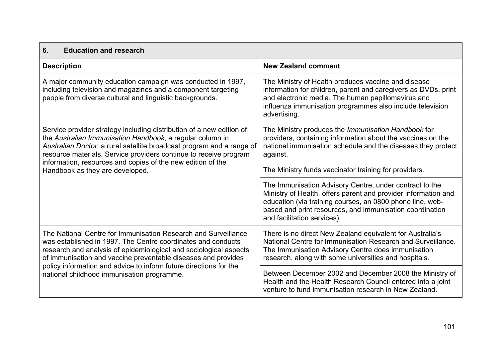#### **6. Education and research Description Comment 1 Constraining the Comment in the U.S. According to the U.S. According to According the U.S. According to According the U.S. According to According the U.S. According to According the U.S. According to** A major community education campaign was conducted in 1997, including television and magazines and a component targeting people from diverse cultural and linguistic backgrounds. The Ministry of Health produces vaccine and disease information for children, parent and caregivers as DVDs, print and electronic media. The human papillomavirus and influenza immunisation programmes also include television advertising. The Ministry produces the *Immunisation Handbook* for providers, containing information about the vaccines on the national immunisation schedule and the diseases they protect against. The Ministry funds vaccinator training for providers. Service provider strategy including distribution of a new edition of the *Australian Immunisation Handbook*, a regular column in *Australian Doctor*, a rural satellite broadcast program and a range of resource materials. Service providers continue to receive program information, resources and copies of the new edition of the Handbook as they are developed. The Immunisation Advisory Centre, under contract to the Ministry of Health, offers parent and provider information and education (via training courses, an 0800 phone line, webbased and print resources, and immunisation coordination and facilitation services). There is no direct New Zealand equivalent for Australia's National Centre for Immunisation Research and Surveillance. The Immunisation Advisory Centre does immunisation research, along with some universities and hospitals. The National Centre for Immunisation Research and Surveillance was established in 1997. The Centre coordinates and conducts research and analysis of epidemiological and sociological aspects of immunisation and vaccine preventable diseases and provides policy information and advice to inform future directions for the

national childhood immunisation programme. <br>Between December 2002 and December 2008 the Ministry of Health and the Health Research Council entered into a joint venture to fund immunisation research in New Zealand.